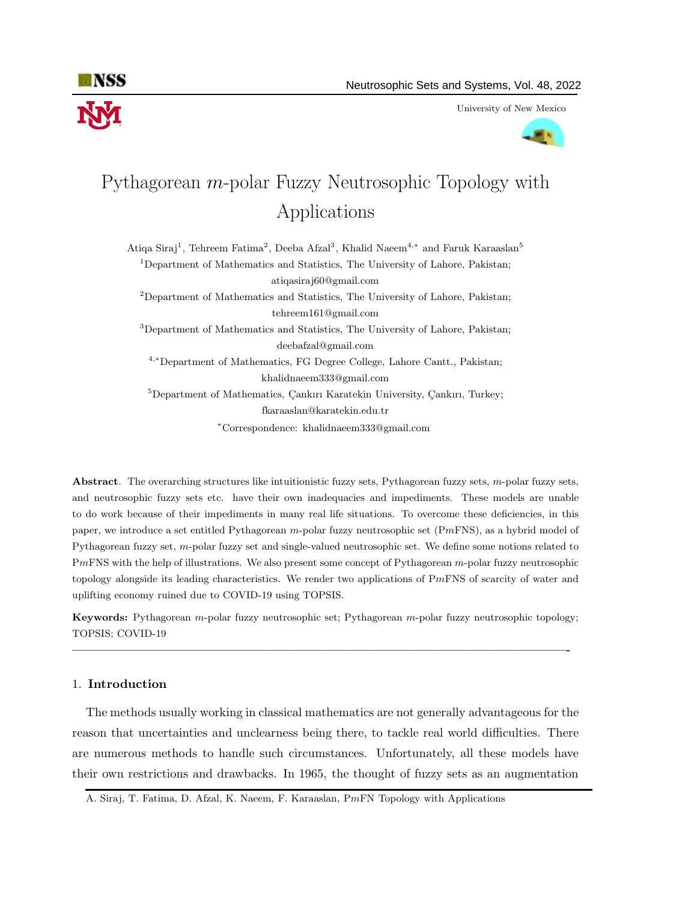

University of New Mexico



# Pythagorean m-polar Fuzzy Neutrosophic Topology with Applications

Atiqa Siraj<sup>1</sup>, Tehreem Fatima<sup>2</sup>, Deeba Afzal<sup>3</sup>, Khalid Naeem<sup>4,∗</sup> and Faruk Karaaslan<sup>5</sup> <sup>1</sup>Department of Mathematics and Statistics, The University of Lahore, Pakistan; atiqasiraj60@gmail.com <sup>2</sup>Department of Mathematics and Statistics, The University of Lahore, Pakistan; tehreem161@gmail.com <sup>3</sup>Department of Mathematics and Statistics, The University of Lahore, Pakistan; deebafzal@gmail.com <sup>4</sup>,<sup>∗</sup>Department of Mathematics, FG Degree College, Lahore Cantt., Pakistan; khalidnaeem333@gmail.com  ${}^{5}$ Department of Mathematics, Çankırı Karatekin University, Çankırı, Turkey; fkaraaslan@karatekin.edu.tr <sup>∗</sup>Correspondence: khalidnaeem333@gmail.com

Abstract. The overarching structures like intuitionistic fuzzy sets, Pythagorean fuzzy sets, m-polar fuzzy sets, and neutrosophic fuzzy sets etc. have their own inadequacies and impediments. These models are unable to do work because of their impediments in many real life situations. To overcome these deficiencies, in this paper, we introduce a set entitled Pythagorean m-polar fuzzy neutrosophic set (PmFNS), as a hybrid model of Pythagorean fuzzy set, m-polar fuzzy set and single-valued neutrosophic set. We define some notions related to PmFNS with the help of illustrations. We also present some concept of Pythagorean m-polar fuzzy neutrosophic topology alongside its leading characteristics. We render two applications of PmFNS of scarcity of water and uplifting economy ruined due to COVID-19 using TOPSIS.

Keywords: Pythagorean m-polar fuzzy neutrosophic set; Pythagorean m-polar fuzzy neutrosophic topology; TOPSIS; COVID-19

—————————————————————————————————————————-

#### 1. Introduction

The methods usually working in classical mathematics are not generally advantageous for the reason that uncertainties and unclearness being there, to tackle real world difficulties. There are numerous methods to handle such circumstances. Unfortunately, all these models have their own restrictions and drawbacks. In 1965, the thought of fuzzy sets as an augmentation

A. Siraj, T. Fatima, D. Afzal, K. Naeem, F. Karaaslan, PmFN Topology with Applications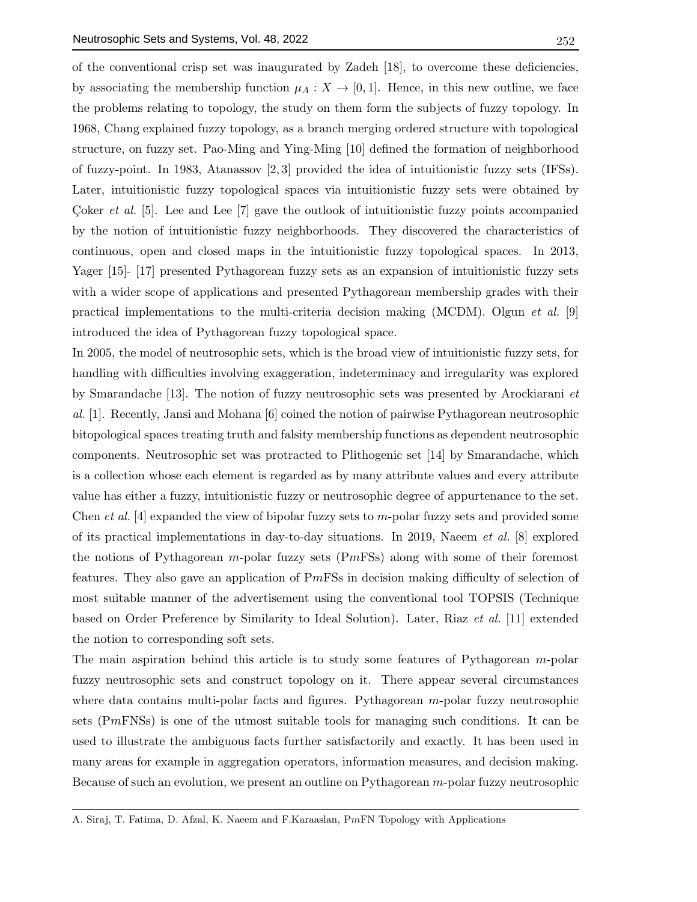of the conventional crisp set was inaugurated by Zadeh [18], to overcome these deficiencies, by associating the membership function  $\mu_A : X \to [0,1]$ . Hence, in this new outline, we face the problems relating to topology, the study on them form the subjects of fuzzy topology. In 1968, Chang explained fuzzy topology, as a branch merging ordered structure with topological structure, on fuzzy set. Pao-Ming and Ying-Ming [10] defined the formation of neighborhood of fuzzy-point. In 1983, Atanassov [2, 3] provided the idea of intuitionistic fuzzy sets (IFSs). Later, intuitionistic fuzzy topological spaces via intuitionistic fuzzy sets were obtained by Coker *et al.* [5]. Lee and Lee  $[7]$  gave the outlook of intuitionistic fuzzy points accompanied by the notion of intuitionistic fuzzy neighborhoods. They discovered the characteristics of continuous, open and closed maps in the intuitionistic fuzzy topological spaces. In 2013, Yager [15]- [17] presented Pythagorean fuzzy sets as an expansion of intuitionistic fuzzy sets with a wider scope of applications and presented Pythagorean membership grades with their practical implementations to the multi-criteria decision making (MCDM). Olgun *et al.* [9] introduced the idea of Pythagorean fuzzy topological space.

In 2005, the model of neutrosophic sets, which is the broad view of intuitionistic fuzzy sets, for handling with difficulties involving exaggeration, indeterminacy and irregularity was explored by Smarandache [13]. The notion of fuzzy neutrosophic sets was presented by Arockiarani et al. [1]. Recently, Jansi and Mohana [6] coined the notion of pairwise Pythagorean neutrosophic bitopological spaces treating truth and falsity membership functions as dependent neutrosophic components. Neutrosophic set was protracted to Plithogenic set [14] by Smarandache, which is a collection whose each element is regarded as by many attribute values and every attribute value has either a fuzzy, intuitionistic fuzzy or neutrosophic degree of appurtenance to the set. Chen *et al.* [4] expanded the view of bipolar fuzzy sets to m-polar fuzzy sets and provided some of its practical implementations in day-to-day situations. In 2019, Naeem et al. [8] explored the notions of Pythagorean m-polar fuzzy sets  $(PmFSS)$  along with some of their foremost features. They also gave an application of PmFSs in decision making difficulty of selection of most suitable manner of the advertisement using the conventional tool TOPSIS (Technique based on Order Preference by Similarity to Ideal Solution). Later, Riaz et al. [11] extended the notion to corresponding soft sets.

The main aspiration behind this article is to study some features of Pythagorean  $m$ -polar fuzzy neutrosophic sets and construct topology on it. There appear several circumstances where data contains multi-polar facts and figures. Pythagorean  $m$ -polar fuzzy neutrosophic sets (PmFNSs) is one of the utmost suitable tools for managing such conditions. It can be used to illustrate the ambiguous facts further satisfactorily and exactly. It has been used in many areas for example in aggregation operators, information measures, and decision making. Because of such an evolution, we present an outline on Pythagorean m-polar fuzzy neutrosophic

A. Siraj, T. Fatima, D. Afzal, K. Naeem and F.Karaaslan, PmFN Topology with Applications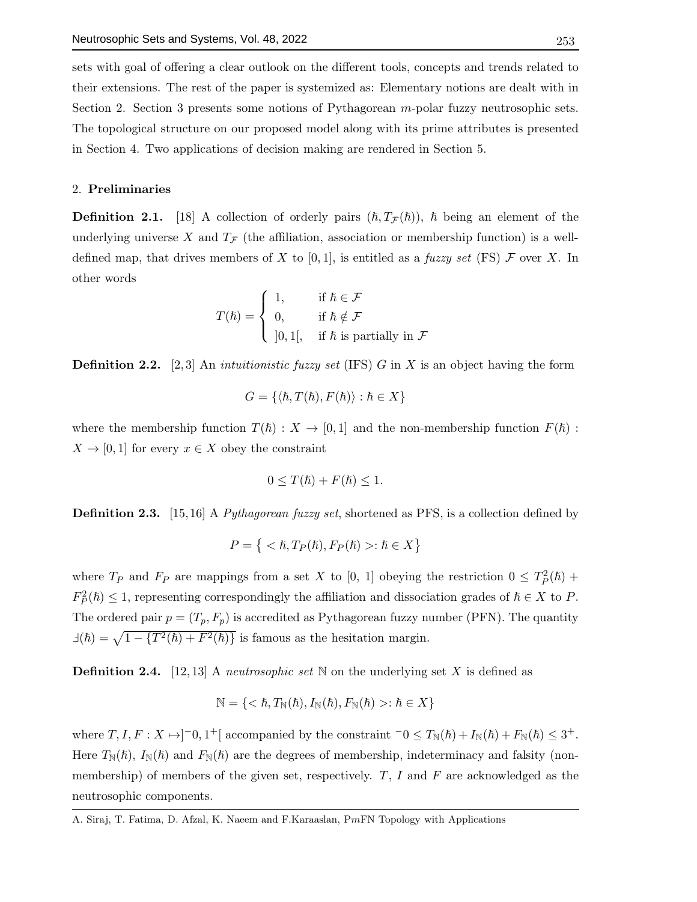sets with goal of offering a clear outlook on the different tools, concepts and trends related to their extensions. The rest of the paper is systemized as: Elementary notions are dealt with in Section 2. Section 3 presents some notions of Pythagorean  $m$ -polar fuzzy neutrosophic sets. The topological structure on our proposed model along with its prime attributes is presented in Section 4. Two applications of decision making are rendered in Section 5.

#### 2. Preliminaries

**Definition 2.1.** [18] A collection of orderly pairs  $(\hbar, T_{\mathcal{F}}(\hbar))$ ,  $\hbar$  being an element of the underlying universe X and  $T_F$  (the affiliation, association or membership function) is a welldefined map, that drives members of X to [0,1], is entitled as a fuzzy set (FS)  $\mathcal F$  over X. In other words

$$
T(\hbar) = \begin{cases} 1, & \text{if } \hbar \in \mathcal{F} \\ 0, & \text{if } \hbar \notin \mathcal{F} \\ 0, 1[, & \text{if } \hbar \text{ is partially in } \mathcal{F} \end{cases}
$$

**Definition 2.2.** [2,3] An *intuitionistic fuzzy set* (IFS) G in X is an object having the form

$$
G = \{ \langle \hbar, T(\hbar), F(\hbar) \rangle : \hbar \in X \}
$$

where the membership function  $T(\hbar): X \to [0,1]$  and the non-membership function  $F(\hbar):$  $X \to [0, 1]$  for every  $x \in X$  obey the constraint

$$
0 \le T(\hbar) + F(\hbar) \le 1.
$$

**Definition 2.3.** [15,16] A Pythagorean fuzzy set, shortened as PFS, is a collection defined by

$$
P = \{ \langle \hbar, T_P(\hbar), F_P(\hbar) \rangle : \hbar \in X \}
$$

where  $T_P$  and  $F_P$  are mappings from a set X to [0, 1] obeying the restriction  $0 \leq T_P^2(\hbar)$  +  $F_P^2(\hbar) \leq 1$ , representing correspondingly the affiliation and dissociation grades of  $\hbar \in X$  to P. The ordered pair  $p = (T_p, F_p)$  is accredited as Pythagorean fuzzy number (PFN). The quantity  $\exists(\hbar) = \sqrt{1 - \{T^2(\hbar) + F^2(\hbar)\}}$  is famous as the hesitation margin.

**Definition 2.4.** [12,13] A *neutrosophic set* N on the underlying set X is defined as

$$
\mathbb{N} = \{ < \hbar, T_{\mathbb{N}}(\hbar), I_{\mathbb{N}}(\hbar), F_{\mathbb{N}}(\hbar) >: \hbar \in X \}
$$

where  $T, I, F: X \mapsto ]-0, 1^+[$  accompanied by the constraint  $-0 \le T_{\mathbb{N}}(\hbar) + I_{\mathbb{N}}(\hbar) + F_{\mathbb{N}}(\hbar) \le 3^+$ . Here  $T_{\mathbb{N}}(\hbar)$ ,  $I_{\mathbb{N}}(\hbar)$  and  $F_{\mathbb{N}}(\hbar)$  are the degrees of membership, indeterminacy and falsity (nonmembership) of members of the given set, respectively.  $T$ ,  $I$  and  $F$  are acknowledged as the neutrosophic components.

A. Siraj, T. Fatima, D. Afzal, K. Naeem and F.Karaaslan, PmFN Topology with Applications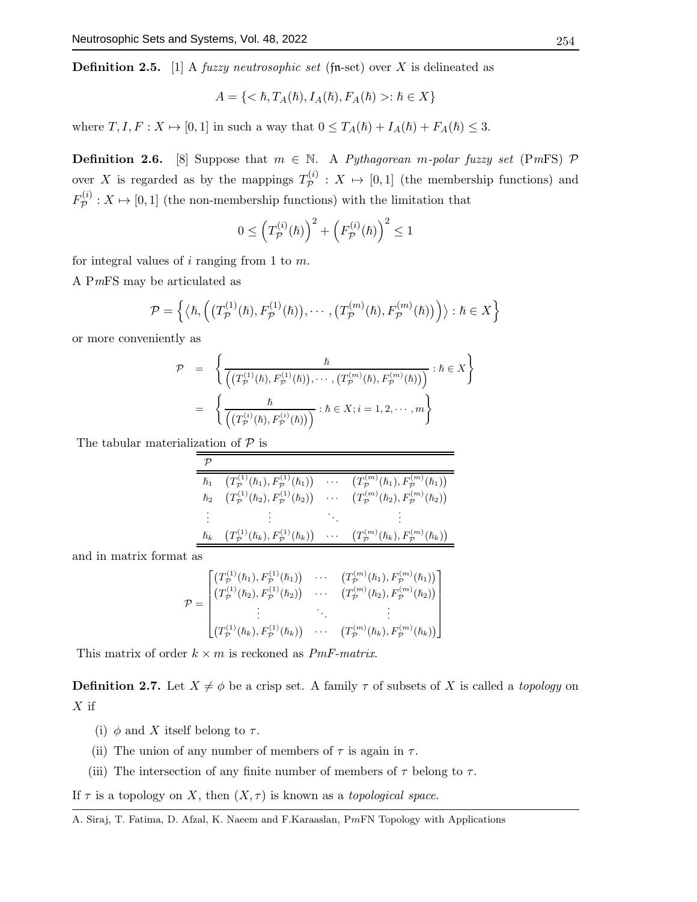**Definition 2.5.** [1] A *fuzzy neutrosophic set* (fn-set) over X is delineated as

$$
A = \{ \langle \hbar, T_A(\hbar), I_A(\hbar), F_A(\hbar) \rangle : \hbar \in X \}
$$

where  $T, I, F: X \mapsto [0, 1]$  in such a way that  $0 \leq T_A(\hbar) + I_A(\hbar) + F_A(\hbar) \leq 3$ .

**Definition 2.6.** [8] Suppose that  $m \in \mathbb{N}$ . A Pythagorean m-polar fuzzy set (PmFS) P over X is regarded as by the mappings  $T_{\mathcal{P}}^{(i)}$  $\mathcal{P}^{(i)}$  :  $X \mapsto [0,1]$  (the membership functions) and  $F^{(i)}_{\cal P}$  $\mathcal{P}^{(i)}$ :  $X \mapsto [0, 1]$  (the non-membership functions) with the limitation that

$$
0 \leq \left(T_{\mathcal{P}}^{(i)}(\hbar)\right)^2 + \left(F_{\mathcal{P}}^{(i)}(\hbar)\right)^2 \leq 1
$$

for integral values of i ranging from 1 to  $m$ .

A PmFS may be articulated as

$$
\mathcal{P} = \left\{ \left\langle \hbar, \left( \left( T^{(1)}_{\mathcal{P}}(\hbar), F^{(1)}_{\mathcal{P}}(\hbar) \right), \cdots, \left( T^{(m)}_{\mathcal{P}}(\hbar), F^{(m)}_{\mathcal{P}}(\hbar) \right) \right) \right\rangle : \hbar \in X \right\}
$$

or more conveniently as

$$
\mathcal{P} = \left\{ \frac{\hbar}{\left( (T^{(1)}_{\mathcal{P}}(\hbar), F^{(1)}_{\mathcal{P}}(\hbar)), \cdots, (T^{(m)}_{\mathcal{P}}(\hbar), F^{(m)}_{\mathcal{P}}(\hbar)) \right)} : \hbar \in X \right\}
$$

$$
= \left\{ \frac{\hbar}{\left( (T^{(i)}_{\mathcal{P}}(\hbar), F^{(i)}_{\mathcal{P}}(\hbar)) \right)} : \hbar \in X; i = 1, 2, \cdots, m \right\}
$$

The tabular materialization of  $P$  is

| $\hslash_1$ | $(T^{(1)}_{\mathcal{P}}(\hslash_1),F^{(1)}_{\mathcal{P}}(\hslash_1))$           | $\sim 100$ km s $^{-1}$                    | $(T^{(m)}_{\mathcal{P}}(\hslash_1),F^{(m)}_{\mathcal{P}}(\hslash_1))$      |
|-------------|---------------------------------------------------------------------------------|--------------------------------------------|----------------------------------------------------------------------------|
| $\hslash_2$ | $\left(T^{(1)}_{\cal P}(\hslash_2),F^{(1)}_{\cal P}(\hslash_2)\right)$          | $\mathbf{1}$ , $\mathbf{1}$ , $\mathbf{1}$ | $(T^{(m)}_{\mathcal{P}}(\hslash_2), F^{(m)}_{\mathcal{P}}(\hslash_2))$     |
|             | 主張 アンドラー おおとめ                                                                   |                                            |                                                                            |
| $\hslash_k$ | $(T^{(1)}_{\mathcal{P}}(\hbar_k), F^{(1)}_{\mathcal{P}}(\hbar_k)) \quad \cdots$ |                                            | $(T_{\mathcal{P}}^{(m)}(\hslash_{k}), F_{\mathcal{P}}^{(m)}(\hslash_{k}))$ |

and in matrix format as

$$
\mathcal{P} = \begin{bmatrix} \left( T_p^{(1)}(\hbar_1), F_p^{(1)}(\hbar_1) \right) & \cdots & \left( T_p^{(m)}(\hbar_1), F_p^{(m)}(\hbar_1) \right) \\ \left( T_p^{(1)}(\hbar_2), F_p^{(1)}(\hbar_2) \right) & \cdots & \left( T_p^{(m)}(\hbar_2), F_p^{(m)}(\hbar_2) \right) \\ \vdots & \ddots & \vdots \\ \left( T_p^{(1)}(\hbar_k), F_p^{(1)}(\hbar_k) \right) & \cdots & \left( T_p^{(m)}(\hbar_k), F_p^{(m)}(\hbar_k) \right) \end{bmatrix}
$$

This matrix of order  $k \times m$  is reckoned as *PmF-matrix*.

**Definition 2.7.** Let  $X \neq \phi$  be a crisp set. A family  $\tau$  of subsets of X is called a topology on  $X$  if

- (i)  $\phi$  and X itself belong to  $\tau$ .
- (ii) The union of any number of members of  $\tau$  is again in  $\tau$ .
- (iii) The intersection of any finite number of members of  $\tau$  belong to  $\tau$ .

If  $\tau$  is a topology on X, then  $(X, \tau)$  is known as a topological space.

A. Siraj, T. Fatima, D. Afzal, K. Naeem and F.Karaaslan, PmFN Topology with Applications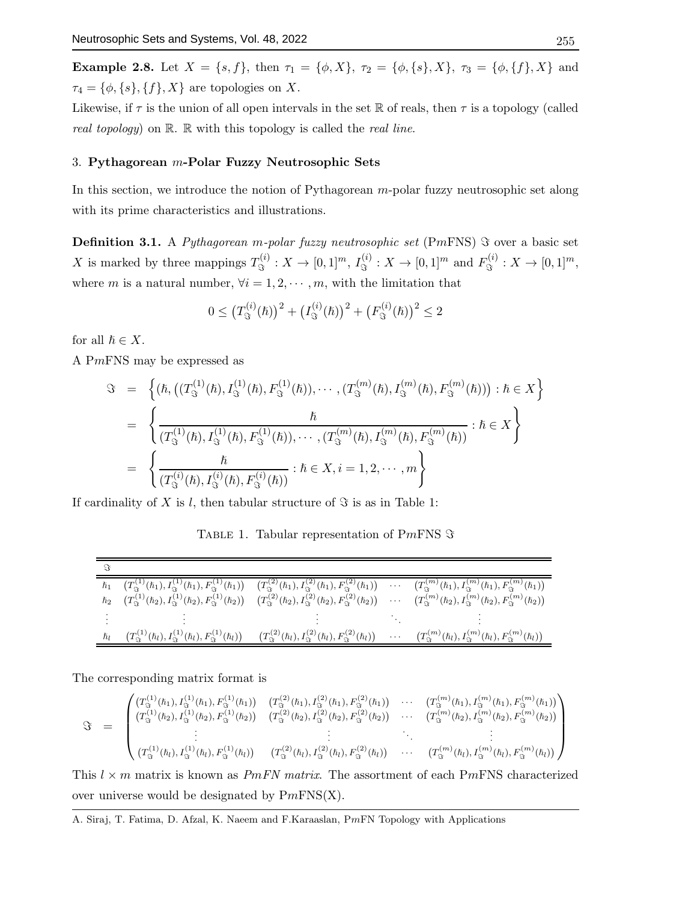Example 2.8. Let  $X = \{s, f\}$ , then  $\tau_1 = \{\phi, X\}$ ,  $\tau_2 = \{\phi, \{s\}, X\}$ ,  $\tau_3 = \{\phi, \{f\}, X\}$  and  $\tau_4 = \{\phi, \{s\}, \{f\}, X\}$  are topologies on X.

Likewise, if  $\tau$  is the union of all open intervals in the set R of reals, then  $\tau$  is a topology (called real topology) on  $\mathbb{R}$ .  $\mathbb{R}$  with this topology is called the real line.

# 3. Pythagorean m-Polar Fuzzy Neutrosophic Sets

In this section, we introduce the notion of Pythagorean  $m$ -polar fuzzy neutrosophic set along with its prime characteristics and illustrations.

**Definition 3.1.** A Pythagorean m-polar fuzzy neutrosophic set (PmFNS)  $\Im$  over a basic set X is marked by three mappings  $T_{\mathcal{S}}^{(i)}$  $S^{(i)}_{\Im}: X \to [0,1]^m, I^{(i)}_{\Im}$  $T^{(i)}_{\Im}: X \to [0,1]^m$  and  $F^{(i)}_{\Im}$  $S^{(i)}$ :  $X \to [0,1]^m$ , where m is a natural number,  $\forall i = 1, 2, \cdots, m$ , with the limitation that

$$
0 \le (T_{\Im}^{(i)}(\hbar))^2 + (I_{\Im}^{(i)}(\hbar))^2 + (F_{\Im}^{(i)}(\hbar))^2 \le 2
$$

for all  $\hbar \in X$ .

A PmFNS may be expressed as

$$
\Im = \left\{ (\hbar, ((T_{\Im}^{(1)}(\hbar), T_{\Im}^{(1)}(\hbar), F_{\Im}^{(1)}(\hbar)), \cdots, (T_{\Im}^{(m)}(\hbar), T_{\Im}^{(m)}(\hbar), F_{\Im}^{(m)}(\hbar))) : \hbar \in X \right\}
$$
  
\n
$$
= \left\{ \frac{\hbar}{(T_{\Im}^{(1)}(\hbar), T_{\Im}^{(1)}(\hbar), F_{\Im}^{(1)}(\hbar)), \cdots, (T_{\Im}^{(m)}(\hbar), T_{\Im}^{(m)}(\hbar), F_{\Im}^{(m)}(\hbar))} : \hbar \in X \right\}
$$
  
\n
$$
= \left\{ \frac{\hbar}{(T_{\Im}^{(i)}(\hbar), T_{\Im}^{(i)}(\hbar), F_{\Im}^{(i)}(\hbar))} : \hbar \in X, i = 1, 2, \cdots, m \right\}
$$

If cardinality of X is l, then tabular structure of  $\Im$  is as in Table 1:

TABLE 1. Tabular representation of PmFNS  $\Im$ 

| $\hbar_1$   |                                                                                       | $\big(T^{(1)}_{\Im}(\hbar_1), I^{(1)}_{\Im}(\hbar_1), F^{(1)}_{\Im}(\hbar_1)\big) \quad \big(T^{(2)}_{\Im}(\hbar_1), I^{(2)}_{\Im}(\hbar_1), F^{(2)}_{\Im}(\hbar_1)\big) \quad \cdots$ |                   | $(T_{\Im}^{(m)}(\hbar_1), I_{\Im}^{(m)}(\hbar_1), F_{\Im}^{(m)}(\hbar_1))$                                                                                                                                                          |
|-------------|---------------------------------------------------------------------------------------|----------------------------------------------------------------------------------------------------------------------------------------------------------------------------------------|-------------------|-------------------------------------------------------------------------------------------------------------------------------------------------------------------------------------------------------------------------------------|
| $\hslash_2$ |                                                                                       |                                                                                                                                                                                        |                   | $(T^{(1)}_{\Im}(\hbar_2),I_{\Im}^{(1)}(\hbar_2),F_{\Im}^{(1)}(\hbar_2))$ $(T^{(2)}_{\Im}(\hbar_2),I_{\Im}^{(2)}(\hbar_2),F_{\Im}^{(2)}(\hbar_2))$ $\cdots$ $(T^{(m)}_{\Im}(\hbar_2),I_{\Im}^{(m)}(\hbar_2),F_{\Im}^{(m)}(\hbar_2))$ |
|             |                                                                                       |                                                                                                                                                                                        |                   |                                                                                                                                                                                                                                     |
| ħі          | $\left(T^{(1)}_{\Im}(\hbar_l), I^{(1)}_{\Im}(\hbar_l), F^{(1)}_{\Im}(\hbar_l)\right)$ | $\big(T^{(2)}_{\Im}(\hbar_l),I^{(2)}_{\Im}(\hbar_l),F^{(2)}_{\Im}(\hbar_l)\big)$                                                                                                       | $\sim$ 100 $\sim$ | $\left(T_{\mathfrak{S}}^{(m)}(\hbar_l),T_{\mathfrak{S}}^{(m)}(\hbar_l),F_{\mathfrak{S}}^{(m)}(\hbar_l)\right)$                                                                                                                      |

The corresponding matrix format is

$$
\Im = \begin{pmatrix} (T_3^{(1)}(\hbar_1), I_3^{(1)}(\hbar_1), F_3^{(1)}(\hbar_1)) & (T_3^{(2)}(\hbar_1), I_3^{(2)}(\hbar_1), F_3^{(2)}(\hbar_1)) & \cdots & (T_3^{(m)}(\hbar_1), I_3^{(m)}(\hbar_1), F_3^{(m)}(\hbar_1)) \\ (T_3^{(1)}(\hbar_2), I_3^{(1)}(\hbar_2), F_3^{(1)}(\hbar_2)) & (T_3^{(2)}(\hbar_2), I_3^{(2)}(\hbar_2), F_3^{(2)}(\hbar_2)) & \cdots & (T_3^{(m)}(\hbar_2), I_3^{(m)}(\hbar_2), F_3^{(m)}(\hbar_2)) \\ \vdots & \vdots & \ddots & \vdots \\ (T_3^{(1)}(\hbar_l), I_3^{(1)}(\hbar_l), F_3^{(1)}(\hbar_l)) & (T_3^{(2)}(\hbar_l), I_3^{(2)}(\hbar_l), F_3^{(2)}(\hbar_l)) & \cdots & (T_3^{(m)}(\hbar_l), I_3^{(m)}(\hbar_l), F_3^{(m)}(\hbar_l)) \end{pmatrix}
$$

This  $l \times m$  matrix is known as *PmFN matrix*. The assortment of each PmFNS characterized over universe would be designated by  $PmFNS(X)$ .

A. Siraj, T. Fatima, D. Afzal, K. Naeem and F.Karaaslan, PmFN Topology with Applications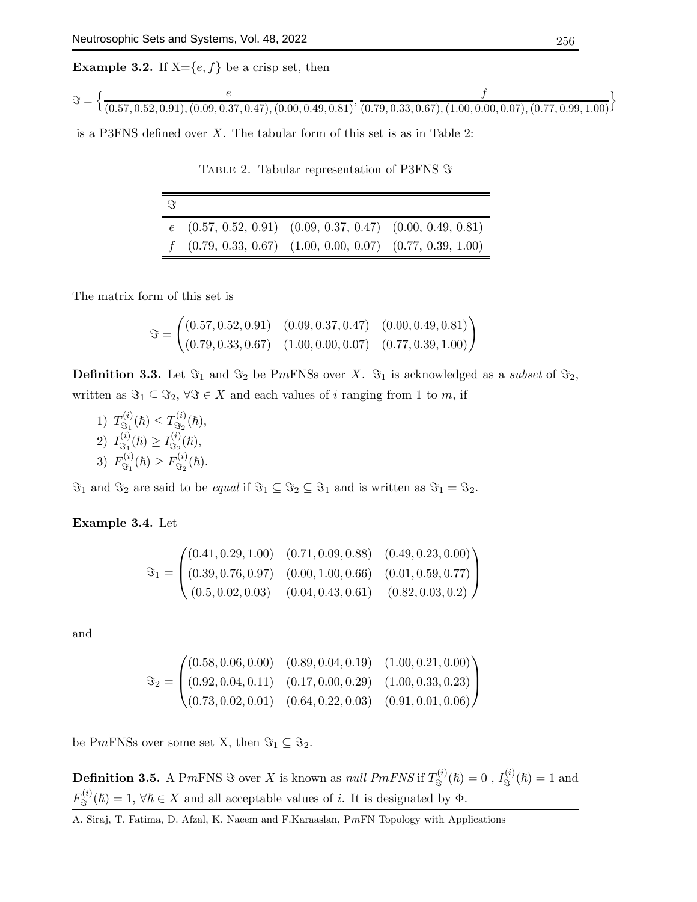**Example 3.2.** If  $X = \{e, f\}$  be a crisp set, then

$$
\Im = \left\{ \frac{e}{(0.57, 0.52, 0.91), (0.09, 0.37, 0.47), (0.00, 0.49, 0.81)}, \frac{f}{(0.79, 0.33, 0.67), (1.00, 0.00, 0.07), (0.77, 0.99, 1.00)} \right\}
$$

is a P3FNS defined over  $X$ . The tabular form of this set is as in Table 2:

TABLE 2. Tabular representation of P3FNS  $\Im$ 

| $\mathcal{L}$ |                                                                    |  |
|---------------|--------------------------------------------------------------------|--|
|               | $e$ $(0.57, 0.52, 0.91)$ $(0.09, 0.37, 0.47)$ $(0.00, 0.49, 0.81)$ |  |
|               | $f$ (0.79, 0.33, 0.67) (1.00, 0.00, 0.07) (0.77, 0.39, 1.00)       |  |

The matrix form of this set is

$$
\Im = \begin{pmatrix} (0.57, 0.52, 0.91) & (0.09, 0.37, 0.47) & (0.00, 0.49, 0.81) \\ (0.79, 0.33, 0.67) & (1.00, 0.00, 0.07) & (0.77, 0.39, 1.00) \end{pmatrix}
$$

**Definition 3.3.** Let  $\Im_1$  and  $\Im_2$  be PmFNSs over X.  $\Im_1$  is acknowledged as a *subset* of  $\Im_2$ , written as  $\Im_1 \subseteq \Im_2$ ,  $\forall \Im \in X$  and each values of i ranging from 1 to m, if

1)  $T^{(i)}_{\mathfrak{S}_1}$  $T^{(i)}_{\Im_1}(\hbar) \leq T^{(i)}_{\Im_2}$  $\mathfrak{S}_2^{(i)}(\hslash),$  $2)$   $I_{\tiny{\mbox{S}_{1}}}^{(i)}$  $J^{(i)}_{\Im_1}(\hbar) \geq I^{(i)}_{\Im_2}$  $\mathfrak{S}_2^{(i)}(\hslash),$  $3)$   $F_{\Im i}^{(i)}$  $F^{(i)}_{\Im_1}(\hbar) \geq F^{(i)}_{\Im_2}$  $\mathfrak{S}_2^{(i)}(\hslash).$ 

 $\Im_1$  and  $\Im_2$  are said to be *equal* if  $\Im_1 \subseteq \Im_2 \subseteq \Im_1$  and is written as  $\Im_1 = \Im_2$ .

Example 3.4. Let

$$
\mathfrak{S}_1 = \begin{pmatrix} (0.41, 0.29, 1.00) & (0.71, 0.09, 0.88) & (0.49, 0.23, 0.00) \\ (0.39, 0.76, 0.97) & (0.00, 1.00, 0.66) & (0.01, 0.59, 0.77) \\ (0.5, 0.02, 0.03) & (0.04, 0.43, 0.61) & (0.82, 0.03, 0.2) \end{pmatrix}
$$

and

$$
\mathfrak{S}_2 = \begin{pmatrix} (0.58, 0.06, 0.00) & (0.89, 0.04, 0.19) & (1.00, 0.21, 0.00) \\ (0.92, 0.04, 0.11) & (0.17, 0.00, 0.29) & (1.00, 0.33, 0.23) \\ (0.73, 0.02, 0.01) & (0.64, 0.22, 0.03) & (0.91, 0.01, 0.06) \end{pmatrix}
$$

be PmFNSs over some set X, then  $\Im_1 \subseteq \Im_2$ .

**Definition 3.5.** A PmFNS  $\Im$  over X is known as *null PmFNS* if  $T^{(i)}_{\Im}$  $J_{\Im}^{(i)}(\hslash)=0\;,\,I_{\Im}^{(i)}$  $\mathfrak{S}^{(i)}(\hbar)=1$  and  $F^{(i)}_{\mathfrak{R}}$  $\mathcal{L}_{\Im}^{(i)}(\hbar) = 1, \forall \hbar \in X$  and all acceptable values of i. It is designated by  $\Phi$ .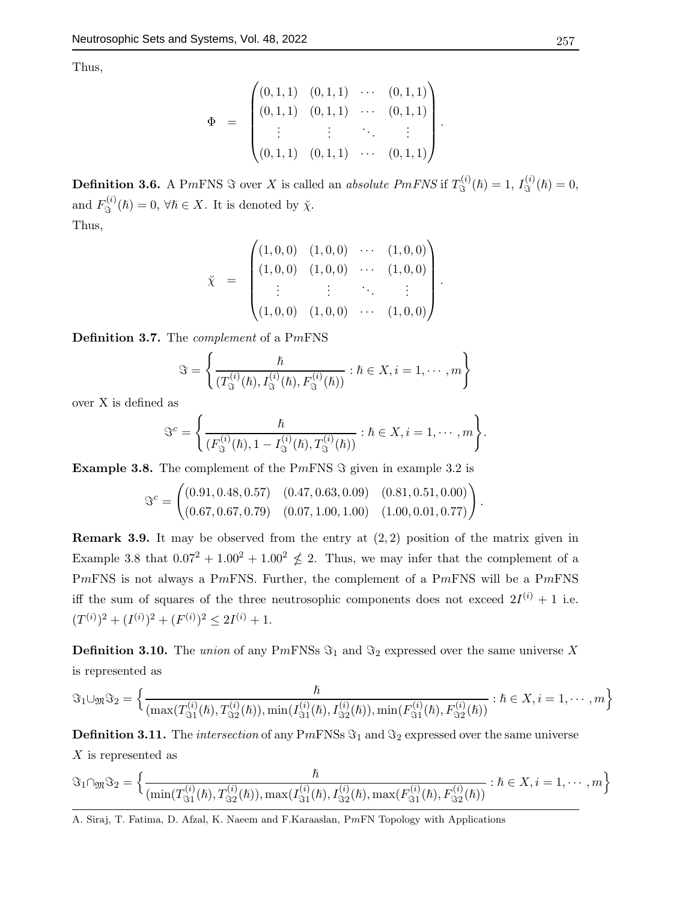Thus,

$$
\Phi = \begin{pmatrix}\n(0,1,1) & (0,1,1) & \cdots & (0,1,1) \\
(0,1,1) & (0,1,1) & \cdots & (0,1,1) \\
\vdots & \vdots & \ddots & \vdots \\
(0,1,1) & (0,1,1) & \cdots & (0,1,1)\n\end{pmatrix}.
$$

**Definition 3.6.** A PmFNS  $\Im$  over X is called an *absolute PmFNS* if  $T_{\Im}^{(i)}$  $J_{\Im}^{(i)}(\hbar) = 1, I_{\Im}^{(i)}$  $\mathfrak{S}^{(i)}(\hslash)=0,$ and  $F_{\mathfrak{S}}^{(i)}$  $\mathfrak{F}^{(v)}(\hbar)=0, \,\forall \hbar \in X.$  It is denoted by  $\check{\chi}$ . Thus,

$$
\tilde{\chi} = \begin{pmatrix} (1,0,0) & (1,0,0) & \cdots & (1,0,0) \\ (1,0,0) & (1,0,0) & \cdots & (1,0,0) \\ \vdots & \vdots & \ddots & \vdots \\ (1,0,0) & (1,0,0) & \cdots & (1,0,0) \end{pmatrix}.
$$

Definition 3.7. The complement of a PmFNS

$$
\Im = \left\{ \frac{\hbar}{(T_{\Im}^{(i)}(\hbar), I_{\Im}^{(i)}(\hbar), F_{\Im}^{(i)}(\hbar))} : \hbar \in X, i = 1, \cdots, m \right\}
$$

over X is defined as

$$
\Im^{c} = \Bigg\{\frac{\hbar}{(F_{\Im}^{(i)}(\hbar), 1 - I_{\Im}^{(i)}(\hbar), T_{\Im}^{(i)}(\hbar))} : \hbar \in X, i = 1, \cdots, m\Bigg\}.
$$

**Example 3.8.** The complement of the PmFNS  $\Im$  given in example 3.2 is

$$
\mathcal{S}^c = \begin{pmatrix} (0.91, 0.48, 0.57) & (0.47, 0.63, 0.09) & (0.81, 0.51, 0.00) \\ (0.67, 0.67, 0.79) & (0.07, 1.00, 1.00) & (1.00, 0.01, 0.77) \end{pmatrix}.
$$

**Remark 3.9.** It may be observed from the entry at  $(2, 2)$  position of the matrix given in Example 3.8 that  $0.07^2 + 1.00^2 + 1.00^2 \nleq 2$ . Thus, we may infer that the complement of a PmFNS is not always a PmFNS. Further, the complement of a PmFNS will be a PmFNS iff the sum of squares of the three neutrosophic components does not exceed  $2I^{(i)} + 1$  i.e.  $(T^{(i)})^2 + (I^{(i)})^2 + (F^{(i)})^2 \le 2I^{(i)} + 1.$ 

**Definition 3.10.** The union of any PmFNSs  $\Im_1$  and  $\Im_2$  expressed over the same universe X is represented as

$$
\Im_1 \cup_{\mathfrak{M}} \Im_2 = \left\{ \frac{\hbar}{(\max(T_{\Im 1}^{(i)}(\hbar), T_{\Im 2}^{(i)}(\hbar)), \min(T_{\Im 1}^{(i)}(\hbar), I_{\Im 2}^{(i)}(\hbar)), \min(F_{\Im 1}^{(i)}(\hbar), F_{\Im 2}^{(i)}(\hbar))} : \hbar \in X, i = 1, \cdots, m \right\}
$$

**Definition 3.11.** The *intersection* of any PmFNSs  $\Im_1$  and  $\Im_2$  expressed over the same universe X is represented as

$$
\mathfrak{F}_{1}\cap_{\mathfrak{M}}\mathfrak{F}_{2}=\left\{\frac{\hbar}{(\min(T_{\mathfrak{I}_{1}}^{(i)}(\hbar),T_{\mathfrak{I}_{2}}^{(i)}(\hbar)),\max(T_{\mathfrak{I}_{1}}^{(i)}(\hbar),I_{\mathfrak{I}_{2}}^{(i)}(\hbar),\max(F_{\mathfrak{I}_{1}}^{(i)}(\hbar),F_{\mathfrak{I}_{2}}^{(i)}(\hbar))}:\hbar\in X,i=1,\cdots,m\right\}
$$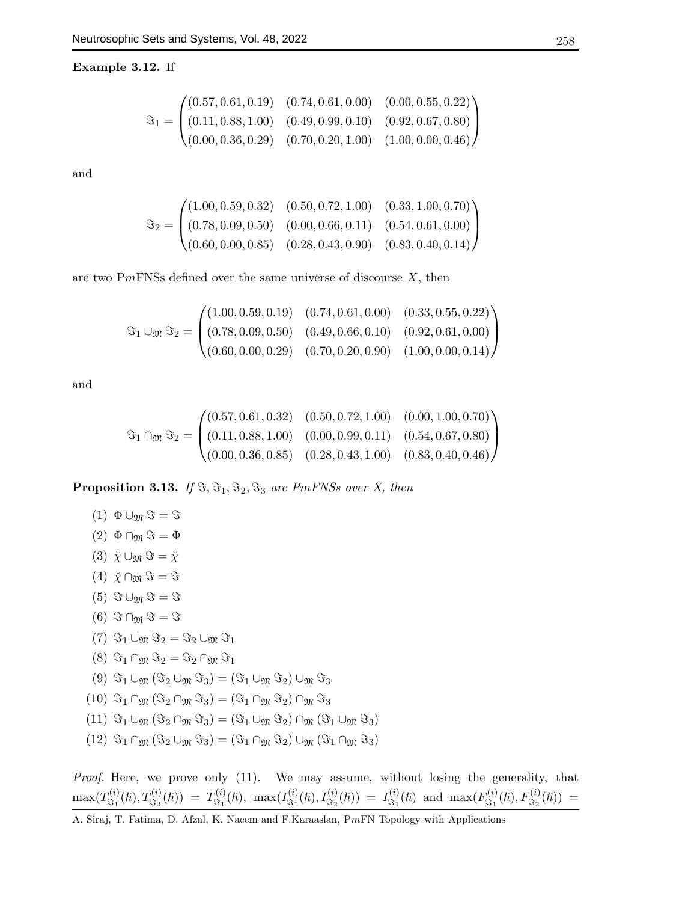Example 3.12. If

$$
\mathfrak{F}_1 = \begin{pmatrix} (0.57, 0.61, 0.19) & (0.74, 0.61, 0.00) & (0.00, 0.55, 0.22) \\ (0.11, 0.88, 1.00) & (0.49, 0.99, 0.10) & (0.92, 0.67, 0.80) \\ (0.00, 0.36, 0.29) & (0.70, 0.20, 1.00) & (1.00, 0.00, 0.46) \end{pmatrix}
$$

and

$$
\Im_2 = \begin{pmatrix} (1.00, 0.59, 0.32) & (0.50, 0.72, 1.00) & (0.33, 1.00, 0.70) \\ (0.78, 0.09, 0.50) & (0.00, 0.66, 0.11) & (0.54, 0.61, 0.00) \\ (0.60, 0.00, 0.85) & (0.28, 0.43, 0.90) & (0.83, 0.40, 0.14) \end{pmatrix}
$$

are two PmFNSs defined over the same universe of discourse  $X$ , then

$$
\Im_1 \cup_{\mathfrak{M}} \Im_2 = \begin{pmatrix} (1.00, 0.59, 0.19) & (0.74, 0.61, 0.00) & (0.33, 0.55, 0.22) \\ (0.78, 0.09, 0.50) & (0.49, 0.66, 0.10) & (0.92, 0.61, 0.00) \\ (0.60, 0.00, 0.29) & (0.70, 0.20, 0.90) & (1.00, 0.00, 0.14) \end{pmatrix}
$$

and

$$
\Im_1 \cap_{\mathfrak{M}} \Im_2 = \begin{pmatrix} (0.57, 0.61, 0.32) & (0.50, 0.72, 1.00) & (0.00, 1.00, 0.70) \\ (0.11, 0.88, 1.00) & (0.00, 0.99, 0.11) & (0.54, 0.67, 0.80) \\ (0.00, 0.36, 0.85) & (0.28, 0.43, 1.00) & (0.83, 0.40, 0.46) \end{pmatrix}
$$

**Proposition 3.13.** If  $\Im$ ,  $\Im$ <sub>1</sub>,  $\Im$ <sub>2</sub>,  $\Im$ <sub>3</sub> are PmFNSs over X, then

$$
(1) \Phi \cup_{\mathfrak{M}} \mathfrak{S} = \mathfrak{S}
$$

$$
(2) \Phi \cap_{\mathfrak{M}} \mathfrak{S} = \Phi
$$

$$
\frac{1}{2}
$$

- $(3)$   $\breve{\chi} \cup_{\mathfrak{M}} \Im = \breve{\chi}$  $(4)$   $\check{\chi} \cap_{\mathfrak{M}} \Im = \Im$
- $(5)$   $\Im \cup_{\mathfrak{M}} \Im = \Im$
- (6)  $\Im \cap_{\mathfrak{M}} \Im = \Im$
- (7)  $\Im_1 \cup_{\mathfrak{M}} \Im_2 = \Im_2 \cup_{\mathfrak{M}} \Im_1$
- $(8)$   $\Im_1 \cap_{\mathfrak{M}} \Im_2 = \Im_2 \cap_{\mathfrak{M}} \Im_1$
- (9)  $\Im_1 \cup_{\mathfrak{M}} (\Im_2 \cup_{\mathfrak{M}} \Im_3) = (\Im_1 \cup_{\mathfrak{M}} \Im_2) \cup_{\mathfrak{M}} \Im_3$
- $(10)$   $\Im_1 \cap_{\mathfrak{M}} (\Im_2 \cap_{\mathfrak{M}} \Im_3) = (\Im_1 \cap_{\mathfrak{M}} \Im_2) \cap_{\mathfrak{M}} \Im_3$
- $(11)$   $\Im_1 \cup_{\mathfrak{M}} (\Im_2 \cap_{\mathfrak{M}} \Im_3) = (\Im_1 \cup_{\mathfrak{M}} \Im_2) \cap_{\mathfrak{M}} (\Im_1 \cup_{\mathfrak{M}} \Im_3)$
- $(12)$   $\Im_1 \cap_{\mathfrak{M}} (\Im_2 \cup_{\mathfrak{M}} \Im_3) = (\Im_1 \cap_{\mathfrak{M}} \Im_2) \cup_{\mathfrak{M}} (\Im_1 \cap_{\mathfrak{M}} \Im_3)$

Proof. Here, we prove only (11). We may assume, without losing the generality, that  $\max(T_{\mathfrak{S}_1}^{(i)}$  $T^{(i)}_{\Im_1}(\hbar), T^{(i)}_{\Im_2}(\hbar)) = T^{(i)}_{\Im_1}$  $\mathbb{G}_1^{(i)}(\hbar), \ \max(I^{(i)}_{\Im_1})$  $J^{(i)}_{\Im_1}(\hbar),I^{(i)}_{\Im_2}(\hbar))\ =\ I^{(i)}_{\Im_1}$  $\mathcal{L}_{\Im_1}^{(i)}(\hbar)$  and  $\max(F_{\Im_1}^{(i)})$  $F^{(i)}_{\Im_1}(\hbar), F^{(i)}_{\Im_2}(\hbar)) =$ 

A. Siraj, T. Fatima, D. Afzal, K. Naeem and F.Karaaslan, PmFN Topology with Applications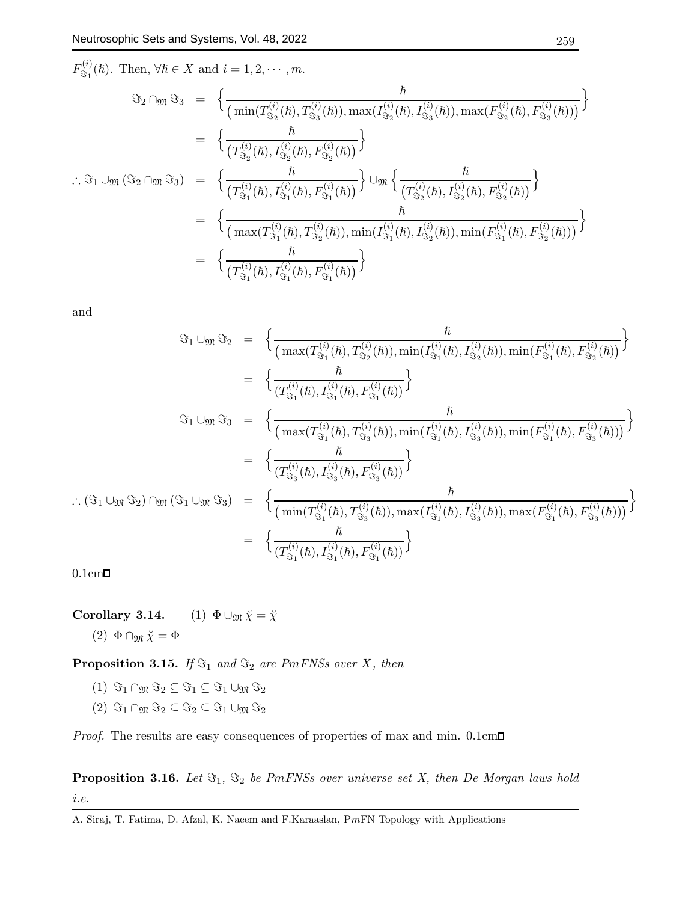$$
F_{\Im_1}^{(i)}(\hbar). \text{ Then, } \forall \hbar \in X \text{ and } i = 1, 2, \dots, m.
$$
  

$$
\Im_2 \cap_{\mathfrak{M}} \Im_3 = \left\{ \frac{\hbar}{\left(\min(T_{\Im_2}^{(i)}(\hbar), T_{\Im_3}^{(i)}(\hbar)), \max(T_{\Im_2}^{(i)}(\hbar), T_{\Im_3}^{(i)}(\hbar)), \max(F_{\Im_2}^{(i)}(\hbar), F_{\Im_3}^{(i)}(\hbar))\right)} \right\}
$$
  

$$
= \left\{ \frac{\hbar}{\left(T_{\Im_2}^{(i)}(\hbar), T_{\Im_2}^{(i)}(\hbar), F_{\Im_2}^{(i)}(\hbar)\right)} \right\}
$$
  

$$
\therefore \Im_1 \cup_{\mathfrak{M}} (\Im_2 \cap_{\mathfrak{M}} \Im_3) = \left\{ \frac{\hbar}{\left(T_{\Im_1}^{(i)}(\hbar), T_{\Im_1}^{(i)}(\hbar), F_{\Im_1}^{(i)}(\hbar))}\right\} \cup_{\mathfrak{M}} \left\{ \frac{\hbar}{\left(T_{\Im_2}^{(i)}(\hbar), T_{\Im_2}^{(i)}(\hbar), F_{\Im_2}^{(i)}(\hbar)\right)} \right\}
$$
  

$$
= \left\{ \frac{\hbar}{\left(\max(T_{\Im_1}^{(i)}(\hbar), T_{\Im_2}^{(i)}(\hbar)), \min(T_{\Im_1}^{(i)}(\hbar), T_{\Im_2}^{(i)}(\hbar)), \min(F_{\Im_1}^{(i)}(\hbar), F_{\Im_2}^{(i)}(\hbar))\right)} \right\}
$$
  

$$
= \left\{ \frac{\hbar}{\left(T_{\Im_1}^{(i)}(\hbar), T_{\Im_1}^{(i)}(\hbar), F_{\Im_1}^{(i)}(\hbar)\right)} \right\}
$$

and

$$
\Im_1 \cup_{\mathfrak{M}} \Im_2 = \left\{ \frac{\hbar}{\left( \max(T_{\Im_1}^{(i)}(\hbar), T_{\Im_2}^{(i)}(\hbar), \min(T_{\Im_1}^{(i)}(\hbar), T_{\Im_2}^{(i)}(\hbar)), \min(F_{\Im_1}^{(i)}(\hbar), F_{\Im_2}^{(i)}(\hbar)) \right\} \n= \left\{ \frac{\hbar}{(T_{\Im_1}^{(i)}(\hbar), T_{\Im_1}^{(i)}(\hbar), F_{\Im_1}^{(i)}(\hbar))} \right\} \n\Im_1 \cup_{\mathfrak{M}} \Im_3 = \left\{ \frac{\hbar}{\left( \max(T_{\Im_1}^{(i)}(\hbar), T_{\Im_3}^{(i)}(\hbar)), \min(T_{\Im_1}^{(i)}(\hbar), T_{\Im_3}^{(i)}(\hbar)), \min(F_{\Im_1}^{(i)}(\hbar), F_{\Im_3}^{(i)}(\hbar)) \right)} \right\} \n= \left\{ \frac{\hbar}{(T_{\Im_3}^{(i)}(\hbar), T_{\Im_3}^{(i)}(\hbar), F_{\Im_3}^{(i)}(\hbar))} \right\} \n\therefore (\Im_1 \cup_{\mathfrak{M}} \Im_2) \cap_{\mathfrak{M}} (\Im_1 \cup_{\mathfrak{M}} \Im_3) = \left\{ \frac{\hbar}{\left( \min(T_{\Im_1}^{(i)}(\hbar), T_{\Im_3}^{(i)}(\hbar)), \max(T_{\Im_1}^{(i)}(\hbar), T_{\Im_3}^{(i)}(\hbar)), \max(F_{\Im_1}^{(i)}(\hbar), F_{\Im_3}^{(i)}(\hbar)) \right)} \right\} \n= \left\{ \frac{\hbar}{(T_{\Im_1}^{(i)}(\hbar), T_{\Im_1}^{(i)}(\hbar), F_{\Im_1}^{(i)}(\hbar))} \right\}
$$

 $0.1cm\Box$ 

Corollary 3.14. (1)  $\Phi \cup_{\mathfrak{M}} \breve{\chi} = \breve{\chi}$ 

(2)  $\Phi \cap \mathfrak{M} \check{\chi} = \Phi$ 

**Proposition 3.15.** If  $\Im_1$  and  $\Im_2$  are PmFNSs over X, then

- (1)  $\Im_1 \cap_{\mathfrak{M}} \Im_2 \subseteq \Im_1 \subseteq \Im_1 \cup_{\mathfrak{M}} \Im_2$
- (2)  $\Im_1 \cap_{\mathfrak{M}} \Im_2 \subseteq \Im_2 \subseteq \Im_1 \cup_{\mathfrak{M}} \Im_2$

*Proof.* The results are easy consequences of properties of max and min.  $0.1 \text{cm}$ 

**Proposition 3.16.** Let  $\Im_1$ ,  $\Im_2$  be PmFNSs over universe set X, then De Morgan laws hold i.e.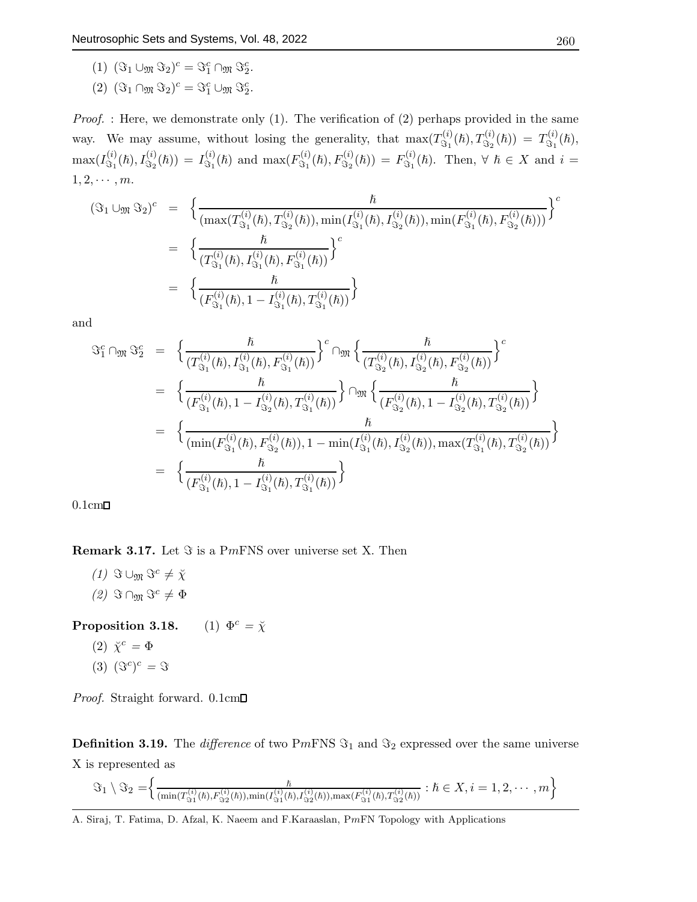- (1)  $(\Im_1 \cup_{\mathfrak{M}} \Im_2)^c = \Im_1^c \cap_{\mathfrak{M}} \Im_2^c$ .
- (2)  $(\Im_1 \cap_{\mathfrak{M}} \Im_2)^c = \Im_1^c \cup_{\mathfrak{M}} \Im_2^c$ .

*Proof.* : Here, we demonstrate only  $(1)$ . The verification of  $(2)$  perhaps provided in the same way. We may assume, without losing the generality, that  $\max(T_{\mathcal{S}_1}^{(i)})$  $T^{(i)}_{\Im_1}(\hbar), T^{(i)}_{\Im_2}(\hbar)) = T^{(i)}_{\Im_1}$  $\mathfrak{S}_1^{(i)}(\hslash),$  $\max(I_{\Im_1}^{(i)}$  $J^{(i)}_{\Im_1}(\hbar),I^{(i)}_{\Im_2}(\hbar))\,=\,I^{(i)}_{\Im_1}$  $\mathcal{L}_{\Im_1}^{(i)}(\hbar)$  and  $\max(F_{\Im_1}^{(i)})$  $F^{(i)}_{\Im_1}(\hbar), F^{(i)}_{\Im_2}(\hbar)) = F^{(i)}_{\Im_1}$  $\mathfrak{S}_1^{(i)}(\hslash)$ . Then,  $\forall \hslash \in X$  and  $i =$  $1, 2, \cdots, m$ .

$$
(\Im_1 \cup_{\mathfrak{M}} \Im_2)^c = \left\{ \frac{\hbar}{(\max(T_{\Im_1}^{(i)}(\hbar), T_{\Im_2}^{(i)}(\hbar)), \min(T_{\Im_1}^{(i)}(\hbar), T_{\Im_2}^{(i)}(\hbar)), \min(F_{\Im_1}^{(i)}(\hbar), F_{\Im_2}^{(i)}(\hbar)))} \right\}^c
$$
  

$$
= \left\{ \frac{\hbar}{(T_{\Im_1}^{(i)}(\hbar), T_{\Im_1}^{(i)}(\hbar), F_{\Im_1}^{(i)}(\hbar))} \right\}^c
$$
  

$$
= \left\{ \frac{\hbar}{(F_{\Im_1}^{(i)}(\hbar), 1 - I_{\Im_1}^{(i)}(\hbar), T_{\Im_1}^{(i)}(\hbar))} \right\}
$$

and

$$
\begin{array}{rcl}\n\mathfrak{S}_{1}^{c} \cap_{\mathfrak{M}} \mathfrak{S}_{2}^{c} &=& \bigg\{ \frac{\hbar}{(T_{\mathfrak{S}_{1}}^{(i)}(\hbar), I_{\mathfrak{S}_{1}}^{(i)}(\hbar), F_{\mathfrak{S}_{1}}^{(i)}(\hbar))} \bigg\}^{c} \cap_{\mathfrak{M}} \bigg\{ \frac{\hbar}{(T_{\mathfrak{S}_{2}}^{(i)}(\hbar), I_{\mathfrak{S}_{2}}^{(i)}(\hbar), F_{\mathfrak{S}_{2}}^{(i)}(\hbar))} \bigg\}^{c} \\
&=& \bigg\{ \frac{\hbar}{(F_{\mathfrak{S}_{1}}^{(i)}(\hbar), 1 - I_{\mathfrak{S}_{2}}^{(i)}(\hbar), T_{\mathfrak{S}_{1}}^{(i)}(\hbar))} \bigg\} \cap_{\mathfrak{M}} \bigg\{ \frac{\hbar}{(F_{\mathfrak{S}_{2}}^{(i)}(\hbar), 1 - I_{\mathfrak{S}_{2}}^{(i)}(\hbar), T_{\mathfrak{S}_{2}}^{(i)}(\hbar))} \bigg\} \\
&=& \bigg\{ \frac{\hbar}{(\min(F_{\mathfrak{S}_{1}}^{(i)}(\hbar), F_{\mathfrak{S}_{2}}^{(i)}(\hbar)), 1 - \min(I_{\mathfrak{S}_{1}}^{(i)}(\hbar), I_{\mathfrak{S}_{2}}^{(i)}(\hbar)), \max(T_{\mathfrak{S}_{1}}^{(i)}(\hbar), T_{\mathfrak{S}_{2}}^{(i)}(\hbar))} \bigg\} \\
&=& \bigg\{ \frac{\hbar}{(F_{\mathfrak{S}_{1}}^{(i)}(\hbar), 1 - I_{\mathfrak{S}_{1}}^{(i)}(\hbar), T_{\mathfrak{S}_{1}}^{(i)}(\hbar))} \bigg\} \\
\end{array}
$$

 $0.1cm\Box$ 

**Remark 3.17.** Let  $\Im$  is a PmFNS over universe set X. Then

(1)  $\Im \cup_{\mathfrak{M}} \Im^c \neq \chi$ (2)  $\Im$  ∩ $\mathfrak{M}$   $\Im$ <sup>c</sup> ≠  $\Phi$ 

**Proposition 3.18.** (1)  $\Phi^c = \check{\chi}$ 

- $(2)$   $\breve{\chi}^c = \Phi$
- $(3)$   $(\Im^c)^c = \Im$

Proof. Straight forward. 0.1cm

**Definition 3.19.** The *difference* of two PmFNS  $\Im_1$  and  $\Im_2$  expressed over the same universe X is represented as

$$
\Im_1 \setminus \Im_2 = \left\{ \frac{\hbar}{(\min(T_{\Im_1}^{(i)}(\hbar), F_{\Im_2}^{(i)}(\hbar)), \min(I_{\Im_1}^{(i)}(\hbar), I_{\Im_2}^{(i)}(\hbar)), \max(F_{\Im_1}^{(i)}(\hbar), T_{\Im_2}^{(i)}(\hbar))} : \hbar \in X, i = 1, 2, \cdots, m \right\}
$$

A. Siraj, T. Fatima, D. Afzal, K. Naeem and F.Karaaslan, PmFN Topology with Applications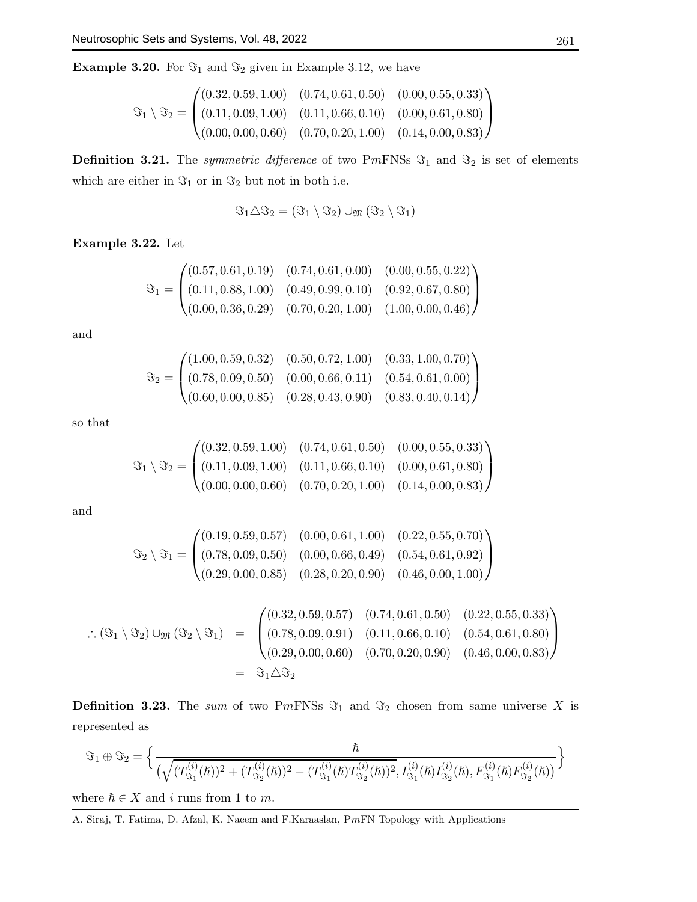**Example 3.20.** For  $\Im_1$  and  $\Im_2$  given in Example 3.12, we have

$$
\mathfrak{S}_1 \setminus \mathfrak{S}_2 = \begin{pmatrix} (0.32, 0.59, 1.00) & (0.74, 0.61, 0.50) & (0.00, 0.55, 0.33) \\ (0.11, 0.09, 1.00) & (0.11, 0.66, 0.10) & (0.00, 0.61, 0.80) \\ (0.00, 0.00, 0.60) & (0.70, 0.20, 1.00) & (0.14, 0.00, 0.83) \end{pmatrix}
$$

**Definition 3.21.** The *symmetric difference* of two PmFNSs  $\Im_1$  and  $\Im_2$  is set of elements which are either in  $\Im_1$  or in  $\Im_2$  but not in both i.e.

$$
\Im_1 \triangle \Im_2 = (\Im_1 \setminus \Im_2) \cup_{\mathfrak{M}} (\Im_2 \setminus \Im_1)
$$

Example 3.22. Let

$$
\mathfrak{S}_1 = \begin{pmatrix} (0.57, 0.61, 0.19) & (0.74, 0.61, 0.00) & (0.00, 0.55, 0.22) \\ (0.11, 0.88, 1.00) & (0.49, 0.99, 0.10) & (0.92, 0.67, 0.80) \\ (0.00, 0.36, 0.29) & (0.70, 0.20, 1.00) & (1.00, 0.00, 0.46) \end{pmatrix}
$$

and

$$
\mathfrak{S}_2 = \begin{pmatrix} (1.00, 0.59, 0.32) & (0.50, 0.72, 1.00) & (0.33, 1.00, 0.70) \\ (0.78, 0.09, 0.50) & (0.00, 0.66, 0.11) & (0.54, 0.61, 0.00) \\ (0.60, 0.00, 0.85) & (0.28, 0.43, 0.90) & (0.83, 0.40, 0.14) \end{pmatrix}
$$

so that

$$
\mathfrak{S}_1 \setminus \mathfrak{S}_2 = \begin{pmatrix} (0.32, 0.59, 1.00) & (0.74, 0.61, 0.50) & (0.00, 0.55, 0.33) \\ (0.11, 0.09, 1.00) & (0.11, 0.66, 0.10) & (0.00, 0.61, 0.80) \\ (0.00, 0.00, 0.60) & (0.70, 0.20, 1.00) & (0.14, 0.00, 0.83) \end{pmatrix}
$$

and

$$
\Im_2 \setminus \Im_1 = \begin{pmatrix} (0.19, 0.59, 0.57) & (0.00, 0.61, 1.00) & (0.22, 0.55, 0.70) \\ (0.78, 0.09, 0.50) & (0.00, 0.66, 0.49) & (0.54, 0.61, 0.92) \\ (0.29, 0.00, 0.85) & (0.28, 0.20, 0.90) & (0.46, 0.00, 1.00) \end{pmatrix}
$$

$$
\therefore (\Im_1 \setminus \Im_2) \cup_{\mathfrak{M}} (\Im_2 \setminus \Im_1) = \begin{pmatrix} (0.32, 0.59, 0.57) & (0.74, 0.61, 0.50) & (0.22, 0.55, 0.33) \\ (0.78, 0.09, 0.91) & (0.11, 0.66, 0.10) & (0.54, 0.61, 0.80) \\ (0.29, 0.00, 0.60) & (0.70, 0.20, 0.90) & (0.46, 0.00, 0.83) \end{pmatrix}
$$
  
=  $\Im_1 \triangle \Im_2$ 

**Definition 3.23.** The sum of two PmFNSs  $\Im_1$  and  $\Im_2$  chosen from same universe X is represented as

$$
\Im_1 \oplus \Im_2 = \Big\{ \frac{\hbar}{(\sqrt{(T_{\Im_1}^{(i)}(\hbar))^2 + (T_{\Im_2}^{(i)}(\hbar))^2 - (T_{\Im_1}^{(i)}(\hbar)T_{\Im_2}^{(i)}(\hbar))^2}, I_{\Im_1}^{(i)}(\hbar)I_{\Im_2}^{(i)}(\hbar), F_{\Im_1}^{(i)}(\hbar)F_{\Im_2}^{(i)}(\hbar))} \Big\}
$$

where  $\hbar \in X$  and i runs from 1 to m.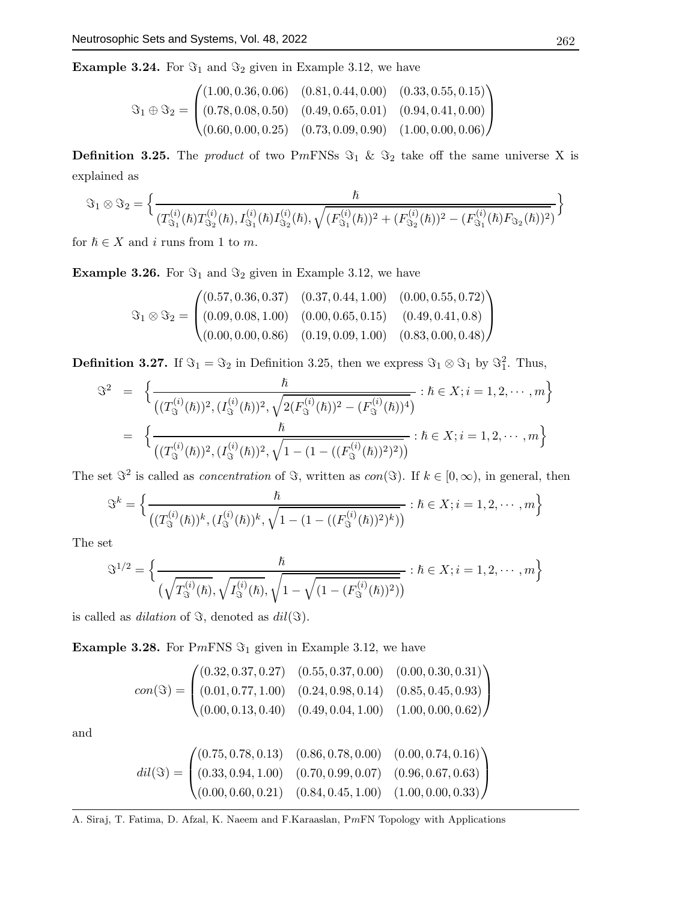**Example 3.24.** For  $\Im_1$  and  $\Im_2$  given in Example 3.12, we have

$$
\mathfrak{S}_1 \oplus \mathfrak{S}_2 = \begin{pmatrix} (1.00, 0.36, 0.06) & (0.81, 0.44, 0.00) & (0.33, 0.55, 0.15) \\ (0.78, 0.08, 0.50) & (0.49, 0.65, 0.01) & (0.94, 0.41, 0.00) \\ (0.60, 0.00, 0.25) & (0.73, 0.09, 0.90) & (1.00, 0.00, 0.06) \end{pmatrix}
$$

**Definition 3.25.** The *product* of two PmFNSs  $\Im_1 \& \Im_2$  take off the same universe X is explained as

$$
\Im_1 \otimes \Im_2 = \Big\{ \frac{\hbar}{(T_{\Im_1}^{(i)}(\hbar)T_{\Im_2}^{(i)}(\hbar), I_{\Im_1}^{(i)}(\hbar)I_{\Im_2}^{(i)}(\hbar), \sqrt{(F_{\Im_1}^{(i)}(\hbar))^2 + (F_{\Im_2}^{(i)}(\hbar))^2 - (F_{\Im_1}^{(i)}(\hbar)F_{\Im_2}(\hbar))^2)}} \Big\}
$$

for  $\hbar \in X$  and i runs from 1 to m.

**Example 3.26.** For  $\Im_1$  and  $\Im_2$  given in Example 3.12, we have

$$
\Im_1 \otimes \Im_2 = \begin{pmatrix}\n(0.57, 0.36, 0.37) & (0.37, 0.44, 1.00) & (0.00, 0.55, 0.72) \\
(0.09, 0.08, 1.00) & (0.00, 0.65, 0.15) & (0.49, 0.41, 0.8) \\
(0.00, 0.00, 0.86) & (0.19, 0.09, 1.00) & (0.83, 0.00, 0.48)\n\end{pmatrix}
$$

**Definition 3.27.** If  $\Im_1 = \Im_2$  in Definition 3.25, then we express  $\Im_1 \otimes \Im_1$  by  $\Im_1^2$ . Thus,

$$
\mathcal{S}^{2} = \left\{ \frac{\hbar}{\left( (T_{\mathcal{S}}^{(i)}(\hbar))^{2}, (I_{\mathcal{S}}^{(i)}(\hbar))^{2}, \sqrt{2(F_{\mathcal{S}}^{(i)}(\hbar))^{2} - (F_{\mathcal{S}}^{(i)}(\hbar))^{4}} \right)} : \hbar \in X; i = 1, 2, \cdots, m \right\}
$$

$$
= \left\{ \frac{\hbar}{\left( (T_{\mathcal{S}}^{(i)}(\hbar))^{2}, (I_{\mathcal{S}}^{(i)}(\hbar))^{2}, \sqrt{1 - (1 - ((F_{\mathcal{S}}^{(i)}(\hbar))^{2})^{2})} \right)} : \hbar \in X; i = 1, 2, \cdots, m \right\}
$$

The set  $\mathcal{S}^2$  is called as *concentration* of  $\mathcal{S}$ , written as  $con(\mathcal{S})$ . If  $k \in [0,\infty)$ , in general, then

$$
\mathbb{S}^{k} = \left\{ \frac{\hbar}{\left( (T_{\mathbb{S}}^{(i)}(\hbar))^{k}, (I_{\mathbb{S}}^{(i)}(\hbar))^{k}, \sqrt{1 - (1 - ((F_{\mathbb{S}}^{(i)}(\hbar))^{2})^{k})} \right)} : \hbar \in X; i = 1, 2, \cdots, m \right\}
$$

The set

$$
\mathbb{S}^{1/2} = \left\{ \frac{\hbar}{\left(\sqrt{T_{\mathbb{S}}^{(i)}(\hbar)}, \sqrt{I_{\mathbb{S}}^{(i)}(\hbar)}, \sqrt{1 - \sqrt{(1 - (F_{\mathbb{S}}^{(i)}(\hbar))^2)}}\right)} : \hbar \in X; i = 1, 2, \cdots, m \right\}
$$

is called as *dilation* of  $\Im$ , denoted as  $dil(\Im)$ .

**Example 3.28.** For PmFNS  $\Im_1$  given in Example 3.12, we have

$$
con(\Im) = \begin{pmatrix} (0.32, 0.37, 0.27) & (0.55, 0.37, 0.00) & (0.00, 0.30, 0.31) \\ (0.01, 0.77, 1.00) & (0.24, 0.98, 0.14) & (0.85, 0.45, 0.93) \\ (0.00, 0.13, 0.40) & (0.49, 0.04, 1.00) & (1.00, 0.00, 0.62) \end{pmatrix}
$$

and

$$
dil(\mathfrak{F}) = \begin{pmatrix} (0.75, 0.78, 0.13) & (0.86, 0.78, 0.00) & (0.00, 0.74, 0.16) \\ (0.33, 0.94, 1.00) & (0.70, 0.99, 0.07) & (0.96, 0.67, 0.63) \\ (0.00, 0.60, 0.21) & (0.84, 0.45, 1.00) & (1.00, 0.00, 0.33) \end{pmatrix}
$$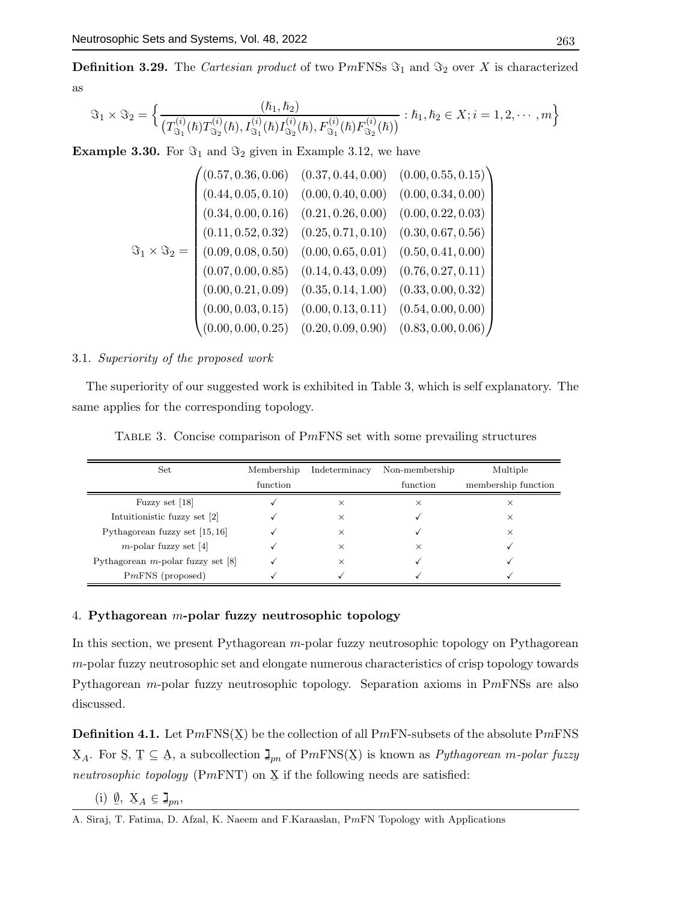**Definition 3.29.** The Cartesian product of two PmFNSs  $\Im_1$  and  $\Im_2$  over X is characterized as

$$
\Im_1 \times \Im_2 = \left\{ \frac{(\hbar_1, \hbar_2)}{(T_{\Im_1}^{(i)}(\hbar)T_{\Im_2}^{(i)}(\hbar), I_{\Im_1}^{(i)}(\hbar)I_{\Im_2}^{(i)}(\hbar), F_{\Im_1}^{(i)}(\hbar)F_{\Im_2}^{(i)}(\hbar))} : \hbar_1, \hbar_2 \in X; i = 1, 2, \cdots, m \right\}
$$

**Example 3.30.** For  $\Im_1$  and  $\Im_2$  given in Example 3.12, we have

$$
\mathfrak{F}_1 \times \mathfrak{F}_2 = \begin{pmatrix}\n(0.57, 0.36, 0.06) & (0.37, 0.44, 0.00) & (0.00, 0.55, 0.15) \\
(0.44, 0.05, 0.10) & (0.00, 0.40, 0.00) & (0.00, 0.34, 0.00) \\
(0.34, 0.00, 0.16) & (0.21, 0.26, 0.00) & (0.00, 0.22, 0.03) \\
(0.11, 0.52, 0.32) & (0.25, 0.71, 0.10) & (0.30, 0.67, 0.56) \\
(0.09, 0.08, 0.50) & (0.00, 0.65, 0.01) & (0.50, 0.41, 0.00) \\
(0.07, 0.00, 0.85) & (0.14, 0.43, 0.09) & (0.76, 0.27, 0.11) \\
(0.00, 0.21, 0.09) & (0.35, 0.14, 1.00) & (0.33, 0.00, 0.32) \\
(0.00, 0.03, 0.15) & (0.00, 0.13, 0.11) & (0.54, 0.00, 0.00) \\
(0.00, 0.00, 0.25) & (0.20, 0.09, 0.90) & (0.83, 0.00, 0.06)\n\end{pmatrix}
$$

#### 3.1. Superiority of the proposed work

The superiority of our suggested work is exhibited in Table 3, which is self explanatory. The same applies for the corresponding topology.

Table 3. Concise comparison of PmFNS set with some prevailing structures

| Set                                  | Membership | Indeterminacy | Non-membership | Multiple            |
|--------------------------------------|------------|---------------|----------------|---------------------|
|                                      | function   |               | function       | membership function |
| Fuzzy set [18]                       |            | $\times$      | $\times$       | ×                   |
| Intuitionistic fuzzy set [2]         |            | $\times$      |                | ×                   |
| Pythagorean fuzzy set $[15, 16]$     |            | X             |                | ×                   |
| $m$ -polar fuzzy set [4]             |            | X             | ×              |                     |
| Pythagorean $m$ -polar fuzzy set [8] |            | $\times$      |                |                     |
| $PmFNS$ (proposed)                   |            |               |                |                     |

# 4. Pythagorean m-polar fuzzy neutrosophic topology

In this section, we present Pythagorean m-polar fuzzy neutrosophic topology on Pythagorean m-polar fuzzy neutrosophic set and elongate numerous characteristics of crisp topology towards Pythagorean m-polar fuzzy neutrosophic topology. Separation axioms in PmFNSs are also discussed.

**Definition 4.1.** Let  $PmFNS(X)$  be the collection of all  $PmFN$ -subsets of the absolute  $PmFNS$  $X_A$ . For S, T  $\subseteq A$ , a subcollection  $\mathbf{I}_{pn}$  of  $PmFNS(X)$  is known as *Pythagorean m-polar fuzzy* neutrosophic topology (P $m$ FNT) on  $\underline{X}$  if the following needs are satisfied:

(i) 
$$
\underline{\emptyset}
$$
,  $\underline{X}_A \in \mathbb{I}_{pn}$ ,

A. Siraj, T. Fatima, D. Afzal, K. Naeem and F.Karaaslan, PmFN Topology with Applications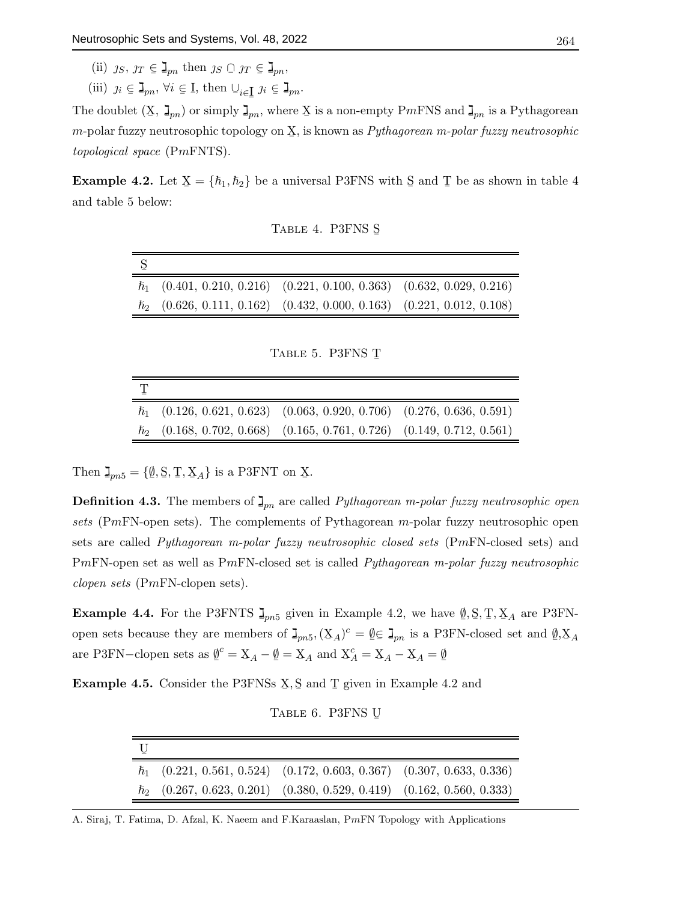- (ii)  $j_S, j_T \in \mathbb{J}_{pn}$  then  $j_S \cap j_T \in \mathbb{J}_{pn}$ ,
- (iii)  $j_i \in \mathbb{I}_{pn}, \forall i \in \mathbb{I}, \text{ then } \cup_{i \in \mathbb{I}} j_i \in \mathbb{I}_{pn}.$

¯ The doublet  $(\mathbf{X}, \mathbf{I}_{pn})$  or simply  $\mathbf{I}_{pn}$ , where X is a non-empty PmFNS and  $\mathbf{I}_{pn}$  is a Pythagorean m-polar fuzzy neutrosophic topology on  $\Sigma$ , is known as  $Pythagorean$  m-polar fuzzy neutrosophic topological space (PmFNTS).

**Example 4.2.** Let  $X = \{\hbar_1, \hbar_2\}$  be a universal P3FNS with S and T be as shown in table 4 and table 5 below:

TABLE 4. P3FNS S

| $\hbar_1$ (0.401, 0.210, 0.216) (0.221, 0.100, 0.363) (0.632, 0.029, 0.216) |  |
|-----------------------------------------------------------------------------|--|
| $\hbar_2$ (0.626, 0.111, 0.162) (0.432, 0.000, 0.163) (0.221, 0.012, 0.108) |  |

TABLE 5. P3FNS T

| $\hbar_1$ (0.126, 0.621, 0.623) (0.063, 0.920, 0.706) (0.276, 0.636, 0.591) |  |
|-----------------------------------------------------------------------------|--|
| $\hbar_2$ (0.168, 0.702, 0.668) (0.165, 0.761, 0.726) (0.149, 0.712, 0.561) |  |

Then  $\mathbf{I}_{pn5} = {\emptyset, \mathbf{S}, \mathbf{T}, \mathbf{X}_A}$  is a P3FNT on X.

**Definition 4.3.** The members of  $\mathbf{I}_{pn}$  are called *Pythagorean m-polar fuzzy neutrosophic open* sets (PmFN-open sets). The complements of Pythagorean m-polar fuzzy neutrosophic open sets are called Pythagorean m-polar fuzzy neutrosophic closed sets (PmFN-closed sets) and PmFN-open set as well as PmFN-closed set is called *Pythagorean m-polar fuzzy neutrosophic* clopen sets (PmFN-clopen sets).

**Example 4.4.** For the P3FNTS  $\mathbf{J}_{pn5}$  given in Example 4.2, we have  $\mathbf{0}, \mathbf{S}, \mathbf{T}, \mathbf{X}_A$  are P3FN- $\tilde{a}$ open sets because they are members of  $\mathbf{I}_{pn5}$ ,  $(\mathbf{X}_A)^c = \mathbf{0} \in \mathbf{I}_{pn}$  is a P3FN-closed set and  $\mathbf{0}$  $=$ pn $\overline{5}$   $\overline{5}$   $\overline{5}$   $\overline{5}$   $\overline{5}$   $\overline{5}$   $\overline{5}$   $\overline{5}$   $\overline{5}$   $\overline{5}$   $\overline{5}$   $\overline{5}$   $\overline{5}$   $\overline{5}$   $\overline{5}$   $\overline{5}$   $\overline{5}$   $\overline{5}$   $\overline{5}$   $\overline{5}$   $\overline{5}$   $\overline{5}$   $\overline{5}$   $\overline{5}$   $, X_A$ are P3FN–clopen sets as  $\underline{\emptyset}^c = \underline{X}_A - \underline{\emptyset} = \underline{X}_A$  and  $\underline{X}$  $C_A^c = \underline{X}_A - \underline{X}_A = \underline{\emptyset}$ 

**Example 4.5.** Consider the P3FNSs  $\underline{X}, \underline{S}$  and  $\underline{T}$  given in Example 4.2 and

TABLE 6. P3FNS U

| $\hbar_1$ (0.221, 0.561, 0.524) (0.172, 0.603, 0.367) (0.307, 0.633, 0.336) |  |
|-----------------------------------------------------------------------------|--|
| $\hbar_2$ (0.267, 0.623, 0.201) (0.380, 0.529, 0.419) (0.162, 0.560, 0.333) |  |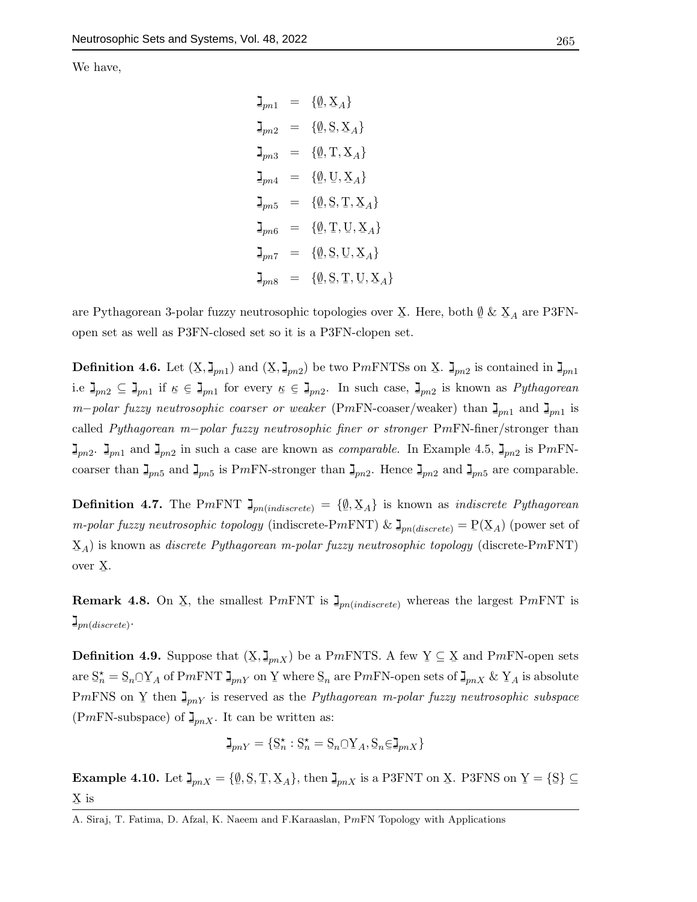We have,

$$
\mathbf{I}_{pn1} = \{ \emptyset, \mathbf{X}_A \}
$$
\n
$$
\mathbf{I}_{pn2} = \{ \emptyset, \mathbf{S}, \mathbf{X}_A \}
$$
\n
$$
\mathbf{I}_{pn3} = \{ \emptyset, \mathbf{T}, \mathbf{X}_A \}
$$
\n
$$
\mathbf{I}_{pn4} = \{ \emptyset, \mathbf{U}, \mathbf{X}_A \}
$$
\n
$$
\mathbf{I}_{pn5} = \{ \emptyset, \mathbf{S}, \mathbf{T}, \mathbf{X}_A \}
$$
\n
$$
\mathbf{I}_{pn6} = \{ \emptyset, \mathbf{T}, \mathbf{U}, \mathbf{X}_A \}
$$
\n
$$
\mathbf{I}_{pn7} = \{ \emptyset, \mathbf{S}, \mathbf{U}, \mathbf{X}_A \}
$$
\n
$$
\mathbf{I}_{pn8} = \{ \emptyset, \mathbf{S}, \mathbf{T}, \mathbf{U}, \mathbf{X}_A \}
$$

are Pythagorean 3-polar fuzzy neutrosophic topologies over  $\underline{X}$ . Here, both  $\underline{\emptyset}$  &  $\underline{X}_A$  are P3FNopen set as well as P3FN-closed set so it is a P3FN-clopen set.

**Definition 4.6.** Let  $(X, \mathbf{J}_{pn1})$  and  $(X, \mathbf{J}_{pn2})$  be two P*mFNTSs* on X.  $\mathbf{J}_{pn2}$  is contained in  $\mathbf{J}_{pn1}$ i.e  $\mathbf{I}_{pn2} \subseteq \mathbf{I}_{pn1}$  if  $\kappa \in \mathbf{I}_{pn1}$  for every  $\kappa \in \mathbf{I}_{pn2}$ . In such case,  $\mathbf{I}_{pn2}$  is known as *Pythagorean* m−polar fuzzy neutrosophic coarser or weaker (PmFN-coaser/weaker) than  $\mathbb{I}_{pn1}$  and  $\mathbb{I}_{pn1}$  is called Pythagorean m−polar fuzzy neutrosophic finer or stronger PmFN-finer/stronger than  $\mathbf{I}_{pn2}$ .  $\mathbf{I}_{pn1}$  and  $\mathbf{I}_{pn2}$  in such a case are known as *comparable*. In Example 4.5,  $\mathbf{I}_{pn2}$  is PmFNcoarser than  $\mathbf{I}_{pn5}$  and  $\mathbf{I}_{pn5}$  is PmFN-stronger than  $\mathbf{I}_{pn2}$ . Hence  $\mathbf{I}_{pn2}$  and  $\mathbf{I}_{pn5}$  are comparable.

**Definition 4.7.** The P*m*FNT  $\mathbf{I}_{pn (indiscrete)} = \{ \underline{\emptyset}$  $\{X_A\}$  is known as *indiscrete Pythagorean m-polar fuzzy neutrosophic topology* (indiscrete-P*mFNT*) &  $\mathbf{I}_{pn(discrete)} = P(\mathbf{X}_A)$  (power set of  $\mathbf{X}_A$ ) is known as *discrete Pythagorean m-polar fuzzy neutrosophic topology* (discrete-PmFNT) over X ¯ .

**Remark 4.8.** On  $\underline{X}$ , the smallest PmFNT is  $\mathbf{I}_{pn (indiscrete)}$  whereas the largest PmFNT is  $\mathsf{I}_{pn(discrete)}$ .

**Definition 4.9.** Suppose that  $(\underline{X}, \underline{I}_{pnX})$  be a PmFNTS. A few  $\underline{Y} \subseteq \underline{X}$  and PmFN-open sets are S ¯  $\zeta_n^* = \underline{S}_n \cap \underline{Y}_A$  of PmFNT  $\mathbf{I}_{pnY}$  on Y where  $\underline{S}_n$  are PmFN-open sets of  $\mathbf{I}_{pnX}$  &  $\underline{Y}_A$  is absolute PmFNS on Y then  $\mathbf{I}_{pnY}$  is reserved as the *Pythagorean m-polar fuzzy neutrosophic subspace* (PmFN-subspace) of  $\mathbf{I}_{pnX}$ . It can be written as:

$$
\mathbf{I}_{pnY} = \{ \mathbf{S}_n^{\star} : \mathbf{S}_n^{\star} = \mathbf{S}_n \cap \mathbf{Y}_A, \mathbf{S}_n \in \mathbf{I}_{pnX} \}
$$

Example 4.10. Let  $\mathbf{I}_{pnX} = \{ \underline{\emptyset}$  $\{S, \underline{T}, X_A\}$ , then  $\mathbf{I}_{pnX}$  is a P3FNT on X. P3FNS on  $\underline{Y} = {\{\underline{S}\}} \subseteq$ X is

A. Siraj, T. Fatima, D. Afzal, K. Naeem and F.Karaaslan, PmFN Topology with Applications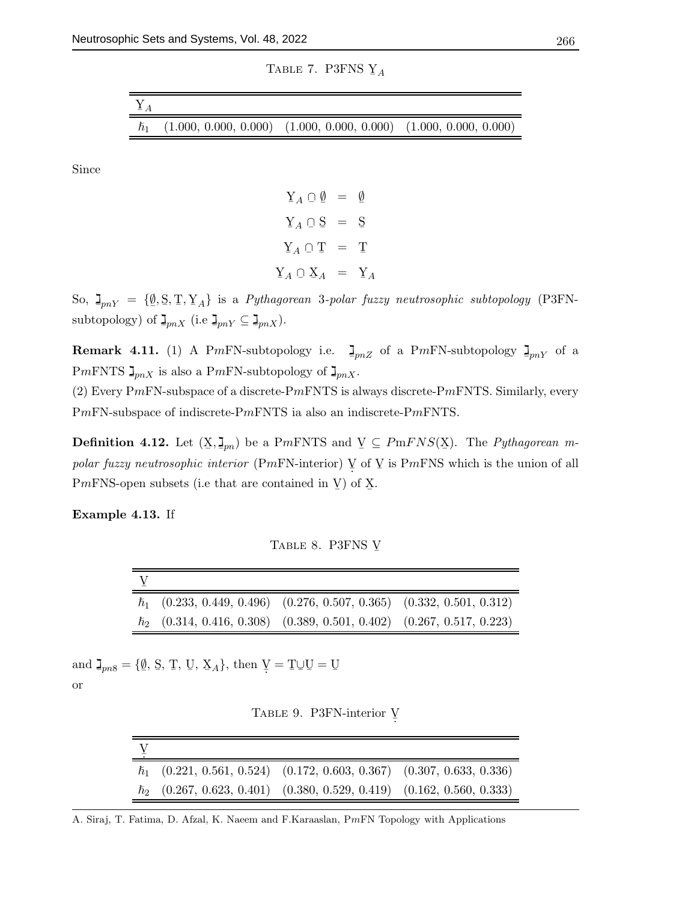TABLE 7. P3FNS  $Y_A$ 

| $\sum_{A}$ |                                                                             |  |
|------------|-----------------------------------------------------------------------------|--|
|            | $\hbar_1$ (1.000, 0.000, 0.000) (1.000, 0.000, 0.000) (1.000, 0.000, 0.000) |  |

Since

 $\mathbf{Y}_A \cap \emptyset = \emptyset$ ¯ ¯  $Y_A \cap S = S$  $\mathbf{Y}_A \cap \mathbf{T} = \mathbf{T}$  $\mathbf{Y}_A \cap \mathbf{X}_A = \mathbf{Y}_A$ 

So,  $\mathbf{I}_{pnY} = \{ \underline{\emptyset}, \underline{\mathbb{S}}, \underline{\mathbb{T}}, \underline{\mathbb{Y}}_A \}$  is a *Pythagorean 3-polar fuzzy neutrosophic subtopology* (P3FNsubtopology) of  $\mathbf{I}_{pnX}$  (i.e  $\mathbf{I}_{pnY} \subseteq \mathbf{I}_{pnX}$ ).

**Remark 4.11.** (1) A PmFN-subtopology i.e.  $\mathbf{I}_{pnZ}$  of a PmFN-subtopology  $\mathbf{I}_{pnY}$  of a PmFNTS  $\mathbf{J}_{pnX}$  is also a PmFN-subtopology of  $\mathbf{J}_{pnX}$ .

(2) Every PmFN-subspace of a discrete-PmFNTS is always discrete-PmFNTS. Similarly, every PmFN-subspace of indiscrete-PmFNTS ia also an indiscrete-PmFNTS.

**Definition 4.12.** Let  $(X, \mathbf{I}_{pn})$  be a PmFNTS and  $Y \subseteq PmFNS(X)$ . The *Pythagorean m*polar fuzzy neutrosophic interior (PmFN-interior)  $\overline{V}$  of  $\overline{V}$  is PmFNS which is the union of all PmFNS-open subsets (i.e that are contained in  $\underline{V}$ ) of  $\underline{X}$ .

Example 4.13. If

TABLE 8. P3FNS Y

| $\hbar_1$ (0.233, 0.449, 0.496) (0.276, 0.507, 0.365) (0.332, 0.501, 0.312) |  |
|-----------------------------------------------------------------------------|--|
| $\hbar_2$ (0.314, 0.416, 0.308) (0.389, 0.501, 0.402) (0.267, 0.517, 0.223) |  |

and  $\mathbf{I}_{pn8} = \{ \underline{\emptyset}$  $\mathcal{S}, \mathcal{T}, \mathcal{U}, \mathcal{X}_A$ , then  $\mathcal{V} = \mathcal{T} \cup \mathcal{U} = \mathcal{U}$ 

or

| TABLE 9. P3FN-interior V |  |
|--------------------------|--|
|--------------------------|--|

|  | $\hbar_1$ (0.221, 0.561, 0.524) (0.172, 0.603, 0.367) (0.307, 0.633, 0.336) |                                                                             |
|--|-----------------------------------------------------------------------------|-----------------------------------------------------------------------------|
|  |                                                                             | $\hbar_2$ (0.267, 0.623, 0.401) (0.380, 0.529, 0.419) (0.162, 0.560, 0.333) |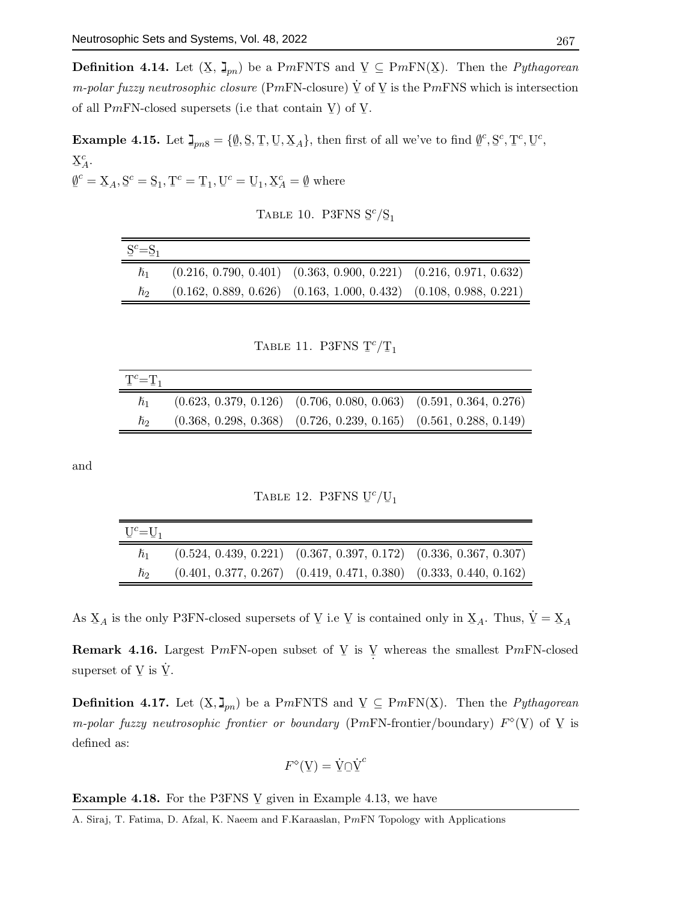**Definition 4.14.** Let  $(X, \mathbf{I}_{pn})$  be a PmFNTS and  $Y \subseteq PmFN(X)$ . Then the *Pythagorean m-polar fuzzy neutrosophic closure* (PmFN-closure)  $\dot{V}$  of  $V$  is the PmFNS which is intersection of all P*mFN*-closed supersets (i.e that contain  $\underline{V}$ ) of  $\underline{V}$ .

Example 4.15. Let  $\mathbf{I}_{pn8} = \{ \underline{\emptyset}$  $\{S, \mathcal{T}, \mathcal{U}, \mathcal{X}_A\}$ , then first of all we've to find  $\emptyset$  $\sim$ , S  $\mathfrak{c}, \mathfrak{T}$  $c, U$ c ,  $X_A^c$ . ¯

 $\emptyset$  $\tilde{z}$  $c^c = \underline{X}_A, \underline{S}^c = \underline{S}_1, \underline{T}^c = \underline{T}_1, \underline{U}^c = \underline{U}_1, \underline{X}$  $C_A^c = \emptyset$ where

|  | TABLE 10. P3FNS $S^c/S_1$ |  |
|--|---------------------------|--|
|  |                           |  |

| $S^c = S_1$          |                                                                         |                                                                         |
|----------------------|-------------------------------------------------------------------------|-------------------------------------------------------------------------|
| $\hbar$ <sup>1</sup> | $(0.216, 0.790, 0.401)$ $(0.363, 0.900, 0.221)$ $(0.216, 0.971, 0.632)$ |                                                                         |
| ħэ                   |                                                                         | $(0.162, 0.889, 0.626)$ $(0.163, 1.000, 0.432)$ $(0.108, 0.988, 0.221)$ |

TABLE 11. P3FNS T  $\binom{c}{1}$ 

| $T^c = T_1$ |                                                                         |  |
|-------------|-------------------------------------------------------------------------|--|
| $h_1$       | $(0.623, 0.379, 0.126)$ $(0.706, 0.080, 0.063)$ $(0.591, 0.364, 0.276)$ |  |
| ħэ          | $(0.368, 0.298, 0.368)$ $(0.726, 0.239, 0.165)$ $(0.561, 0.288, 0.149)$ |  |

and

TABLE 12. P3FNS U  $\binom{c}{1}$ 

| $U^c = U_1$ |                                                                         |  |
|-------------|-------------------------------------------------------------------------|--|
| $h_1$       | $(0.524, 0.439, 0.221)$ $(0.367, 0.397, 0.172)$ $(0.336, 0.367, 0.307)$ |  |
| ho          | $(0.401, 0.377, 0.267)$ $(0.419, 0.471, 0.380)$ $(0.333, 0.440, 0.162)$ |  |

As  $X_A$  is the only P3FN-closed supersets of  $Y$  i.e  $Y$  is contained only in  $X_A$ . Thus,  $\dot{Y} = X_A$ 

**Remark 4.16.** Largest PmFN-open subset of  $Y$  is  $\overline{Y}$  whereas the smallest PmFN-closed superset of  $\underline{V}$  is  $\underline{\dot{V}}$ .

**Definition 4.17.** Let  $(X, \mathbf{I}_{pn})$  be a PmFNTS and  $Y \subseteq PmFN(X)$ . Then the *Pythagorean* m-polar fuzzy neutrosophic frontier or boundary (PmFN-frontier/boundary)  $F^{\circ}(\underline{V})$  of  $\underline{V}$  is defined as:

$$
F^{\diamond}(\mathbf{Y}) = \dot{\mathbf{Y}} \cap \dot{\mathbf{Y}}^c
$$

**Example 4.18.** For the P3FNS  $\vee$  given in Example 4.13, we have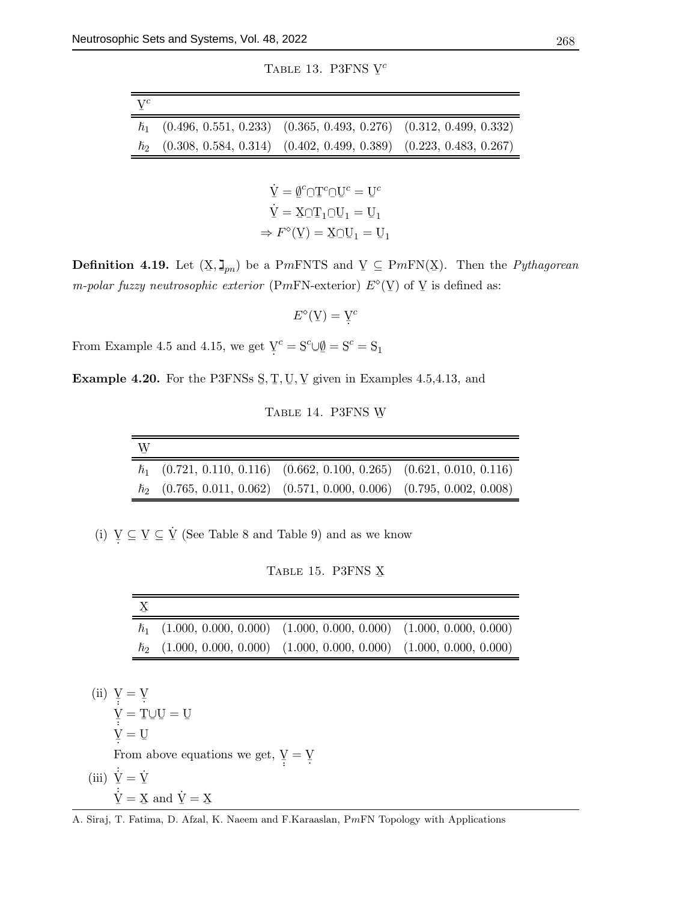TABLE 13. P3FNS Y c

| $\mathbf{V}^c$ |                                                                             |                                                                             |
|----------------|-----------------------------------------------------------------------------|-----------------------------------------------------------------------------|
|                | $\hbar_1$ (0.496, 0.551, 0.233) (0.365, 0.493, 0.276) (0.312, 0.499, 0.332) |                                                                             |
|                |                                                                             | $\hbar_2$ (0.308, 0.584, 0.314) (0.402, 0.499, 0.389) (0.223, 0.483, 0.267) |

$$
\dot{Y} = \underline{\emptyset}^c \cap T^c \cap U^c = U^c
$$

$$
\dot{Y} = X \cap T_1 \cap U_1 = U_1
$$

$$
\Rightarrow F^{\circ}(Y) = X \cap U_1 = U_1
$$

**Definition 4.19.** Let  $(X, \mathbf{I}_{pn})$  be a PmFNTS and  $Y \subseteq PmFN(X)$ . Then the *Pythagorean* m-polar fuzzy neutrosophic exterior (PmFN-exterior)  $E^{\diamond}(\Psi)$  of  $\Psi$  is defined as:

 $E^{\diamond}(\underline{V}) = \underline{V}^c$ 

From Example 4.5 and 4.15, we get  $\mathbf{V}^c = \mathbf{S}^c \cup \mathbf{V} = \mathbf{S}^c = \mathbf{S}_1$ 

**Example 4.20.** For the P3FNSs  $\mathcal{S}, \mathcal{T}, \mathcal{U}, \mathcal{V}$  given in Examples 4.5,4.13, and

TABLE 14. P3FNS W

| W |                                                                             |  |
|---|-----------------------------------------------------------------------------|--|
|   | $\hbar_1$ (0.721, 0.110, 0.116) (0.662, 0.100, 0.265) (0.621, 0.010, 0.116) |  |
|   | $\hbar_2$ (0.765, 0.011, 0.062) (0.571, 0.000, 0.006) (0.795, 0.002, 0.008) |  |

(i)  $\underline{V} \subseteq \underline{V} \subseteq \underline{\dot{V}}$  (See Table 8 and Table 9) and as we know

TABLE 15. P3FNS X

| $\hbar_1$ (1.000, 0.000, 0.000) (1.000, 0.000, 0.000) (1.000, 0.000, 0.000) |  |
|-----------------------------------------------------------------------------|--|
| $\hbar_2$ (1.000, 0.000, 0.000) (1.000, 0.000, 0.000) (1.000, 0.000, 0.000) |  |

(ii)  $\overline{Y} = \overline{Y}$  $\underline{V} = T \cup U = U$  $\underline{V} = \underline{U}$ From above equations we get,  $\underline{V} = \underline{V}$ . (iii)  $\dot{\underline{V}} = \dot{\underline{V}}$  $\dot{\vec{Y}} = \vec{X}$  and  $\dot{\vec{Y}} = \vec{X}$ 

A. Siraj, T. Fatima, D. Afzal, K. Naeem and F.Karaaslan, PmFN Topology with Applications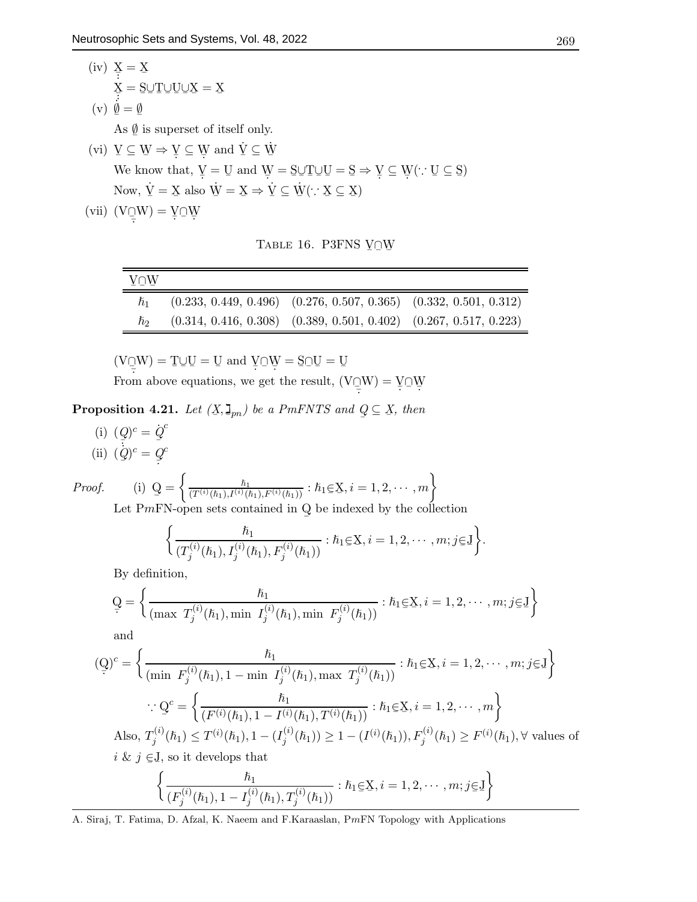\n- (iv) 
$$
\underline{X} = \underline{X}
$$
\n $\underline{X} = \underline{S} \cup \underline{T} \cup \underline{U} \cup \underline{X} = \underline{X}$ \n
\n- (v)  $\underline{\emptyset} = \underline{\emptyset}$ \n As  $\underline{\emptyset}$  is superset of itself only.
\n- (vi)  $\underline{V} \subseteq \underline{W} \Rightarrow \underline{V} \subseteq \underline{W}$  and  $\underline{V} \subseteq \underline{W}$ \n We know that,  $\underline{V} = \underline{U}$  and  $\underline{W} = \underline{S} \cup \underline{T} \cup \underline{U} = \underline{S} \Rightarrow \underline{V} \subseteq \underline{W} (\because \underline{U} \subseteq \underline{S})$ \n Now,  $\underline{V} = \underline{X}$  also  $\underline{W} = \underline{X} \Rightarrow \underline{V} \subseteq \underline{W} (\because \underline{X} \subseteq \underline{X})$ \n
\n- (vii)  $(\overline{V} \cap \underline{W}) = \underline{V} \cap \underline{W}$ \n
\n

TABLE 16. P3FNS  $V\square W$ 

| V∩W       |                                                                         |  |
|-----------|-------------------------------------------------------------------------|--|
| $\hbar_1$ | $(0.233, 0.449, 0.496)$ $(0.276, 0.507, 0.365)$ $(0.332, 0.501, 0.312)$ |  |
| ħэ        | $(0.314, 0.416, 0.308)$ $(0.389, 0.501, 0.402)$ $(0.267, 0.517, 0.223)$ |  |

 $(VQ_{\frac{1}{2}}W)$  $\underline{\Box}$ W $) = \underline{\Upsilon} \cup \underline{U} = \underline{U}$  and  $\underline{V} \cap \underline{W} = \underline{S} \cap \underline{U} = \underline{U}$ From above equations, we get the result,  $(V\supseteq W)$  $\frac{1}{2}W$ ) =  $\frac{V}{2}Q$ 

**Proposition 4.21.** Let  $(X, \mathbb{I}_{pn})$  be a PmFNTS and Q  $\subseteq$  X, then

(i)  $(Q)^c = \dot{Q}^c$  $(i)$   $(\frac{\varphi}{q})^c = \frac{\pi}{q}$ ¯  $)^c = Q$  $\frac{a}{\cdot}$ c

Proof.

(i) 
$$
Q = \left\{ \frac{\hbar_1}{(T^{(i)}(\hbar_1), T^{(i)}(\hbar_1), F^{(i)}(\hbar_1))} : \hbar_1 \in X, i = 1, 2, \cdots, m \right\}
$$

Let PmFN-open sets contained in Q be indexed by the collection

$$
\left\{\frac{\hbar_1}{(T_j^{(i)}(\hbar_1), I_j^{(i)}(\hbar_1), F_j^{(i)}(\hbar_1))} : \hbar_1 \in X, i = 1, 2, \cdots, m; j \in J\right\}.
$$

By definition,

$$
Q = \left\{ \frac{\hbar_1}{(\max T_j^{(i)}(\hbar_1), \min I_j^{(i)}(\hbar_1), \min F_j^{(i)}(\hbar_1))} : \hbar_1 \in X, i = 1, 2, \cdots, m; j \in J \right\}
$$

and

$$
(\mathbf{Q})^c = \left\{ \frac{\hbar_1}{(\min \ F_j^{(i)}(\hbar_1), 1 - \min \ I_j^{(i)}(\hbar_1), \max \ T_j^{(i)}(\hbar_1))} : \hbar_1 \in \mathbf{X}, i = 1, 2, \cdots, m; j \in \mathbf{J} \right\}
$$
  

$$
\therefore \mathbf{Q}^c = \left\{ \frac{\hbar_1}{(F^{(i)}(\hbar_1), 1 - I^{(i)}(\hbar_1), T^{(i)}(\hbar_1))} : \hbar_1 \in \mathbf{X}, i = 1, 2, \cdots, m \right\}
$$
  
Also,  $T_j^{(i)}(\hbar_1) \le T^{(i)}(\hbar_1), 1 - (I_j^{(i)}(\hbar_1)) \ge 1 - (I^{(i)}(\hbar_1)), F_j^{(i)}(\hbar_1) \ge F^{(i)}(\hbar_1), \forall$  values of  $i \& j \in \mathbf{J}$ , so it develops that  

$$
\left\{ \frac{\hbar_1}{(F_j^{(i)}(\hbar_1), 1 - I_j^{(i)}(\hbar_1), T_j^{(i)}(\hbar_1))} : \hbar_1 \in \mathbf{X}, i = 1, 2, \cdots, m; j \in \mathbf{J} \right\}
$$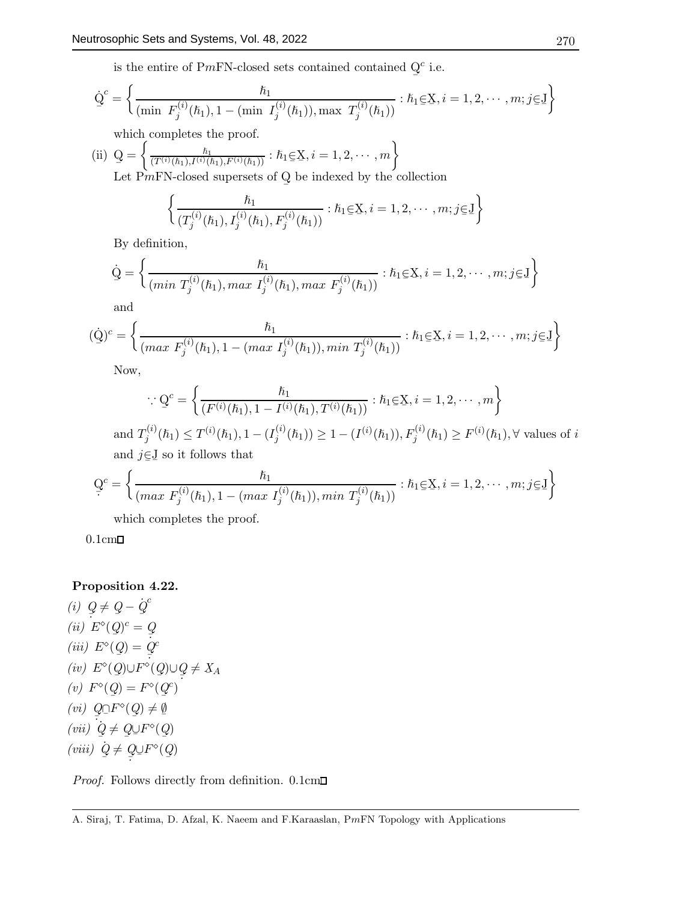is the entire of PmFN-closed sets contained contained Q ¯  $c$  i.e.

$$
\dot{\mathbf{Q}}^c = \left\{ \frac{\hbar_1}{(\min \ F_j^{(i)}(\hbar_1), 1 - (\min \ I_j^{(i)}(\hbar_1)), \max \ T_j^{(i)}(\hbar_1))} : \hbar_1 \in \mathbf{X}, i = 1, 2, \cdots, m; j \in \mathbf{J} \right\}
$$

which completes the proof.

(ii) 
$$
Q = \left\{ \frac{\hbar_1}{(T^{(i)}(\hbar_1), I^{(i)}(\hbar_1), F^{(i)}(\hbar_1))} : \hbar_1 \in X, i = 1, 2, \dots, m \right\}
$$
  
Let  $PMFN$ -closed supersets of Q be indexed by the collection

¯  $\epsilon$  $\mathbf{k}$ 

$$
\left\{ \frac{\hbar_1}{(T_j^{(i)}(\hbar_1), I_j^{(i)}(\hbar_1), F_j^{(i)}(\hbar_1))} : \hbar_1 \in \mathbf{X}, i = 1, 2, \cdots, m; j \in \mathbf{J} \right\}
$$

By definition,

$$
\dot{Q} = \left\{ \frac{\hbar_1}{(min \ T_j^{(i)}(\hbar_1), max \ I_j^{(i)}(\hbar_1), max \ F_j^{(i)}(\hbar_1))} : \hbar_1 \in X, i = 1, 2, \cdots, m; j \in J \right\}
$$

and

$$
(\dot{Q})^c = \left\{ \frac{\hbar_1}{(\max F_j^{(i)}(\hbar_1), 1 - (\max I_j^{(i)}(\hbar_1)), \min T_j^{(i)}(\hbar_1))} : \hbar_1 \in X, i = 1, 2, \cdots, m; j \in J \right\}
$$

Now,

$$
\therefore Q^{c} = \left\{ \frac{\hbar_{1}}{(F^{(i)}(\hbar_{1}), 1 - I^{(i)}(\hbar_{1}), T^{(i)}(\hbar_{1}))} : \hbar_{1} \in X, i = 1, 2, \cdots, m \right\}
$$

and  $T_i^{(i)}$  $j^{(i)}(h_1) \leq T^{(i)}(h_1), 1 - (I_j^{(i)})$  $j_j^{(i)}(\hbar_1)$   $\geq 1 - (I^{(i)}(\hbar_1)), F_j^{(i)}(\hbar_1) \geq F^{(i)}(\hbar_1), \forall$  values of i and  $j \in J$  so it follows that

$$
\mathbf{Q}^c = \left\{ \frac{\hbar_1}{(max \ F_j^{(i)}(\hbar_1), 1 - (max \ I_j^{(i)}(\hbar_1)), min \ T_j^{(i)}(\hbar_1))} : \hbar_1 \in \mathbf{X}, i = 1, 2, \cdots, m; j \in \mathbf{J} \right\}
$$

which completes the proof.

 $0.1cm\Box$ 

# Proposition 4.22.

(i)  $Q \neq Q - \dot{Q}^c$  $(ii)$   $E^{\diamond}(\mathcal{Q})^c = \mathcal{Q}$  $(iii) E^{\circ}(\mathcal{Q}) = \frac{\mathcal{Q}}{\mathcal{Q}}$  $(iv) E^{\diamond}(Q) \cup F^{\diamond}(Q) \cup Q$ c  $\frac{1}{2}$   $\frac{1}{2}$   $\frac{1}{2}$   $\frac{1}{2}$  $Q \neq X_A$ (v)  $F^{\diamond}(Q) = F^{\diamond}(Q^c)$ ¯ ¯ (vi)  $Q \cap F^{\diamond}(Q) \neq \emptyset$  $(vii) \quad Q \neq Q \cup F^{\diamond}(Q)$  $(viii)$   $Q \neq Q \cup F^{\diamond}$ ¯  $\neq Q$  $Q\!\!\cup\!F^\diamond(Q$ ¯ )

*Proof.* Follows directly from definition.  $0.1 \text{cm}$ 

A. Siraj, T. Fatima, D. Afzal, K. Naeem and F.Karaaslan, PmFN Topology with Applications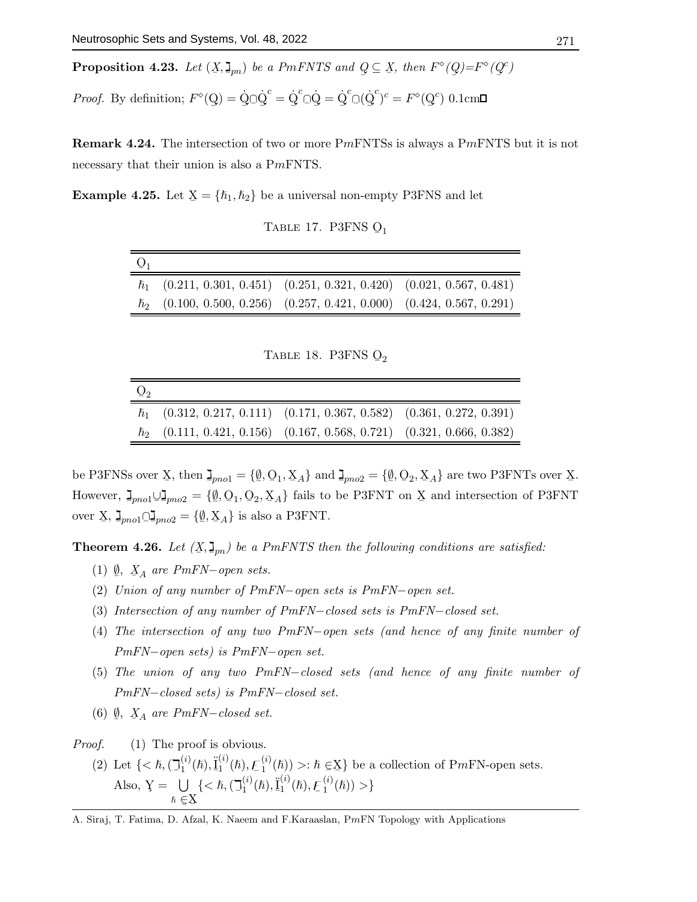**Proposition 4.23.** Let  $(X, \mathsf{J}_{pn})$  be a PmFNTS and Q  $\subseteq$  X, then  $F^{\diamond}(Q)$ ¯  $\mathcal{F}^{\diamond}(Q)$ ¯  $^c)$ 

*Proof.* By definition;  $F^{\diamond}(\mathbf{Q})$ ¯  $) = \dot{Q}$ ¯  $\bar{Q}$ ¯  $c^c = \dot{Q}$ ¯  $c^c$ ¯  $=\dot{\mathrm{Q}}$ ¯  ${}^c\Box$ ( $\dot{Q}$ ¯  $(c^c)^c = F^{\diamond}(\mathrm{Q})$ ¯  $^{c})$  0.1cm

**Remark 4.24.** The intersection of two or more PmFNTSs is always a PmFNTS but it is not necessary that their union is also a PmFNTS.

**Example 4.25.** Let  $X = \{\hbar_1, \hbar_2\}$  be a universal non-empty P3FNS and let

TABLE 17. P3FNS  $Q_1$ 

| $Q_1$ |                                                                             |  |
|-------|-----------------------------------------------------------------------------|--|
|       | $\hbar_1$ (0.211, 0.301, 0.451) (0.251, 0.321, 0.420) (0.021, 0.567, 0.481) |  |
|       | $\hbar_2$ (0.100, 0.500, 0.256) (0.257, 0.421, 0.000) (0.424, 0.567, 0.291) |  |

TABLE 18. P3FNS  $Q_2$ 

| $Q_2$ |                                                                             |  |
|-------|-----------------------------------------------------------------------------|--|
|       | $\hbar_1$ (0.312, 0.217, 0.111) (0.171, 0.367, 0.582) (0.361, 0.272, 0.391) |  |
|       | $\hbar_2$ (0.111, 0.421, 0.156) (0.167, 0.568, 0.721) (0.321, 0.666, 0.382) |  |

be P3FNSs over X, then  $\mathbf{I}_{pno1} = {\emptyset, \mathbf{O}_1, \mathbf{X}_A}$  and  $\mathbf{I}_{pno2} = {\emptyset, \mathbf{O}_2, \mathbf{X}_A}$  are two P3FNTs over X. However,  $\mathbf{I}_{pno1} \cup \mathbf{I}_{pno2} = \{ \underline{\emptyset}$  ${1, Q_1, Q_2, X_A}$  fails to be P3FNT on X and intersection of P3FNT over X,  $\mathbf{J}_{pno1} \Box \mathbf{J}_{pno2} = {\emptyset, \mathbf{X}_A}$  is also a P3FNT.

**Theorem 4.26.** Let  $(X, \mathbf{I}_{pn})$  be a PmFNTS then the following conditions are satisfied:

- (1)  $\emptyset$ ,  $X_A$  are PmFN–open sets.
- (2) Union of any number of PmFN−open sets is PmFN−open set.
- (3) Intersection of any number of PmFN−closed sets is PmFN−closed set.
- (4) The intersection of any two PmFN−open sets (and hence of any finite number of PmFN−open sets) is PmFN−open set.
- (5) The union of any two PmFN−closed sets (and hence of any finite number of PmFN−closed sets) is PmFN−closed set.
- (6)  $\mathcal{Q}, \mathcal{X}_A$  are PmFN–closed set.

*Proof.* (1) The proof is obvious. (2) Let  $\{ <\hbar, (\mathbb{I}_1^{(i)})\}$  $\frac{1}{\sqrt{2}} \left( \frac{1}{2} \left( \frac{1}{2} \left( \frac{1}{2} \left( \frac{1}{2} \right) \right) - \frac{1}{2} \left( \frac{1}{2} \left( \frac{1}{2} \right) \right) \right)$  $\mathrm{I}^{(i)}(\hslash),\mathrm{I}^{(i)}_1$  $\mathcal{L}_1^{(i)}(\hslash), \mathcal{L}_1^{(i)}$  $\binom{N}{1}$  >:  $\hbar \in \mathbf{X}$  be a collection of PmFN-open sets. Also,  $\mathbf{Y} = \mathbf{U}$  $\hbar \in X$  $\{<\hslash, (\exists$ (i)  $\binom{i}{1}(\hslash), \underline{\ddot{I}}$ (i)  $\int_1^{\infty}(\hslash), E$  $\overline{a}$ (i)  $\binom{u}{1}(\hbar))>\}$ 

A. Siraj, T. Fatima, D. Afzal, K. Naeem and F.Karaaslan, PmFN Topology with Applications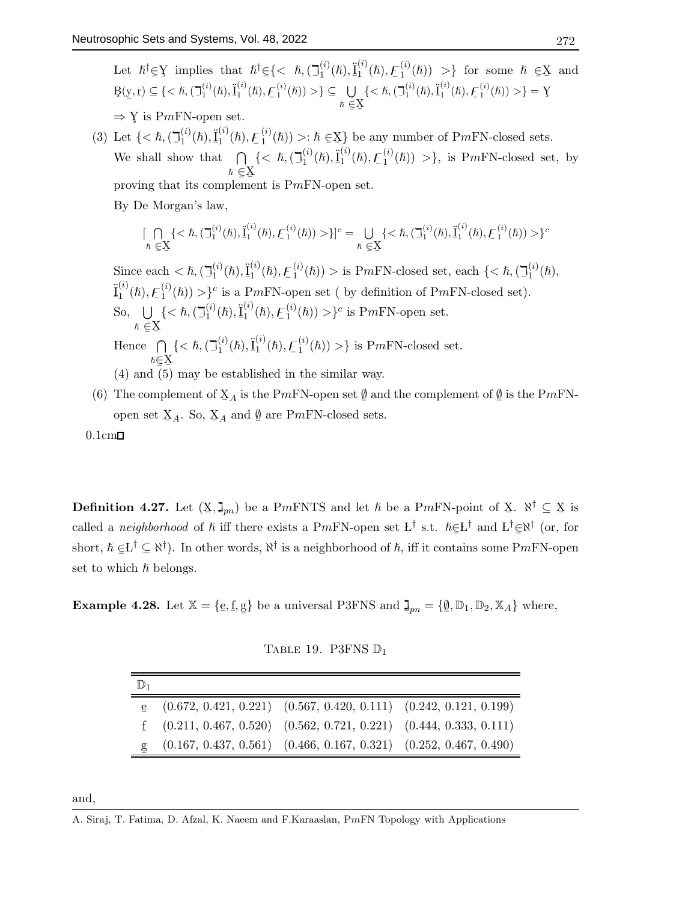Let  $\hbar^{\dagger} \in \mathcal{Y}$  implies that  $\hbar^{\dagger} \in \{<\hbar, (\mathcal{I}_1^{(i)})\}$  $\leq$  5 mappies that  $\kappa \leq (\kappa_1, \kappa_2, \kappa_3, \kappa_4)$  (b),  $\kappa_1$  (c),  $\frac{1}{2}$  (b),  $\frac{1}{2}$  (c),  $\frac{1}{2}$  (c),  $\frac{1}{2}$  (c),  $\frac{1}{2}$  (c),  $\frac{1}{2}$  (c),  $\frac{1}{2}$  (c),  $\frac{1}{2}$  $\mathcal{L}_1^{(i)}(\hslash),\mathcal{\ddot{L}}_1^{(i)}$  $\mathcal{L}_1^{(i)}(\hslash), \mathcal{L}_1^{(i)}$  $\binom{N}{1}$  > for some  $\hbar \in \underline{X}$  and  $\rm\,g(y)$ ¯  $\mathbf{r}$   $\subseteq$  {  $<$   $\hbar$   $\left(\Box$  $j_1^{(i)}(\hslash), \underline{\ddot{I}}$ (i)  $\int_1^{\infty}(\hbar), E$  $\binom{i}{1}(\hbar)) \geq \sum$   $\bigcup$  $\hslash\in\!\mathrm{X}$ ¯ ¯  $\{<\hslash, (\exists$  $_{1}^{(i)}(\hslash),\underline{\ddot{I}}$ (i)  $\int_1^{\infty}(\hbar), E$  $_{1}^{(i)}(\hbar))>\}$  = Y  $\Rightarrow$  Y is PmFN-open set.

(3) Let  $\{ <\hbar, (\mathbb{I}_1^{(i)})\}$  $\frac{1}{2}$  (*i*,  $\frac{1}{2}$  (*i*,  $\frac{1}{2}$  (*i*)  $\frac{1}{2}$  (*i*)  $\frac{1}{2}$  $\mathrm{I}^{(i)}(\hslash),\mathrm{I}_1^{(i)}$  $\mathcal{L}_1^{(i)}(\hslash), \mathcal{L}_1^{(i)}$  $\binom{N}{1}$  >:  $\hbar \in \mathbf{X}$  be any number of PmFN-closed sets. We shall show that  $\bigcap$  $\hbar \in X$ proving that its complement is  $PmFN$ -open set.  $\{<\hslash, (\exists$ (i)  $\binom{i}{1}(\hslash), \underline{\ddot{I}}$ (i)  $\int_1^{\infty}(\hbar), E$ (i)  $\binom{N}{1}$  > }, is PmFN-closed set, by

By De Morgan's law,

$$
[\bigcap_{\hbar \in \mathbf{X}} \{ < \hbar, (\mathbb{I}_1^{(i)}(\hbar), \underline{\mathbf{I}}_1^{(i)}(\hbar), \underline{F}_1^{(i)}(\hbar)) \n\geq\} ]^c = \bigcup_{\hbar \in \mathbf{X}} \{ < \hbar, (\mathbb{I}_1^{(i)}(\hbar), \underline{\mathbf{I}}_1^{(i)}(\hbar), \underline{F}_1^{(i)}(\hbar)) \n\geq\}^c
$$

Since each  $<\hslash, (\mathbb{I}_1^{(i)})$  $\tilde{\mathbf{I}}_{1}^{(i)}(\hbar), \tilde{\mathbf{I}}_{1}^{(i)}(\hbar)) >$ <sup>c</sup> is a PmFN-open set ( by definition of PmFN-closed set).  $\mathrm{I}^{(i)}(\hslash),\mathrm{I}^{(i)}_1$  $\mathcal{L}_1^{(i)}(\hslash), \mathcal{L}_1^{(i)}$  $\mathcal{L}_{1}^{(i)}(\hbar)$  > is PmFN-closed set, each {<  $\hbar$ ,  $(\mathbb{I}_{1}^{(i)})$  $I^{(i)}_{1}(\hslash),$  $\frac{1}{2}$  (*i*, *f*<sub>1</sub>) So, U  $\hbar \in \stackrel{\textstyle <}{\Sigma}$ ¯ ¯  $\{<\hslash, (\exists$ (i)  $i^{(i)}_1(\hbar), \underline{\ddot{I}}$ (i)  $\int_1^{\infty}(\hslash), E$  $\overline{a}$ (i)  $\binom{n}{1}$ (*ħ*)) > }<sup>c</sup> is P*m*FN-open set. Hence  $\bigcap$ ℏ∈ X (4) and  $\overline{(5)}$  may be established in the similar way.  $\{<\hslash, (\exists$ (i)  $j^{(i)}_1(\hbar), \underline{\ddot{I}}$ (i)  $\binom{N}{1}(\hslash),\mathcal{F}% _{n}=\binom{N}{0}$ ¯ (i)  $\binom{N}{1}$  > is PmFN-closed set.

(6) The complement of  $X_A$  is the PmFN-open set  $\emptyset$  and the complement of  $\emptyset$  is the PmFNopen set  $\underline{X}_A$ . So,  $\underline{X}_A$  and  $\underline{\emptyset}$ are PmFN-closed sets.

 $0.1cm\square$ 

**Definition 4.27.** Let  $(X, \mathbf{I}_{pn})$  be a PmFNTS and let  $\hbar$  be a PmFN-point of X.  $\aleph^{\dagger} \subseteq X$  is called a *neighborhood* of  $\hbar$  iff there exists a PmFN-open set L<sup>†</sup> s.t.  $\hbar \in L^{\dagger}$  and L<sup>†</sup> $\in \aleph^{\dagger}$  (or, for ¯ ¯ short,  $\hbar \in L^{\dagger} \subseteq \aleph^{\dagger}$ ). In other words,  $\aleph^{\dagger}$  is a neighborhood of  $\hbar$ , iff it contains some PmFN-open set to which  $\hbar$  belongs.

**Example 4.28.** Let  $\mathbb{X} = \{\mathbf{e}, \mathbf{f}, \mathbf{g}\}$ ¯ } be a universal P3FNS and  $\mathbf{I}_{pn} = \{ \underline{\emptyset}, \mathbb{D}_1, \mathbb{D}_2, \mathbb{X}_A \}$  where,

TABLE 19. P3FNS  $D_1$ 

| $\mathbf{e}$ (0.672, 0.421, 0.221) (0.567, 0.420, 0.111) (0.242, 0.121, 0.199) |  |
|--------------------------------------------------------------------------------|--|
|                                                                                |  |
| $(0.211, 0.467, 0.520)$ $(0.562, 0.721, 0.221)$ $(0.444, 0.333, 0.111)$        |  |
| $(0.167, 0.437, 0.561)$ $(0.466, 0.167, 0.321)$ $(0.252, 0.467, 0.490)$        |  |

and,

A. Siraj, T. Fatima, D. Afzal, K. Naeem and F.Karaaslan, PmFN Topology with Applications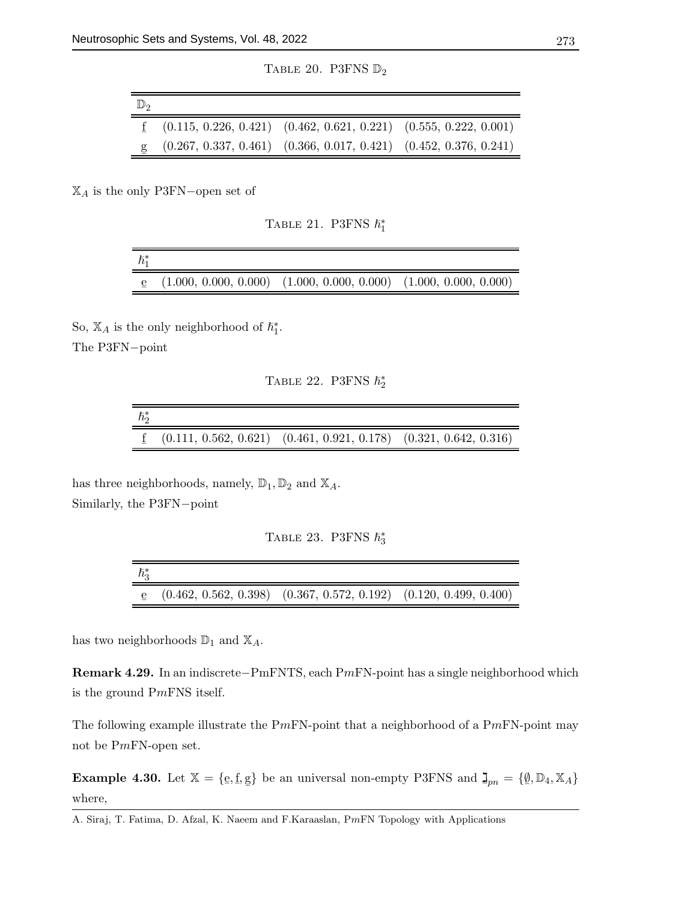TABLE 20. P3FNS  $\mathbb{D}_2$ 

| $\underline{f}$ (0.115, 0.226, 0.421) (0.462, 0.621, 0.221) (0.555, 0.222, 0.001)<br>$(0.267, 0.337, 0.461)$ $(0.366, 0.017, 0.421)$ $(0.452, 0.376, 0.241)$ | $\mathbb{D}^{\circ}$ |  |  |
|--------------------------------------------------------------------------------------------------------------------------------------------------------------|----------------------|--|--|
|                                                                                                                                                              |                      |  |  |
|                                                                                                                                                              |                      |  |  |

 $\mathbb{X}_A$  is the only P3FN-open set of

TABLE 21. P3FNS  $\hbar_1^*$ 

| $\hbar_{1}^{*}$ |                                                                              |  |
|-----------------|------------------------------------------------------------------------------|--|
|                 | $\epsilon$ (1.000, 0.000, 0.000) (1.000, 0.000, 0.000) (1.000, 0.000, 0.000) |  |

So,  $\mathbb{X}_A$  is the only neighborhood of  $\hbar_1^*$ .

The P3FN−point

TABLE 22. P3FNS  $\hbar_2^*$ 

| $\hbar^*$ |                                                                                |  |
|-----------|--------------------------------------------------------------------------------|--|
|           | $\textbf{f}$ (0.111, 0.562, 0.621) (0.461, 0.921, 0.178) (0.321, 0.642, 0.316) |  |

has three neighborhoods, namely,  $\mathbb{D}_1$ ,  $\mathbb{D}_2$  and  $\mathbb{X}_A$ . Similarly, the P3FN−point

| TABLE 23. P3FNS $\hbar_3^*$ |  |
|-----------------------------|--|
|                             |  |

| $\hbar^*_{3}$ |                                                                              |  |
|---------------|------------------------------------------------------------------------------|--|
|               | $\epsilon$ (0.462, 0.562, 0.398) (0.367, 0.572, 0.192) (0.120, 0.499, 0.400) |  |

has two neighborhoods  $\mathbb{D}_1$  and  $\mathbb{X}_A$ .

Remark 4.29. In an indiscrete−PmFNTS, each PmFN-point has a single neighborhood which is the ground PmFNS itself.

The following example illustrate the  $PmFN$ -point that a neighborhood of a  $PmFN$ -point may not be PmFN-open set.

**Example 4.30.** Let  $\mathbb{X} = \{\underline{e}, \underline{f}, \underline{g}\}$ ¯ } be an universal non-empty P3FNS and  $\mathbf{I}_{pn} = \{\emptyset, \mathbb{D}_4, \mathbb{X}_A\}$ where,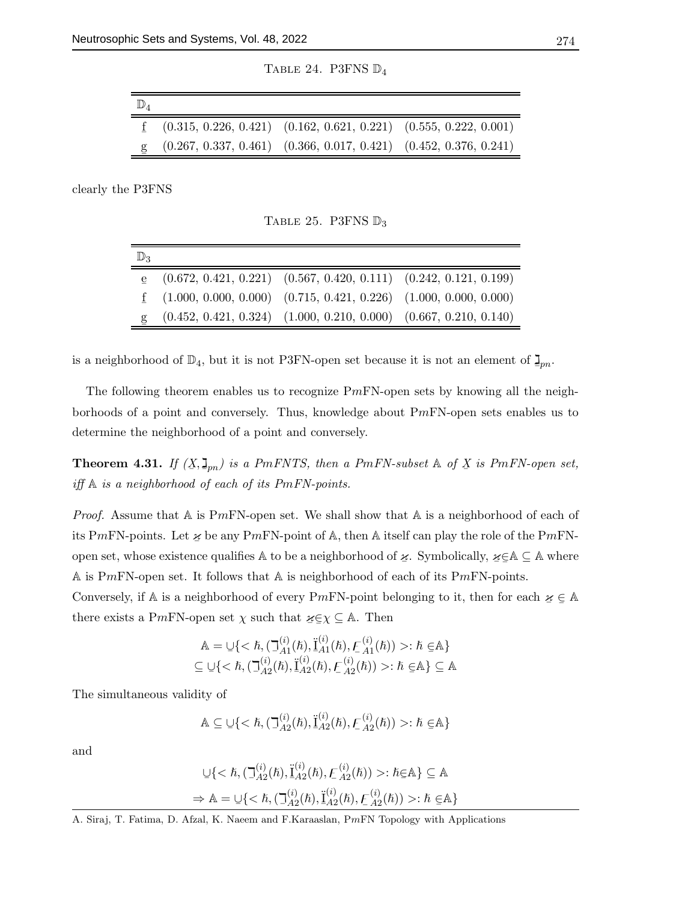TABLE 24. P3FNS  $\mathbb{D}_4$ 

| $\underline{f}$ (0.315, 0.226, 0.421) (0.162, 0.621, 0.221) (0.555, 0.222, 0.001)<br>$(0.267, 0.337, 0.461)$ $(0.366, 0.017, 0.421)$ $(0.452, 0.376, 0.241)$ | $\mathbb{D}_4$ |  |  |
|--------------------------------------------------------------------------------------------------------------------------------------------------------------|----------------|--|--|
|                                                                                                                                                              |                |  |  |
|                                                                                                                                                              |                |  |  |

clearly the P3FNS

TABLE 25. P3FNS  $\mathbb{D}_3$ 

| $\mathbb{D}_3$ |                                                                                   |  |
|----------------|-----------------------------------------------------------------------------------|--|
|                | $\mathbf{e}$ (0.672, 0.421, 0.221) (0.567, 0.420, 0.111) (0.242, 0.121, 0.199)    |  |
|                | $\underline{f}$ (1.000, 0.000, 0.000) (0.715, 0.421, 0.226) (1.000, 0.000, 0.000) |  |
|                | $(0.452, 0.421, 0.324)$ $(1.000, 0.210, 0.000)$ $(0.667, 0.210, 0.140)$           |  |
|                |                                                                                   |  |

is a neighborhood of  $\mathbb{D}_4$ , but it is not P3FN-open set because it is not an element of  $\mathbb{I}_{pn}$ .

The following theorem enables us to recognize  $PmFN$ -open sets by knowing all the neighborhoods of a point and conversely. Thus, knowledge about PmFN-open sets enables us to determine the neighborhood of a point and conversely.

**Theorem 4.31.** If  $(X, \mathbf{I}_{pn})$  is a PmFNTS, then a PmFN-subset  $\mathbb{A}$  of  $\overline{X}$  is PmFN-open set, iff  $A$  is a neighborhood of each of its PmFN-points.

*Proof.* Assume that  $A$  is PmFN-open set. We shall show that  $A$  is a neighborhood of each of its PmFN-points. Let  $\chi$  be any PmFN-point of A, then A itself can play the role of the PmFNopen set, whose existence qualifies  $A$  to be a neighborhood of  $\chi$ . Symbolically,  $\chi \in A \subseteq A$  where A is PmFN-open set. It follows that A is neighborhood of each of its PmFN-points.

Conversely, if A is a neighborhood of every PmFN-point belonging to it, then for each  $\varkappa \in A$ there exists a PmFN-open set  $\chi$  such that  $\chi \subseteq \chi \subseteq A$ . Then

$$
\mathbb{A} = \bigcup \{ < \hbar, (\mathcal{I}_{A1}^{(i)}(\hbar), \ddot{\mathcal{I}}_{A1}^{(i)}(\hbar), \mathcal{F}_{A1}^{(i)}(\hbar)) > : \hbar \in \mathbb{A} \}
$$
\n
$$
\subseteq \bigcup \{ < \hbar, (\mathcal{I}_{A2}^{(i)}(\hbar), \ddot{\mathcal{I}}_{A2}^{(i)}(\hbar), \mathcal{F}_{A2}^{(i)}(\hbar)) > : \hbar \in \mathbb{A} \} \subseteq \mathbb{A}
$$

The simultaneous validity of

$$
\mathbb{A} \subseteq \bigcup \{ \langle \hbar, (\mathbb{I}_{A2}^{(i)}(\hbar), \ddot{\mathbb{I}}_{A2}^{(i)}(\hbar), \mathcal{F}_{A2}^{(i)}(\hbar)) \rangle : \hbar \in \mathbb{A} \}
$$

and

$$
\bigcup \{ \langle \hbar, (\mathbb{I}_{A2}^{(i)}(\hbar), \ddot{\mathbb{I}}_{A2}^{(i)}(\hbar), \mathcal{F}_{A2}^{(i)}(\hbar)) \rangle : \hbar \in \mathbb{A} \} \subseteq \mathbb{A}
$$
  
\n
$$
\Rightarrow \mathbb{A} = \bigcup \{ \langle \hbar, (\mathbb{I}_{A2}^{(i)}(\hbar), \ddot{\mathbb{I}}_{A2}^{(i)}(\hbar), \mathcal{F}_{A2}^{(i)}(\hbar)) \rangle : \hbar \in \mathbb{A} \}
$$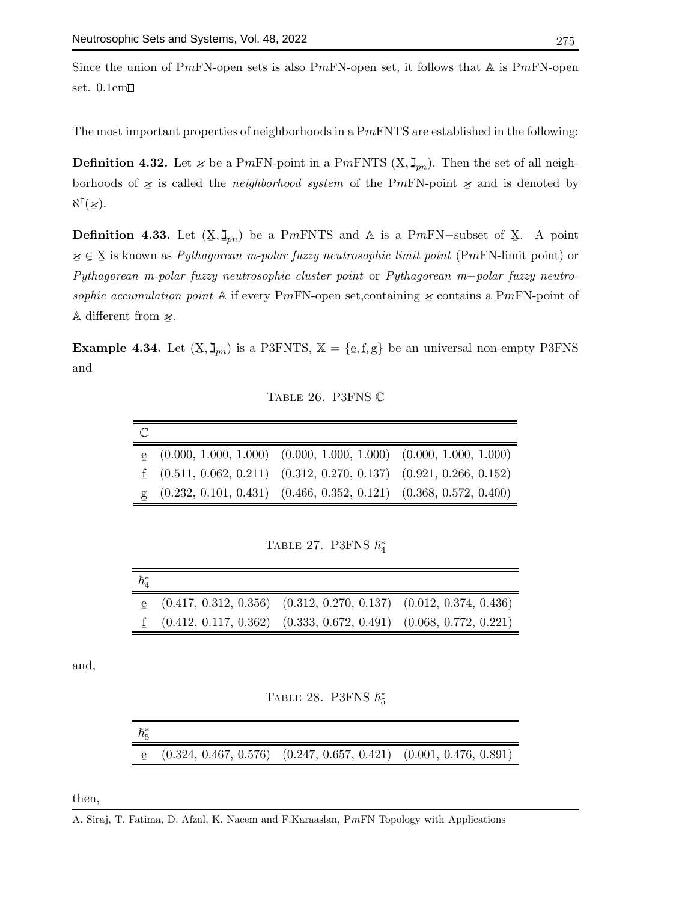Since the union of PmFN-open sets is also PmFN-open set, it follows that  $A$  is PmFN-open set. 0.1cm

The most important properties of neighborhoods in a  $Pm$ FNTS are established in the following:

**Definition 4.32.** Let  $\chi$  be a PmFN-point in a PmFNTS  $(X, \mathbf{I}_{pn})$ . Then the set of all neighborhoods of  $\chi$  is called the *neighborhood system* of the PmFN-point  $\chi$  and is denoted by  $\aleph^{\dagger}(\boldsymbol{\varkappa})$ .

**Definition 4.33.** Let  $(X, \mathbf{I}_{pn})$  be a PmFNTS and A is a PmFN-subset of X. A point  $z \in X$  is known as *Pythagorean m-polar fuzzy neutrosophic limit point* (PmFN-limit point) or Pythagorean m-polar fuzzy neutrosophic cluster point or Pythagorean m−polar fuzzy neutrosophic accumulation point A if every PmFN-open set, containing  $\chi$  contains a PmFN-point of A different from  $\mathcal{U}$ .

**Example 4.34.** Let  $(X, \mathbf{J}_{pn})$  is a P3FNTS,  $\mathbb{X} = \{\mathbf{e}, \mathbf{f}, \mathbf{g}\}$ ¯ } be an universal non-empty P3FNS and

Table 26. P3FNS C

| $\mathbb{C}$ |                                                                                |  |
|--------------|--------------------------------------------------------------------------------|--|
|              | $\mathbf{e}$ (0.000, 1.000, 1.000) (0.000, 1.000, 1.000) (0.000, 1.000, 1.000) |  |
|              | $(0.511, 0.062, 0.211)$ $(0.312, 0.270, 0.137)$ $(0.921, 0.266, 0.152)$        |  |
|              | $g$ (0.232, 0.101, 0.431) (0.466, 0.352, 0.121) (0.368, 0.572, 0.400)          |  |
|              |                                                                                |  |

TABLE 27. P3FNS  $\hbar_4^*$ 

| $\hbar^*_A$ |                                                                                   |  |
|-------------|-----------------------------------------------------------------------------------|--|
|             | $\mathbf{e}$ (0.417, 0.312, 0.356) (0.312, 0.270, 0.137) (0.012, 0.374, 0.436)    |  |
|             | $\underline{f}$ (0.412, 0.117, 0.362) (0.333, 0.672, 0.491) (0.068, 0.772, 0.221) |  |

and,

|  |  | TABLE 28. P3FNS $\hbar^*_5$ |  |
|--|--|-----------------------------|--|
|--|--|-----------------------------|--|

| $\hbar^*_{5}$ |                                                                              |  |
|---------------|------------------------------------------------------------------------------|--|
|               | $\epsilon$ (0.324, 0.467, 0.576) (0.247, 0.657, 0.421) (0.001, 0.476, 0.891) |  |

then,

A. Siraj, T. Fatima, D. Afzal, K. Naeem and F.Karaaslan, PmFN Topology with Applications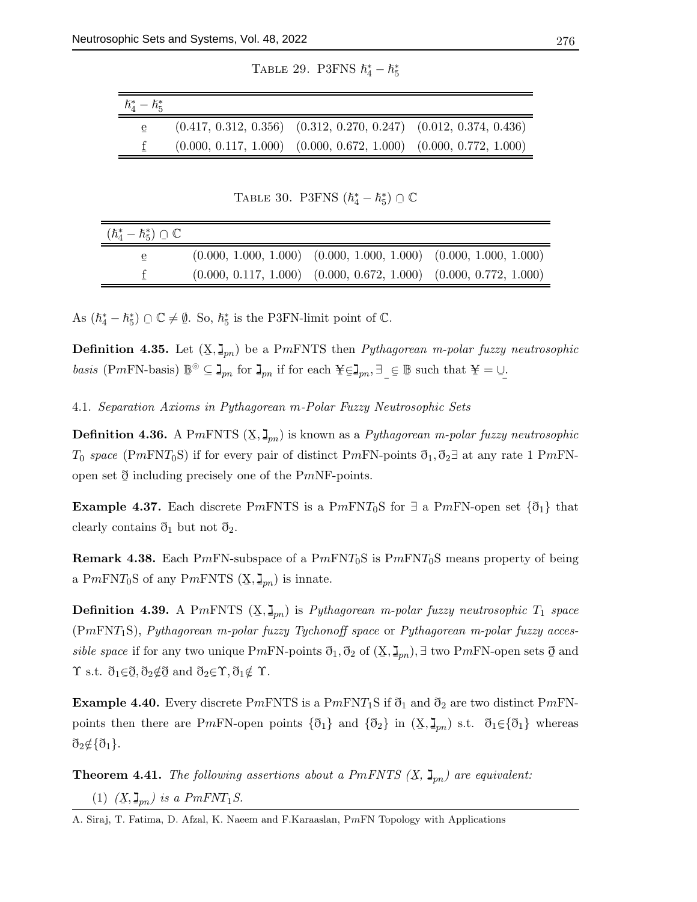TABLE 29. P3FNS  $\hbar_4^* - \hbar_5^*$ 

| $\hbar^*_4-\hbar^*_5$ |                                                                         |  |
|-----------------------|-------------------------------------------------------------------------|--|
| e                     | $(0.417, 0.312, 0.356)$ $(0.312, 0.270, 0.247)$ $(0.012, 0.374, 0.436)$ |  |
|                       | $(0.000, 0.117, 1.000)$ $(0.000, 0.672, 1.000)$ $(0.000, 0.772, 1.000)$ |  |

TABLE 30. P3FNS  $(\hbar_4^* - \hbar_5^*) \cap \mathbb{C}$ 

| $(\hbar_{4}^{*}-\hbar_{5}^{*})\cap\mathbb{C}$ |                                                                         |  |
|-----------------------------------------------|-------------------------------------------------------------------------|--|
| e                                             | $(0.000, 1.000, 1.000)$ $(0.000, 1.000, 1.000)$ $(0.000, 1.000, 1.000)$ |  |
|                                               | $(0.000, 0.117, 1.000)$ $(0.000, 0.672, 1.000)$ $(0.000, 0.772, 1.000)$ |  |

As  $(\hbar_4^* - \hbar_5^*) \cap \mathbb{C} \neq \emptyset$ . So,  $\hbar_5^*$  is the P3FN-limit point of  $\mathbb{C}$ .

**Definition 4.35.** Let  $(X, \mathbf{I}_{pn})$  be a PmFNTS then *Pythagorean m-polar fuzzy neutrosophic* basis (PmFN-basis)  $\mathbb{B}^{\odot} \subseteq \mathbb{I}_{pn}$  for  $\mathbb{I}_{pn}$  if for each  $\mathbb{Y}_{\in \mathbb{I}_{pn}}$ ,  $\exists$  $\overline{a}$  $\subseteq \mathbb{B}$  such that  $\mathbf{\underline{Y}} = \cup_{\mathbf{\underline{Z}}}$ .

4.1. Separation Axioms in Pythagorean m-Polar Fuzzy Neutrosophic Sets

**Definition 4.36.** A PmFNTS  $(X, \mathbf{J}_{pn})$  is known as a *Pythagorean m-polar fuzzy neutrosophic*  $T_0$  space (PmFNT<sub>0</sub>S) if for every pair of distinct PmFN-points  $\mathfrak{d}_1, \mathfrak{d}_2$  at any rate 1 PmFNopen set  $\delta$  including precisely one of the P*mNF*-points.

**Example 4.37.** Each discrete PmFNTS is a PmFNT<sub>0</sub>S for  $\exists$  a PmFN-open set  $\{\mathfrak{d}_1\}$  that clearly contains  $\mathfrak{d}_1$  but not  $\mathfrak{d}_2$ .

**Remark 4.38.** Each PmFN-subspace of a  $PmFNT_0S$  is  $PmFNT_0S$  means property of being a P $m\text{FN}T_0$ S of any P $m\text{ENTS}$  ( $\underline{\mathbf{X}}, \underline{\mathbf{I}}_{pn}$ ) is innate.

**Definition 4.39.** A PmFNTS  $(X, \mathbf{I}_{pn})$  is *Pythagorean m-polar fuzzy neutrosophic*  $T_1$  space (PmFNT1S), Pythagorean m-polar fuzzy Tychonoff space or Pythagorean m-polar fuzzy accessible space if for any two unique PmFN-points  $\mathfrak{d}_1, \mathfrak{d}_2$  of  $(\mathbf{X}, \mathbf{I}_{pn}), \exists$  two PmFN-open sets  $\mathfrak{d}$  and  $\Upsilon$  s.t.  $\eth_1 \in \eth, \eth_2 \notin \eth$  and  $\eth_2 \in \Upsilon, \eth_1 \notin \Upsilon$ .

**Example 4.40.** Every discrete PmFNTS is a PmFNT<sub>1</sub>S if  $\eth_1$  and  $\eth_2$  are two distinct PmFNpoints then there are PmFN-open points  $\{\mathfrak{d}_1\}$  and  $\{\mathfrak{d}_2\}$  in  $(\mathbf{X}, \mathbf{I}_{pn})$  s.t.  $\mathfrak{d}_1 \in \{\mathfrak{d}_1\}$  whereas  $\mathfrak{d}_2 \notin \{ \mathfrak{d}_1 \}.$ 

**Theorem 4.41.** The following assertions about a PmFNTS  $(X, \mathbf{I}_{pn})$  are equivalent: (1)  $(\underline{X}, \underline{I}_{pn})$  is a  $PmFNT_1S$ .

A. Siraj, T. Fatima, D. Afzal, K. Naeem and F.Karaaslan, PmFN Topology with Applications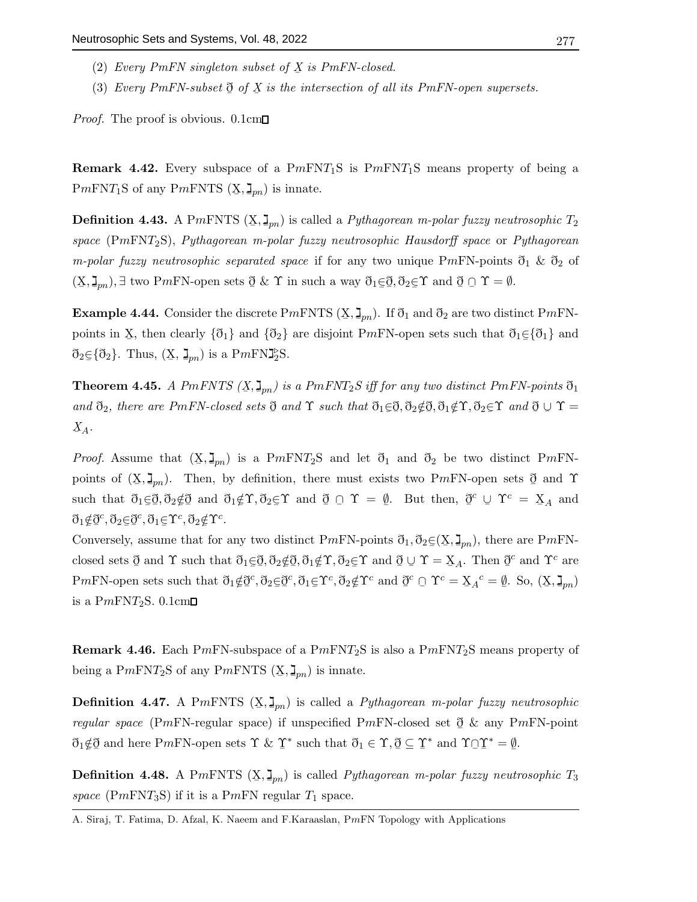- (2) Every PmFN singleton subset of  $X$  is PmFN-closed.
- (3) Every PmFN-subset  $\delta$  of X is the intersection of all its PmFN-open supersets.

*Proof.* The proof is obvious.  $0.1 \text{cm}$ 

**Remark 4.42.** Every subspace of a  $PmFNT_1S$  is  $PmFNT_1S$  means property of being a P $m$ FNT<sub>1</sub>S of any P $m$ FNTS  $(X, \mathbf{J}_{pn})$  is innate.

**Definition 4.43.** A PmFNTS  $(\underline{X}, \underline{\mathbf{I}}_{pn})$  is called a *Pythagorean m-polar fuzzy neutrosophic*  $T_2$ space  $(PmFNT_2S)$ , Pythagorean m-polar fuzzy neutrosophic Hausdorff space or Pythagorean *m-polar fuzzy neutrosophic separated space* if for any two unique PmFN-points  $\mathfrak{d}_1 \& \mathfrak{d}_2$  of  $(\underline{X}, \underline{I}_{pn}), \exists$  two PmFN-open sets  $\emptyset \& \Upsilon$  in such a way  $\eth_1 \in \emptyset, \eth_2 \in \Upsilon$  and  $\emptyset \cap \Upsilon = \emptyset$ .

**Example 4.44.** Consider the discrete  $Pm$ FNTS  $(X, \mathbf{J}_{pn})$ . If  $\eth_1$  and  $\eth_2$  are two distinct  $Pm$ FNpoints in X, then clearly  $\{\eth_1\}$  and  $\{\eth_2\}$  are disjoint PmFN-open sets such that  $\eth_1 \in \{\eth_1\}$  and  $\mathfrak{d}_2 \in \{ \mathfrak{d}_2 \}.$  Thus,  $(\mathbf{X}, \mathbf{I}_{pn})$  is a PmFN $\mathbf{I}_2^{\circ}$ S.

**Theorem 4.45.** A PmFNTS  $(X, \mathbf{J}_{pn})$  is a PmFNT<sub>2</sub>S iff for any two distinct PmFN-points  $\mathfrak{d}_1$ and  $\mathfrak{d}_2$ , there are PmFN-closed sets  $\mathfrak{d}$  and  $\Upsilon$  such that  $\mathfrak{d}_1 \in \mathfrak{d}, \mathfrak{d}_2 \notin \mathfrak{d}, \mathfrak{d}_1 \notin \Upsilon, \mathfrak{d}_2 \in \Upsilon$  and  $\mathfrak{d} \cup \Upsilon =$  $X_A$ .

*Proof.* Assume that  $(X, \mathbf{I}_{pn})$  is a PmFNT<sub>2</sub>S and let  $\mathfrak{d}_1$  and  $\mathfrak{d}_2$  be two distinct PmFNpoints of  $(X, \mathbf{J}_{pn})$ . Then, by definition, there must exists two PmFN-open sets  $\mathfrak{d}$  and  $\Upsilon$ such that  $\eth_1 \in \eth, \eth_2 \notin \eth$  and  $\eth_1 \notin \Upsilon, \eth_2 \in \Upsilon$  and  $\eth \Box \Upsilon = \emptyset$ . But then,  $\eth^c \cup \Upsilon^c = \underline{X}_A$  and  $\mathfrak{d}_1$ ∉ð  $c^c$ ,  $\eth_2 \in \underline{\eth}$  $c^c, \eth_1 \in \Upsilon^c, \eth_2 \notin \Upsilon^c.$ 

Conversely, assume that for any two distinct PmFN-points  $\mathfrak{d}_1, \mathfrak{d}_2 \in (\mathbf{X}, \mathbf{I}_{pn})$ , there are PmFN-¯ closed sets  $\mathfrak{d}$  and  $\Upsilon$  such that  $\mathfrak{d}_1 \in \mathfrak{d}, \mathfrak{d}_2 \notin \mathfrak{d}, \mathfrak{d}_1 \notin \Upsilon, \mathfrak{d}_2 \in \Upsilon$  and  $\mathfrak{d} \cup \Upsilon = \mathfrak{X}_A$ . Then  $\mathfrak{d}$  $c$  and  $\Upsilon^c$  are PmFN-open sets such that  $\mathfrak{d}_1 \notin \mathfrak{d}$  $c^c, \eth_2 \in \eth$  $c^c, \eth_1 \in \Upsilon^c, \eth_2 \notin \Upsilon^c$  and  $\eth^c \cap \Upsilon^c = \underline{X}_A{}^c = \underline{\emptyset}$ . So,  $(\underline{X}, \underline{I}_{pn})$ is a  $PmFNT_2S$ . 0.1cm $\square$ 

**Remark 4.46.** Each PmFN-subspace of a  $PmFNT_2S$  is also a  $PmFNT_2S$  means property of being a P $m$ FNT<sub>2</sub>S of any P $m$ FNTS  $(X, \mathbf{I}_{pn})$  is innate.

**Definition 4.47.** A PmFNTS  $(X, \mathbf{I}_{pn})$  is called a *Pythagorean m-polar fuzzy neutrosophic* regular space (PmFN-regular space) if unspecified PmFN-closed set  $\delta \mathcal{L}$  any PmFN-point  $\eth_1 \notin \eth$  and here PmFN-open sets  $\Upsilon$  &  $\Upsilon$ \* such that  $\eth_1 \in \Upsilon, \underline{\eth} \subseteq \underline{\Upsilon}$ \* and  $\Upsilon \cap \Upsilon^* = \underline{\emptyset}$  $\tilde{z}$ .

**Definition 4.48.** A PmFNTS  $(X, \mathbf{I}_{pn})$  is called *Pythagorean m-polar fuzzy neutrosophic*  $T_3$ space (PmFNT<sub>3</sub>S) if it is a PmFN regular  $T_1$  space.

A. Siraj, T. Fatima, D. Afzal, K. Naeem and F.Karaaslan, PmFN Topology with Applications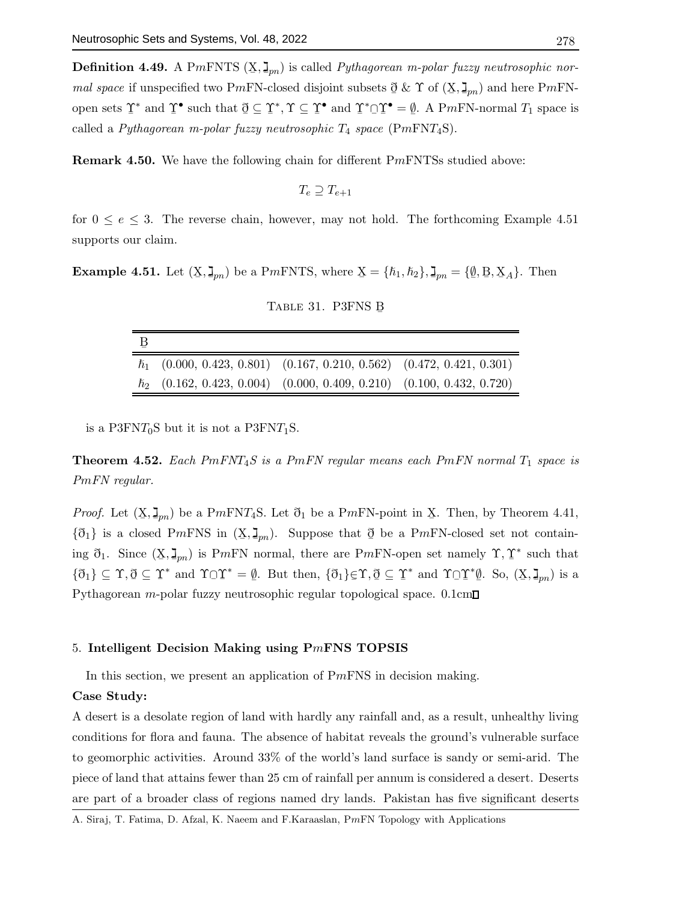**Definition 4.49.** A PmFNTS  $(X, \mathbf{I}_{pn})$  is called *Pythagorean m-polar fuzzy neutrosophic nor*mal space if unspecified two PmFN-closed disjoint subsets  $\mathfrak{d} \& \Upsilon$  of  $(\mathbf{X}, \mathbf{I}_{pn})$  and here PmFN- $\leq$   $\infty$   $\leq$   $\infty$   $\left(\frac{1}{2}\right)$ open sets  $\Upsilon$ \* and  $\Upsilon$ • such that  $\mathcal{Q} \subseteq \mathcal{I}$  $^*, \Upsilon \subseteq \Upsilon$ • and  $\Upsilon^* \cap \Upsilon$  =  $\emptyset$ . A PmFN-normal  $T_1$  space is called a Pythagorean m-polar fuzzy neutrosophic  $T_4$  space (PmFNT<sub>4</sub>S).

Remark 4.50. We have the following chain for different PmFNTSs studied above:

$$
T_e \supseteq T_{e+1}
$$

for  $0 \le e \le 3$ . The reverse chain, however, may not hold. The forthcoming Example 4.51 supports our claim.

**Example 4.51.** Let  $(X, \mathbf{I}_{pn})$  be a PmFNTS, where  $X = \{\hbar_1, \hbar_2\}$ ,  $\mathbf{I}_{pn} = \{\underline{\emptyset}, \underline{\mathbf{B}}, \underline{\mathbf{X}}_A\}$ . Then

| В |                                                                             |  |
|---|-----------------------------------------------------------------------------|--|
|   | $\hbar_1$ (0.000, 0.423, 0.801) (0.167, 0.210, 0.562) (0.472, 0.421, 0.301) |  |
|   | $\hbar_2$ (0.162, 0.423, 0.004) (0.000, 0.409, 0.210) (0.100, 0.432, 0.720) |  |

TABLE 31. P3FNS B

is a P3FN $T_0$ S but it is not a P3FN $T_1$ S.

**Theorem 4.52.** Each  $PmFNT_4S$  is a  $PmFN$  regular means each  $PmFN$  normal  $T_1$  space is PmFN regular.

*Proof.* Let  $(X, \mathbf{J}_{pn})$  be a PmFNT<sub>4</sub>S. Let  $\mathfrak{d}_1$  be a PmFN-point in X. Then, by Theorem 4.41,  $\{\delta_1\}$  is a closed PmFNS in  $(X, \mathbf{J}_{pn})$ . Suppose that  $\delta$  be a PmFN-closed set not containing  $\eth_1$ . Since  $(\underline{X}, \underline{I}_{pn})$  is PmFN normal, there are PmFN-open set namely  $\Upsilon, \Upsilon$ ∗ such that  $\{\eth_1\} \subseteq \Upsilon, \eth \subseteq \Upsilon$ \* and  $\Upsilon \cap \Upsilon^* = \emptyset$ . But then,  $\{\mathfrak{d}_1\} \in \Upsilon, \mathfrak{d} \subseteq \Upsilon$ \* and  $\Upsilon$ <sup> $\cap$ </sup> \* $\underline{\emptyset}$ . So,  $(\underline{X}, \underline{\mathsf{J}}_{pn})$  is a Pythagorean  $m$ -polar fuzzy neutrosophic regular topological space.  $0.1$ cm $\square$ 

#### 5. Intelligent Decision Making using PmFNS TOPSIS

In this section, we present an application of  $PmFNS$  in decision making.

## Case Study:

A desert is a desolate region of land with hardly any rainfall and, as a result, unhealthy living conditions for flora and fauna. The absence of habitat reveals the ground's vulnerable surface to geomorphic activities. Around 33% of the world's land surface is sandy or semi-arid. The piece of land that attains fewer than 25 cm of rainfall per annum is considered a desert. Deserts are part of a broader class of regions named dry lands. Pakistan has five significant deserts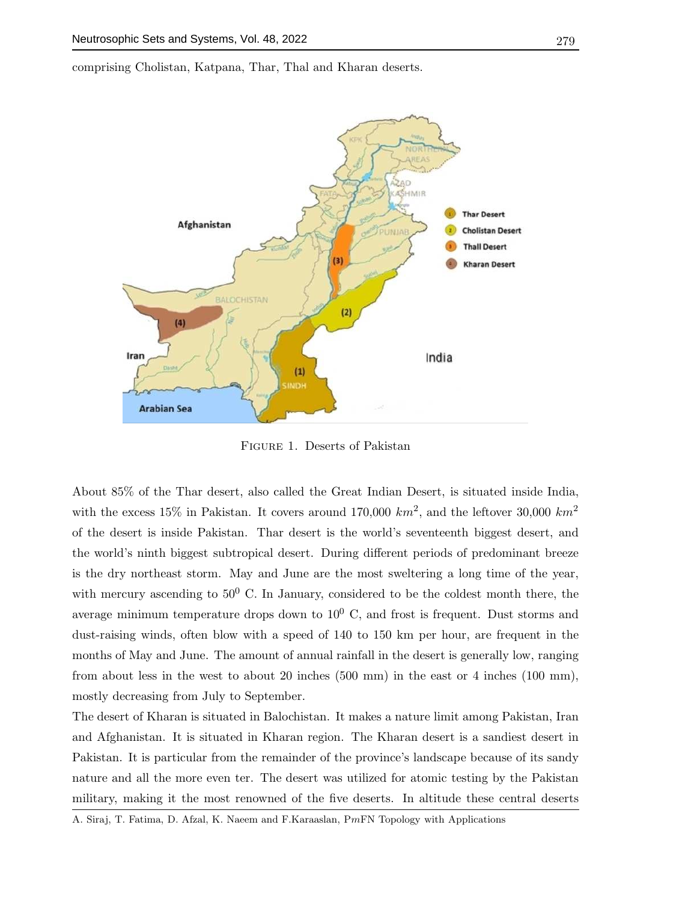comprising Cholistan, Katpana, Thar, Thal and Kharan deserts.



Figure 1. Deserts of Pakistan

About 85% of the Thar desert, also called the Great Indian Desert, is situated inside India, with the excess 15% in Pakistan. It covers around 170,000  $km^2$ , and the leftover 30,000  $km^2$ of the desert is inside Pakistan. Thar desert is the world's seventeenth biggest desert, and the world's ninth biggest subtropical desert. During different periods of predominant breeze is the dry northeast storm. May and June are the most sweltering a long time of the year, with mercury ascending to  $50^0$  C. In January, considered to be the coldest month there, the average minimum temperature drops down to  $10^0$  C, and frost is frequent. Dust storms and dust-raising winds, often blow with a speed of 140 to 150 km per hour, are frequent in the months of May and June. The amount of annual rainfall in the desert is generally low, ranging from about less in the west to about 20 inches (500 mm) in the east or 4 inches (100 mm), mostly decreasing from July to September.

The desert of Kharan is situated in Balochistan. It makes a nature limit among Pakistan, Iran and Afghanistan. It is situated in Kharan region. The Kharan desert is a sandiest desert in Pakistan. It is particular from the remainder of the province's landscape because of its sandy nature and all the more even ter. The desert was utilized for atomic testing by the Pakistan military, making it the most renowned of the five deserts. In altitude these central deserts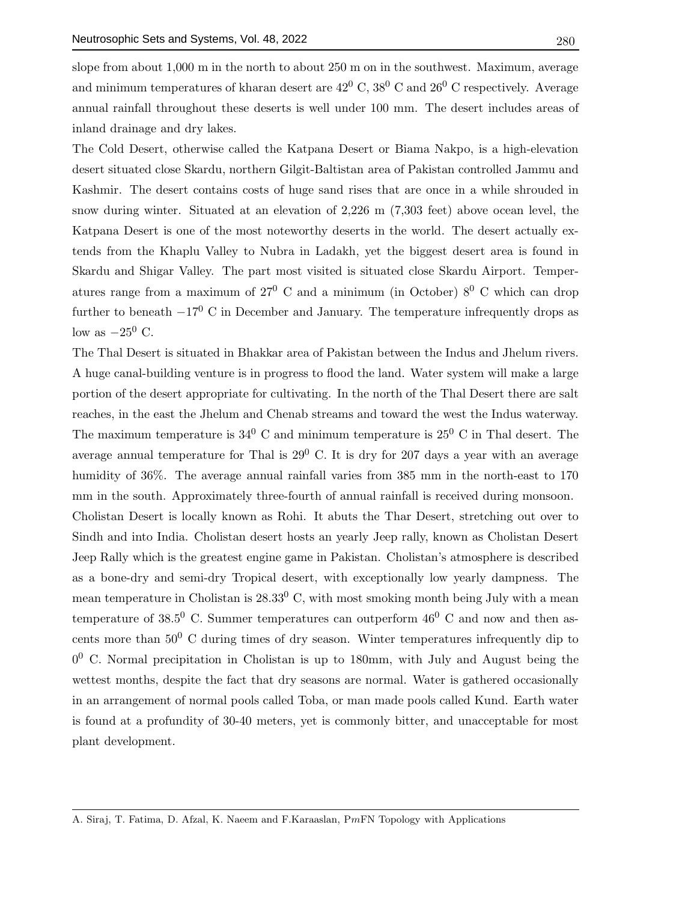slope from about 1,000 m in the north to about 250 m on in the southwest. Maximum, average and minimum temperatures of kharan desert are  $42^{\circ}$  C,  $38^{\circ}$  C and  $26^{\circ}$  C respectively. Average annual rainfall throughout these deserts is well under 100 mm. The desert includes areas of inland drainage and dry lakes.

The Cold Desert, otherwise called the Katpana Desert or Biama Nakpo, is a high-elevation desert situated close Skardu, northern Gilgit-Baltistan area of Pakistan controlled Jammu and Kashmir. The desert contains costs of huge sand rises that are once in a while shrouded in snow during winter. Situated at an elevation of 2,226 m (7,303 feet) above ocean level, the Katpana Desert is one of the most noteworthy deserts in the world. The desert actually extends from the Khaplu Valley to Nubra in Ladakh, yet the biggest desert area is found in Skardu and Shigar Valley. The part most visited is situated close Skardu Airport. Temperatures range from a maximum of  $27^{\circ}$  C and a minimum (in October)  $8^{\circ}$  C which can drop further to beneath  $-17^0$  C in December and January. The temperature infrequently drops as low as  $-25^0$  C.

The Thal Desert is situated in Bhakkar area of Pakistan between the Indus and Jhelum rivers. A huge canal-building venture is in progress to flood the land. Water system will make a large portion of the desert appropriate for cultivating. In the north of the Thal Desert there are salt reaches, in the east the Jhelum and Chenab streams and toward the west the Indus waterway. The maximum temperature is  $34^{\circ}$  C and minimum temperature is  $25^{\circ}$  C in Thal desert. The average annual temperature for Thal is  $29^{\circ}$  C. It is dry for 207 days a year with an average humidity of 36%. The average annual rainfall varies from 385 mm in the north-east to 170 mm in the south. Approximately three-fourth of annual rainfall is received during monsoon.

Cholistan Desert is locally known as Rohi. It abuts the Thar Desert, stretching out over to Sindh and into India. Cholistan desert hosts an yearly Jeep rally, known as Cholistan Desert Jeep Rally which is the greatest engine game in Pakistan. Cholistan's atmosphere is described as a bone-dry and semi-dry Tropical desert, with exceptionally low yearly dampness. The mean temperature in Cholistan is  $28.33^{\circ}$  C, with most smoking month being July with a mean temperature of 38.5<sup>0</sup> C. Summer temperatures can outperform  $46^{\circ}$  C and now and then ascents more than  $50^0$  C during times of dry season. Winter temperatures infrequently dip to 0<sup>0</sup> C. Normal precipitation in Cholistan is up to 180mm, with July and August being the wettest months, despite the fact that dry seasons are normal. Water is gathered occasionally in an arrangement of normal pools called Toba, or man made pools called Kund. Earth water is found at a profundity of 30-40 meters, yet is commonly bitter, and unacceptable for most plant development.

A. Siraj, T. Fatima, D. Afzal, K. Naeem and F.Karaaslan, PmFN Topology with Applications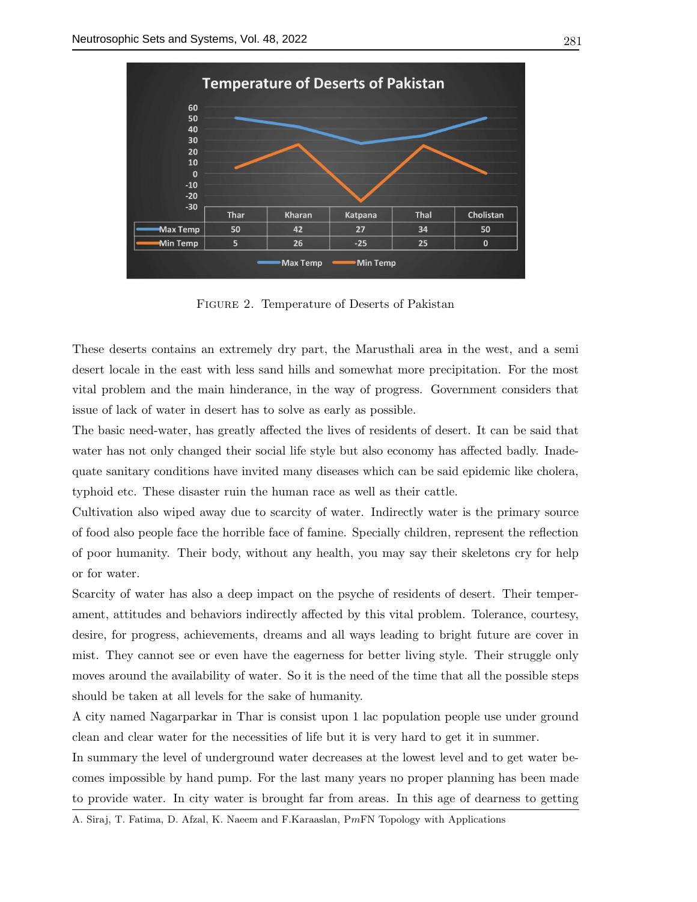

Figure 2. Temperature of Deserts of Pakistan

These deserts contains an extremely dry part, the Marusthali area in the west, and a semi desert locale in the east with less sand hills and somewhat more precipitation. For the most vital problem and the main hinderance, in the way of progress. Government considers that issue of lack of water in desert has to solve as early as possible.

The basic need-water, has greatly affected the lives of residents of desert. It can be said that water has not only changed their social life style but also economy has affected badly. Inadequate sanitary conditions have invited many diseases which can be said epidemic like cholera, typhoid etc. These disaster ruin the human race as well as their cattle.

Cultivation also wiped away due to scarcity of water. Indirectly water is the primary source of food also people face the horrible face of famine. Specially children, represent the reflection of poor humanity. Their body, without any health, you may say their skeletons cry for help or for water.

Scarcity of water has also a deep impact on the psyche of residents of desert. Their temperament, attitudes and behaviors indirectly affected by this vital problem. Tolerance, courtesy, desire, for progress, achievements, dreams and all ways leading to bright future are cover in mist. They cannot see or even have the eagerness for better living style. Their struggle only moves around the availability of water. So it is the need of the time that all the possible steps should be taken at all levels for the sake of humanity.

A city named Nagarparkar in Thar is consist upon 1 lac population people use under ground clean and clear water for the necessities of life but it is very hard to get it in summer.

In summary the level of underground water decreases at the lowest level and to get water becomes impossible by hand pump. For the last many years no proper planning has been made to provide water. In city water is brought far from areas. In this age of dearness to getting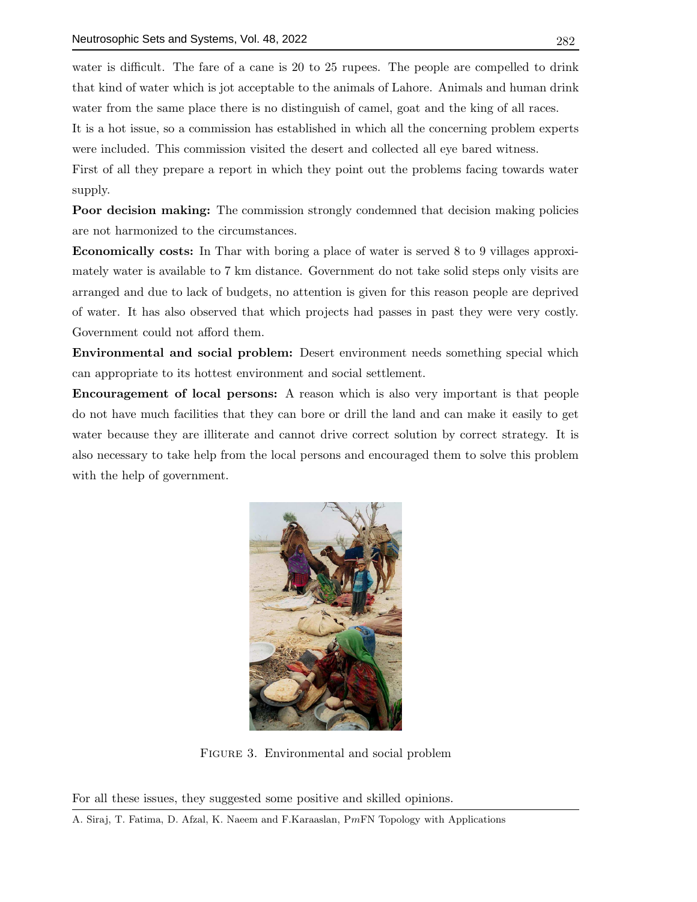water is difficult. The fare of a cane is 20 to 25 rupees. The people are compelled to drink that kind of water which is jot acceptable to the animals of Lahore. Animals and human drink water from the same place there is no distinguish of camel, goat and the king of all races.

It is a hot issue, so a commission has established in which all the concerning problem experts were included. This commission visited the desert and collected all eye bared witness.

First of all they prepare a report in which they point out the problems facing towards water supply.

Poor decision making: The commission strongly condemned that decision making policies are not harmonized to the circumstances.

Economically costs: In Thar with boring a place of water is served 8 to 9 villages approximately water is available to 7 km distance. Government do not take solid steps only visits are arranged and due to lack of budgets, no attention is given for this reason people are deprived of water. It has also observed that which projects had passes in past they were very costly. Government could not afford them.

Environmental and social problem: Desert environment needs something special which can appropriate to its hottest environment and social settlement.

Encouragement of local persons: A reason which is also very important is that people do not have much facilities that they can bore or drill the land and can make it easily to get water because they are illiterate and cannot drive correct solution by correct strategy. It is also necessary to take help from the local persons and encouraged them to solve this problem with the help of government.



Figure 3. Environmental and social problem

For all these issues, they suggested some positive and skilled opinions.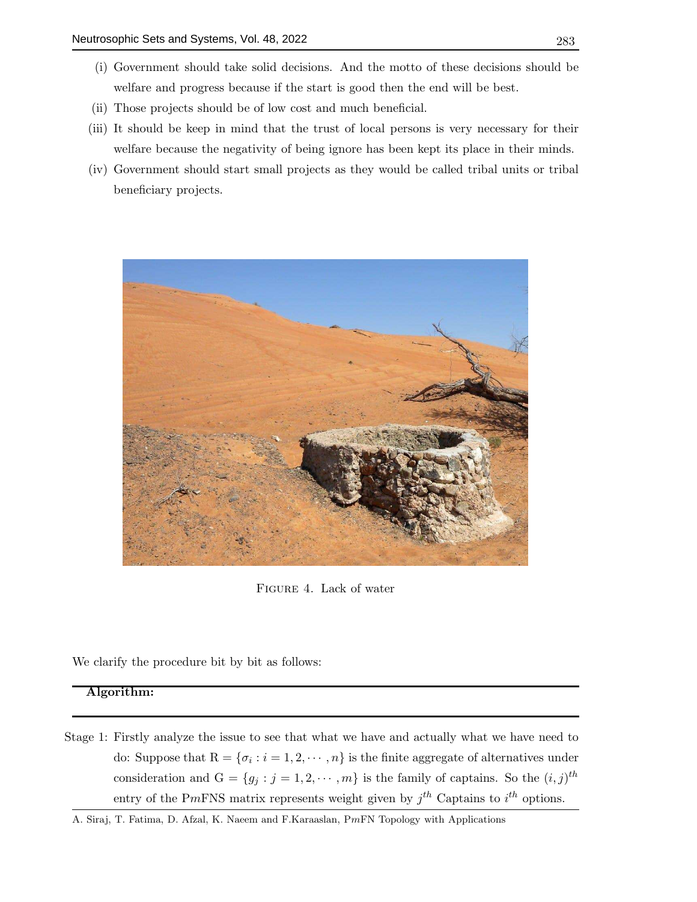- (ii) Those projects should be of low cost and much beneficial.
- (iii) It should be keep in mind that the trust of local persons is very necessary for their welfare because the negativity of being ignore has been kept its place in their minds.
- (iv) Government should start small projects as they would be called tribal units or tribal beneficiary projects.



Figure 4. Lack of water

We clarify the procedure bit by bit as follows:

# Algorithm:

- Stage 1: Firstly analyze the issue to see that what we have and actually what we have need to do: Suppose that  $R = \{\sigma_i : i = 1, 2, \cdots, n\}$  is the finite aggregate of alternatives under consideration and  $G = \{g_j : j = 1, 2, \dots, m\}$  is the family of captains. So the  $(i, j)^{th}$ entry of the PmFNS matrix represents weight given by  $j^{th}$  Captains to  $i^{th}$  options.
- A. Siraj, T. Fatima, D. Afzal, K. Naeem and F.Karaaslan, PmFN Topology with Applications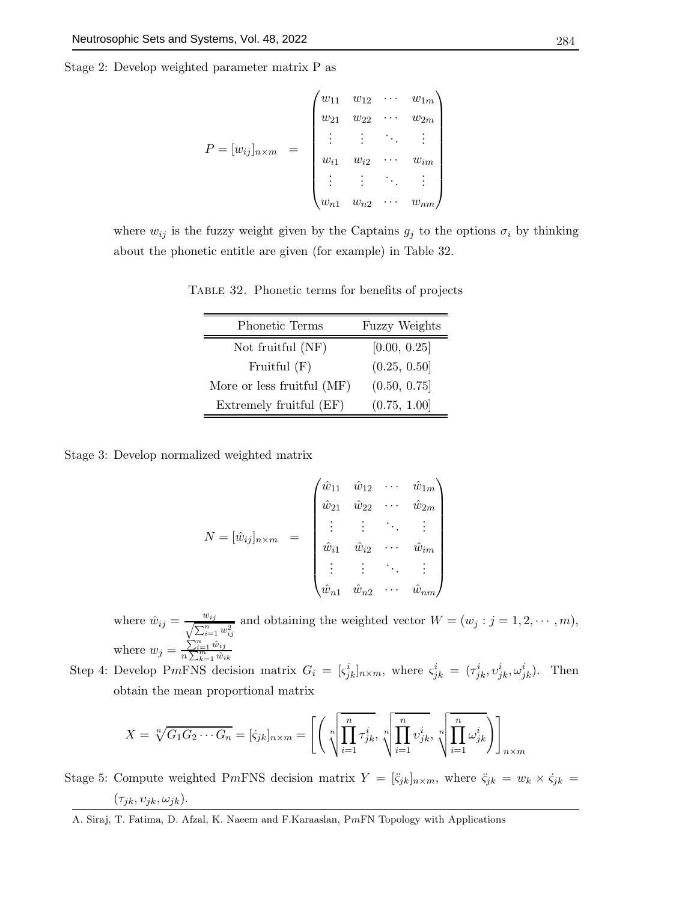Stage 2: Develop weighted parameter matrix P as

$$
P = [w_{ij}]_{n \times m} = \begin{pmatrix} w_{11} & w_{12} & \cdots & w_{1m} \\ w_{21} & w_{22} & \cdots & w_{2m} \\ \vdots & \vdots & \ddots & \vdots \\ w_{i1} & w_{i2} & \cdots & w_{im} \\ \vdots & \vdots & \ddots & \vdots \\ w_{n1} & w_{n2} & \cdots & w_{nm} \end{pmatrix}
$$

where  $w_{ij}$  is the fuzzy weight given by the Captains  $g_j$  to the options  $\sigma_i$  by thinking about the phonetic entitle are given (for example) in Table 32.

Table 32. Phonetic terms for benefits of projects

| Phonetic Terms             | <b>Fuzzy Weights</b> |
|----------------------------|----------------------|
| Not fruitful (NF)          | [0.00, 0.25]         |
| Fruitful $(F)$             | (0.25, 0.50]         |
| More or less fruitful (MF) | (0.50, 0.75]         |
| Extremely fruitful (EF)    | (0.75, 1.00]         |

Stage 3: Develop normalized weighted matrix

$$
N = [\hat{w}_{ij}]_{n \times m} = \begin{pmatrix} \hat{w}_{11} & \hat{w}_{12} & \cdots & \hat{w}_{1m} \\ \hat{w}_{21} & \hat{w}_{22} & \cdots & \hat{w}_{2m} \\ \vdots & \vdots & \ddots & \vdots \\ \hat{w}_{i1} & \hat{w}_{i2} & \cdots & \hat{w}_{im} \\ \vdots & \vdots & \ddots & \vdots \\ \hat{w}_{n1} & \hat{w}_{n2} & \cdots & \hat{w}_{nm} \end{pmatrix}
$$

where  $\hat{w}_{ij} = \frac{w_{ij}}{\sqrt{\sum_{i} n}}$  $\frac{w_{ij}}{\sum_{i=1}^n w_{ij}^2}$  and obtaining the weighted vector  $W = (w_j : j = 1, 2, \dots, m)$ , where  $w_j = \frac{\sum_{i=1}^{n} \hat{w}_{ij}}{n \sum_{k=1}^{m} \hat{w}_{ik}}$ 

Step 4: Develop PmFNS decision matrix  $G_i = [s_{jk}^i]_{n \times m}$ , where  $s_{jk}^i = (\tau_{jk}^i, v_{jk}^i, \omega_{jk}^i)$ . Then obtain the mean proportional matrix

$$
X = \sqrt[n]{G_1 G_2 \cdots G_n} = [\zeta_{jk}]_{n \times m} = \left[ \left( \sqrt[n]{\prod_{i=1}^n \tau_{jk}^i}, \sqrt[n]{\prod_{i=1}^n v_{jk}^i}, \sqrt[n]{\prod_{i=1}^n \omega_{jk}^i} \right) \right]_{n \times m}
$$

Stage 5: Compute weighted PmFNS decision matrix  $Y = [\ddot{\zeta}_{jk}]_{n \times m}$ , where  $\ddot{\zeta}_{jk} = w_k \times \dot{\zeta}_{jk} =$  $(\tau_{jk}, \upsilon_{jk}, \omega_{jk}).$ 

A. Siraj, T. Fatima, D. Afzal, K. Naeem and F.Karaaslan, PmFN Topology with Applications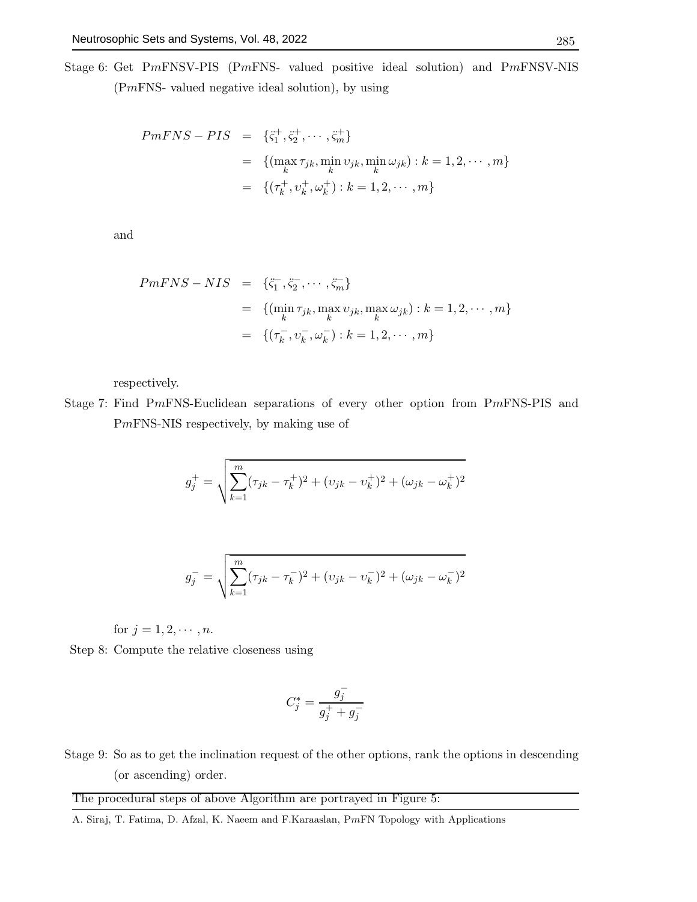Stage 6: Get PmFNSV-PIS (PmFNS- valued positive ideal solution) and PmFNSV-NIS (PmFNS- valued negative ideal solution), by using

$$
PmFNS - PIS = \{\ddot{\zeta}_1^+, \ddot{\zeta}_2^+, \cdots, \ddot{\zeta}_m^+\}
$$
  
=  $\{(\max_k \tau_{jk}, \min_k \upsilon_{jk}, \min_k \omega_{jk}) : k = 1, 2, \cdots, m\}$   
=  $\{(\tau_k^+, \upsilon_k^+, \omega_k^+) : k = 1, 2, \cdots, m\}$ 

and

$$
PmFNS - NIS = \{\ddot{\varsigma}_1^-, \ddot{\varsigma}_2^-, \cdots, \ddot{\varsigma}_m^-\}
$$
  
=  $\{(\min_k \tau_{jk}, \max_k v_{jk}, \max_k \omega_{jk}) : k = 1, 2, \cdots, m\}$   
=  $\{(\tau_k^-, v_k^-, \omega_k^-) : k = 1, 2, \cdots, m\}$ 

respectively.

Stage 7: Find PmFNS-Euclidean separations of every other option from PmFNS-PIS and PmFNS-NIS respectively, by making use of

$$
g_j^+ = \sqrt{\sum_{k=1}^m (\tau_{jk} - \tau_k^+)^2 + (\upsilon_{jk} - \upsilon_k^+)^2 + (\omega_{jk} - \omega_k^+)^2}
$$

$$
g_j^- = \sqrt{\sum_{k=1}^m (\tau_{jk} - \tau_k^-)^2 + (\upsilon_{jk} - \upsilon_k^-)^2 + (\omega_{jk} - \omega_k^-)^2}
$$

for 
$$
j = 1, 2, \dots, n
$$
.

Step 8: Compute the relative closeness using

$$
C_j^* = \frac{g_j^-}{g_j^+ + g_j^-}
$$

Stage 9: So as to get the inclination request of the other options, rank the options in descending (or ascending) order.

The procedural steps of above Algorithm are portrayed in Figure 5: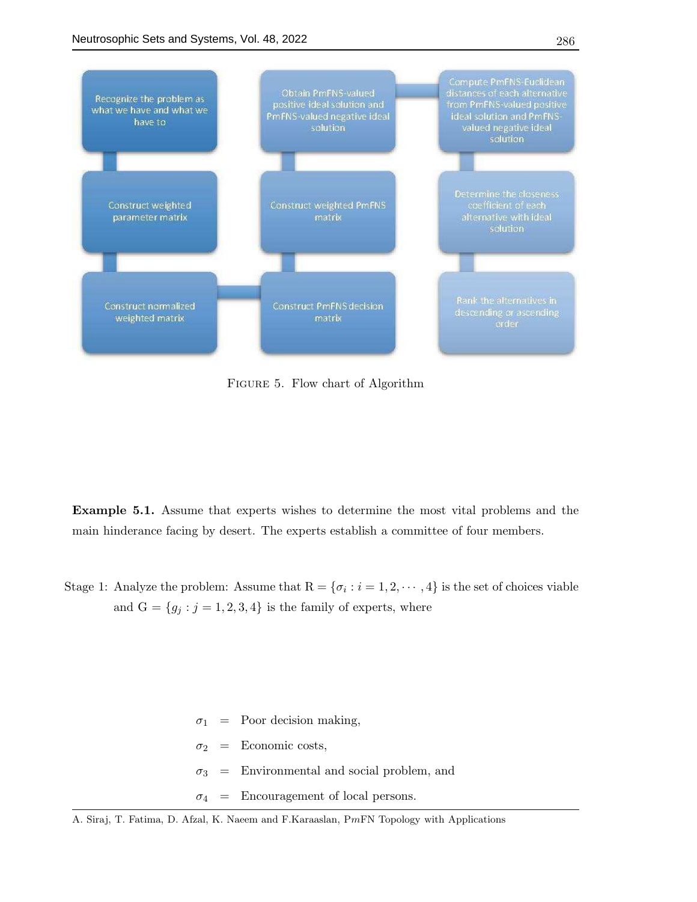

Figure 5. Flow chart of Algorithm

Example 5.1. Assume that experts wishes to determine the most vital problems and the main hinderance facing by desert. The experts establish a committee of four members.

Stage 1: Analyze the problem: Assume that  $R = \{\sigma_i : i = 1, 2, \cdots, 4\}$  is the set of choices viable and  $G = \{g_j : j = 1, 2, 3, 4\}$  is the family of experts, where

> $\sigma_1$  = Poor decision making,  $\sigma_2$  = Economic costs,  $\sigma_3$  = Environmental and social problem, and  $\sigma_4$  = Encouragement of local persons.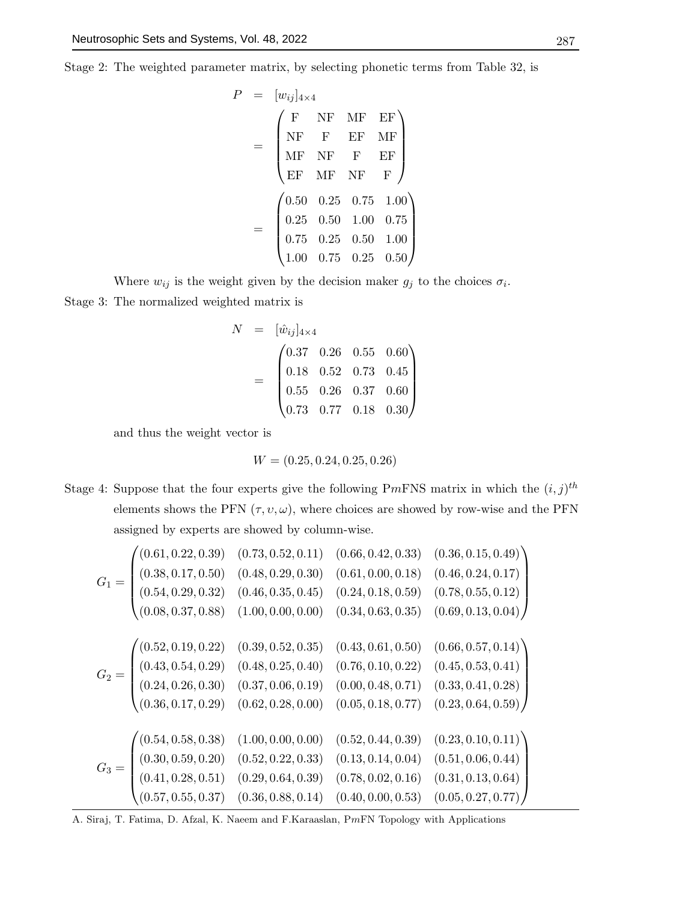Stage 2: The weighted parameter matrix, by selecting phonetic terms from Table 32, is

$$
P = [w_{ij}]_{4 \times 4}
$$
  
= 
$$
\begin{pmatrix} F & NF & MF & EF \\ NF & F & EF & MF \\ MF & NF & F & EF \\ EF & MF & NF & F \end{pmatrix}
$$
  
= 
$$
\begin{pmatrix} 0.50 & 0.25 & 0.75 & 1.00 \\ 0.25 & 0.50 & 1.00 & 0.75 \\ 0.75 & 0.25 & 0.50 & 1.00 \\ 1.00 & 0.75 & 0.25 & 0.50 \end{pmatrix}
$$

Where  $w_{ij}$  is the weight given by the decision maker  $g_j$  to the choices  $\sigma_i$ . Stage 3: The normalized weighted matrix is

$$
N = [\hat{w}_{ij}]_{4\times4}
$$
  
= 
$$
\begin{pmatrix} 0.37 & 0.26 & 0.55 & 0.60 \\ 0.18 & 0.52 & 0.73 & 0.45 \\ 0.55 & 0.26 & 0.37 & 0.60 \\ 0.73 & 0.77 & 0.18 & 0.30 \end{pmatrix}
$$

and thus the weight vector is

$$
W = (0.25, 0.24, 0.25, 0.26)
$$

Stage 4: Suppose that the four experts give the following PmFNS matrix in which the  $(i, j)$ <sup>th</sup> elements shows the PFN  $(\tau, v, \omega)$ , where choices are showed by row-wise and the PFN assigned by experts are showed by column-wise.

$$
G_{1} = \begin{pmatrix} (0.61, 0.22, 0.39) & (0.73, 0.52, 0.11) & (0.66, 0.42, 0.33) & (0.36, 0.15, 0.49) \\ (0.38, 0.17, 0.50) & (0.48, 0.29, 0.30) & (0.61, 0.00, 0.18) & (0.46, 0.24, 0.17) \\ (0.54, 0.29, 0.32) & (0.46, 0.35, 0.45) & (0.24, 0.18, 0.59) & (0.78, 0.55, 0.12) \\ (0.08, 0.37, 0.88) & (1.00, 0.00, 0.00) & (0.34, 0.63, 0.35) & (0.69, 0.13, 0.04) \end{pmatrix}
$$
  
\n
$$
G_{2} = \begin{pmatrix} (0.52, 0.19, 0.22) & (0.39, 0.52, 0.35) & (0.43, 0.61, 0.50) & (0.66, 0.57, 0.14) \\ (0.43, 0.54, 0.29) & (0.48, 0.25, 0.40) & (0.76, 0.10, 0.22) & (0.45, 0.53, 0.41) \\ (0.24, 0.26, 0.30) & (0.37, 0.06, 0.19) & (0.00, 0.48, 0.71) & (0.33, 0.41, 0.28) \\ (0.36, 0.17, 0.29) & (0.62, 0.28, 0.00) & (0.05, 0.18, 0.77) & (0.23, 0.64, 0.59) \end{pmatrix}
$$
  
\n
$$
G_{3} = \begin{pmatrix} (0.54, 0.58, 0.38) & (1.00, 0.00, 0.00) & (0.52, 0.44, 0.39) & (0.23, 0.10, 0.11) \\ (0.30, 0.5
$$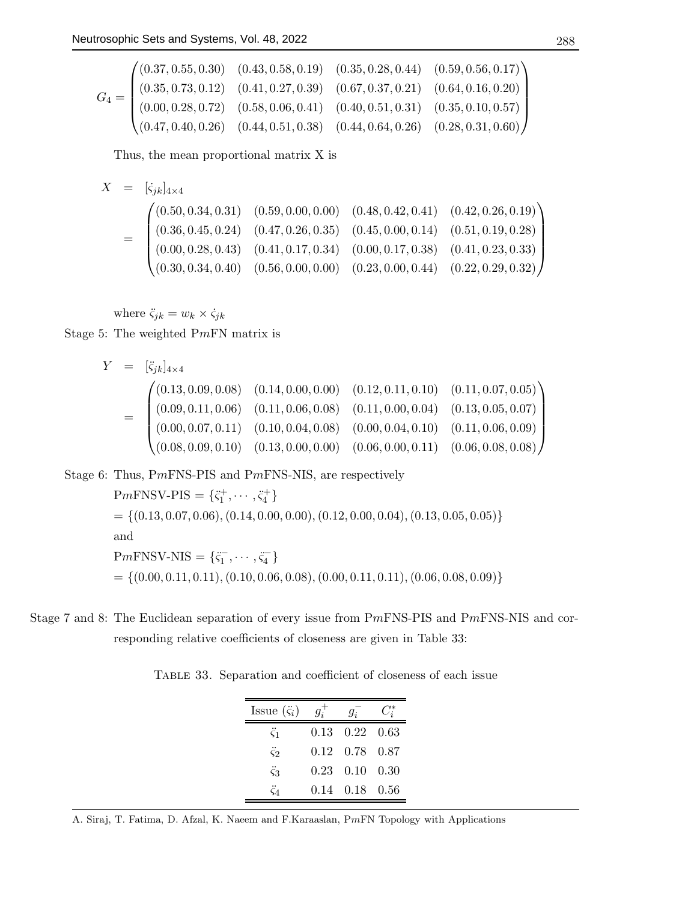$$
G_4 = \begin{pmatrix} (0.37, 0.55, 0.30) & (0.43, 0.58, 0.19) & (0.35, 0.28, 0.44) & (0.59, 0.56, 0.17) \\ (0.35, 0.73, 0.12) & (0.41, 0.27, 0.39) & (0.67, 0.37, 0.21) & (0.64, 0.16, 0.20) \\ (0.00, 0.28, 0.72) & (0.58, 0.06, 0.41) & (0.40, 0.51, 0.31) & (0.35, 0.10, 0.57) \\ (0.47, 0.40, 0.26) & (0.44, 0.51, 0.38) & (0.44, 0.64, 0.26) & (0.28, 0.31, 0.60) \end{pmatrix}
$$

Thus, the mean proportional matrix X is

$$
X = [\dot{\varsigma}_{jk}]_{4\times4}
$$
\n
$$
= \begin{pmatrix}\n(0.50, 0.34, 0.31) & (0.59, 0.00, 0.00) & (0.48, 0.42, 0.41) & (0.42, 0.26, 0.19) \\
(0.36, 0.45, 0.24) & (0.47, 0.26, 0.35) & (0.45, 0.00, 0.14) & (0.51, 0.19, 0.28) \\
(0.00, 0.28, 0.43) & (0.41, 0.17, 0.34) & (0.00, 0.17, 0.38) & (0.41, 0.23, 0.33) \\
(0.30, 0.34, 0.40) & (0.56, 0.00, 0.00) & (0.23, 0.00, 0.44) & (0.22, 0.29, 0.32)\n\end{pmatrix}
$$

where  $\ddot{\varsigma}_{jk} = w_k \times \dot{\varsigma}_{jk}$ Stage 5: The weighted PmFN matrix is

$$
Y = [\zeta_{jk}]_{4\times4}
$$
\n
$$
= \begin{pmatrix}\n(0.13, 0.09, 0.08) & (0.14, 0.00, 0.00) & (0.12, 0.11, 0.10) & (0.11, 0.07, 0.05) \\
(0.09, 0.11, 0.06) & (0.11, 0.06, 0.08) & (0.11, 0.00, 0.04) & (0.13, 0.05, 0.07) \\
(0.00, 0.07, 0.11) & (0.10, 0.04, 0.08) & (0.00, 0.04, 0.10) & (0.11, 0.06, 0.09) \\
(0.08, 0.09, 0.10) & (0.13, 0.00, 0.00) & (0.06, 0.00, 0.11) & (0.06, 0.08, 0.08)\n\end{pmatrix}
$$

Stage 6: Thus, PmFNS-PIS and PmFNS-NIS, are respectively

$$
PmFNSV-PIS = \{\ddot{\zeta}_1^+, \cdots, \ddot{\zeta}_4^+\}
$$
  
= {(0.13, 0.07, 0.06), (0.14, 0.00, 0.00), (0.12, 0.00, 0.04), (0.13, 0.05, 0.05)}  
and  

$$
PmFNSV-NIS = \{\ddot{\zeta}_1^-, \cdots, \ddot{\zeta}_4^-\}
$$
  
= {(0.00, 0.11, 0.11), (0.10, 0.06, 0.08), (0.00, 0.11, 0.11), (0.06, 0.08, 0.09)}

Stage 7 and 8: The Euclidean separation of every issue from PmFNS-PIS and PmFNS-NIS and corresponding relative coefficients of closeness are given in Table 33:

|  | TABLE 33. Separation and coefficient of closeness of each issue |  |  |  |  |  |  |  |
|--|-----------------------------------------------------------------|--|--|--|--|--|--|--|
|--|-----------------------------------------------------------------|--|--|--|--|--|--|--|

| Issue $(\ddot{\zeta}_i)$ | $q_i$ | $g_i$                        |  |
|--------------------------|-------|------------------------------|--|
| $\ddot{\varsigma}_1$     |       | $0.13 \quad 0.22 \quad 0.63$ |  |
| $\ddot{\varsigma}_2$     |       | $0.12$ $0.78$ $0.87$         |  |
| $\ddot{\varsigma}_3$     |       | $0.23$ $0.10$ $0.30$         |  |
| $\mathcal{C}$            |       | $0.14$ $0.18$ $0.56$         |  |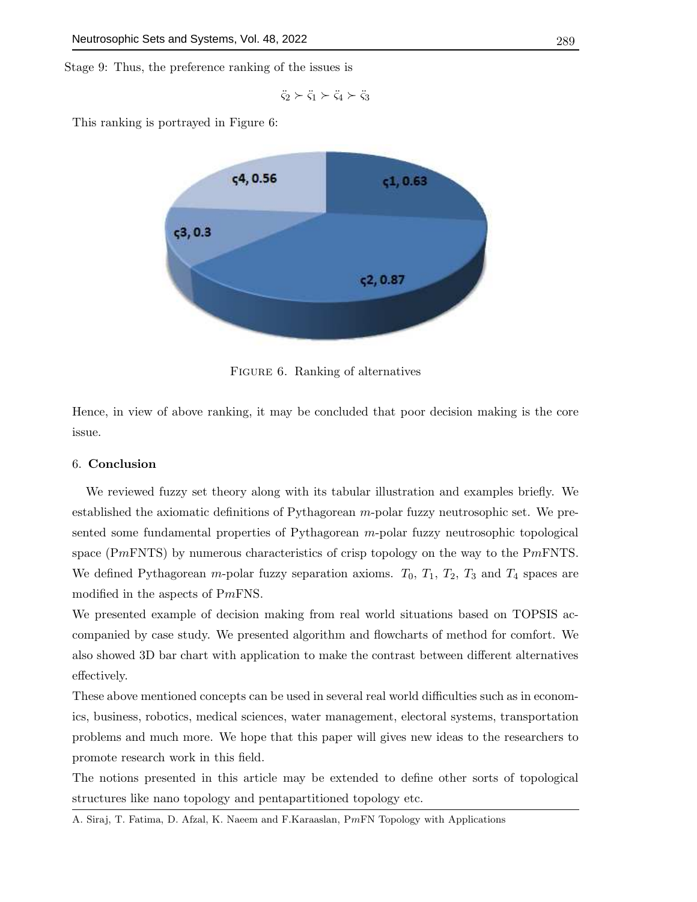Stage 9: Thus, the preference ranking of the issues is

$$
\ddot{\varsigma}_2 \succ \ddot{\varsigma}_1 \succ \ddot{\varsigma}_4 \succ \ddot{\varsigma}_3
$$

This ranking is portrayed in Figure 6:



FIGURE 6. Ranking of alternatives

Hence, in view of above ranking, it may be concluded that poor decision making is the core issue.

# 6. Conclusion

We reviewed fuzzy set theory along with its tabular illustration and examples briefly. We established the axiomatic definitions of Pythagorean m-polar fuzzy neutrosophic set. We presented some fundamental properties of Pythagorean m-polar fuzzy neutrosophic topological space (PmFNTS) by numerous characteristics of crisp topology on the way to the PmFNTS. We defined Pythagorean m-polar fuzzy separation axioms.  $T_0$ ,  $T_1$ ,  $T_2$ ,  $T_3$  and  $T_4$  spaces are modified in the aspects of PmFNS.

We presented example of decision making from real world situations based on TOPSIS accompanied by case study. We presented algorithm and flowcharts of method for comfort. We also showed 3D bar chart with application to make the contrast between different alternatives effectively.

These above mentioned concepts can be used in several real world difficulties such as in economics, business, robotics, medical sciences, water management, electoral systems, transportation problems and much more. We hope that this paper will gives new ideas to the researchers to promote research work in this field.

The notions presented in this article may be extended to define other sorts of topological structures like nano topology and pentapartitioned topology etc.